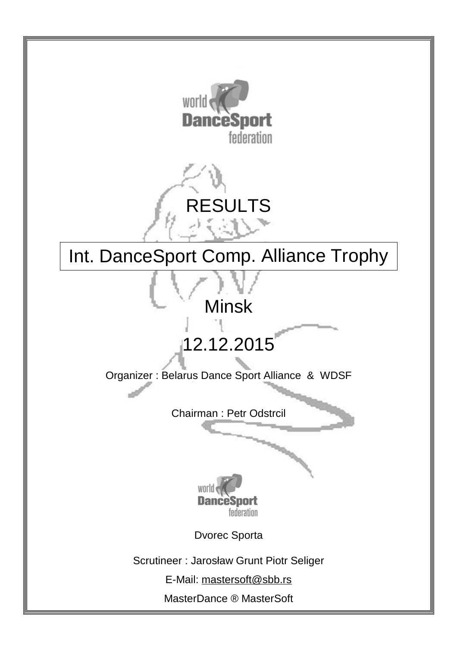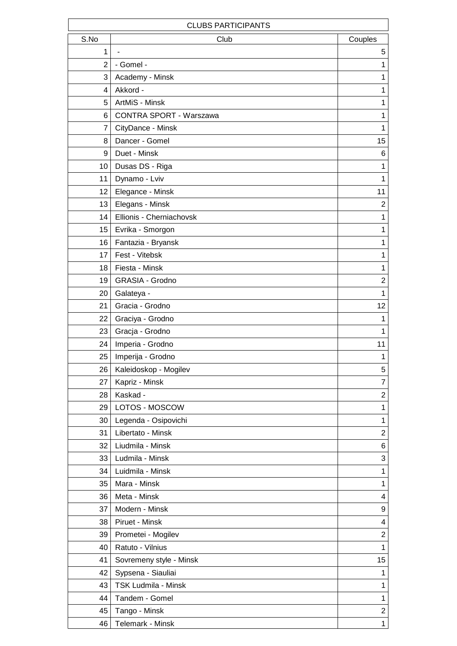|                | <b>CLUBS PARTICIPANTS</b>  |                         |
|----------------|----------------------------|-------------------------|
| S.No           | Club                       | Couples                 |
| $\mathbf{1}$   |                            | 5                       |
| $\overline{2}$ | - Gomel -                  | 1                       |
| 3              | Academy - Minsk            | 1                       |
| 4              | Akkord -                   | $\mathbf 1$             |
| 5              | ArtMiS - Minsk             | 1                       |
| 6              | CONTRA SPORT - Warszawa    | 1                       |
| 7              | CityDance - Minsk          | 1                       |
| 8              | Dancer - Gomel             | 15                      |
| 9              | Duet - Minsk               | 6                       |
| 10             | Dusas DS - Riga            | 1                       |
| 11             | Dynamo - Lviv              | 1                       |
| 12             | Elegance - Minsk           | 11                      |
| 13             | Elegans - Minsk            | $\overline{2}$          |
| 14             | Ellionis - Cherniachovsk   | 1                       |
| 15             | Evrika - Smorgon           | 1                       |
| 16             | Fantazia - Bryansk         | 1                       |
| 17             | Fest - Vitebsk             | $\mathbf 1$             |
| 18             | Fiesta - Minsk             | 1                       |
| 19             | <b>GRASIA - Grodno</b>     | $\overline{\mathbf{c}}$ |
| 20             | Galateya -                 | 1                       |
| 21             | Gracia - Grodno            | 12                      |
| 22             | Graciya - Grodno           | 1                       |
| 23             | Gracja - Grodno            | 1                       |
| 24             | Imperia - Grodno           | 11                      |
| 25             | Imperija - Grodno          | 1                       |
| 26             | Kaleidoskop - Mogilev      | 5                       |
| 27             | Kapriz - Minsk             | 7                       |
| 28             | Kaskad -                   | $\overline{c}$          |
| 29             | LOTOS - MOSCOW             | $\mathbf 1$             |
| 30             | Legenda - Osipovichi       | $\mathbf 1$             |
| 31             | Libertato - Minsk          | $\overline{2}$          |
| 32             | Liudmila - Minsk           | 6                       |
| 33             | Ludmila - Minsk            | 3                       |
| 34             | Luidmila - Minsk           | $\mathbf 1$             |
| 35             | Mara - Minsk               | 1                       |
| 36             | Meta - Minsk               | 4                       |
| 37             | Modern - Minsk             | 9                       |
| 38             | Piruet - Minsk             | 4                       |
| 39             | Prometei - Mogilev         | $\overline{2}$          |
| 40             | Ratuto - Vilnius           | $\mathbf 1$             |
| 41             | Sovremeny style - Minsk    | 15                      |
| 42             | Sypsena - Siauliai         | $\mathbf 1$             |
| 43             | <b>TSK Ludmila - Minsk</b> | $\mathbf 1$             |
| 44             | Tandem - Gomel             | 1                       |
| 45             | Tango - Minsk              | $\overline{c}$          |
| 46             | Telemark - Minsk           | $\mathbf{1}$            |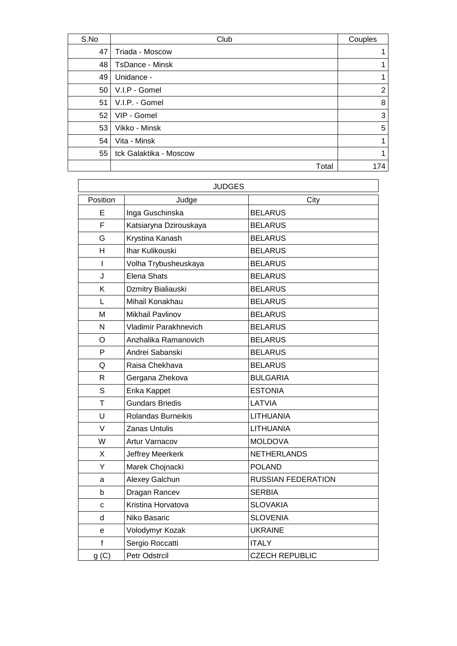| S.No | Club                   | Couples        |
|------|------------------------|----------------|
| 47   | Triada - Moscow        |                |
| 48   | <b>TsDance - Minsk</b> |                |
| 49   | Unidance -             |                |
| 50   | V.I.P - Gomel          | $\overline{2}$ |
| 51   | V.I.P. - Gomel         | 8              |
| 52   | VIP - Gomel            | 3              |
| 53   | Vikko - Minsk          | 5              |
| 54   | Vita - Minsk           |                |
| 55   | tck Galaktika - Moscow |                |
|      | Total                  | 174            |

|              | <b>JUDGES</b>           |                           |
|--------------|-------------------------|---------------------------|
| Position     | Judge                   | City                      |
| Е            | Inga Guschinska         | <b>BELARUS</b>            |
| F            | Katsiaryna Dzirouskaya  | <b>BELARUS</b>            |
| G            | Krystina Kanash         | <b>BELARUS</b>            |
| H            | Ihar Kulikouski         | <b>BELARUS</b>            |
| I            | Volha Trybusheuskaya    | <b>BELARUS</b>            |
| J            | <b>Elena Shats</b>      | <b>BELARUS</b>            |
| Κ            | Dzmitry Bialiauski      | <b>BELARUS</b>            |
| L            | Mihail Konakhau         | <b>BELARUS</b>            |
| M            | <b>Mikhail Pavlinov</b> | <b>BELARUS</b>            |
| N            | Vladimir Parakhnevich   | <b>BELARUS</b>            |
| O            | Anzhalika Ramanovich    | <b>BELARUS</b>            |
| P            | Andrei Sabanski         | <b>BELARUS</b>            |
| Q            | Raisa Chekhava          | <b>BELARUS</b>            |
| $\mathsf{R}$ | Gergana Zhekova         | <b>BULGARIA</b>           |
| S            | Erika Kappet            | <b>ESTONIA</b>            |
| T            | <b>Gundars Briedis</b>  | LATVIA                    |
| U            | Rolandas Burneikis      | LITHUANIA                 |
| V            | <b>Zanas Untulis</b>    | LITHUANIA                 |
| W            | Artur Varnacov          | <b>MOLDOVA</b>            |
| Χ            | Jeffrey Meerkerk        | <b>NETHERLANDS</b>        |
| Υ            | Marek Chojnacki         | <b>POLAND</b>             |
| a            | Alexey Galchun          | <b>RUSSIAN FEDERATION</b> |
| b            | Dragan Rancev           | <b>SERBIA</b>             |
| C            | Kristina Horvatova      | <b>SLOVAKIA</b>           |
| d            | Niko Basaric            | <b>SLOVENIA</b>           |
| e            | Volodymyr Kozak         | <b>UKRAINE</b>            |
| $\mathsf{f}$ | Sergio Roccatti         | <b>ITALY</b>              |
| g(C)         | Petr Odstrcil           | <b>CZECH REPUBLIC</b>     |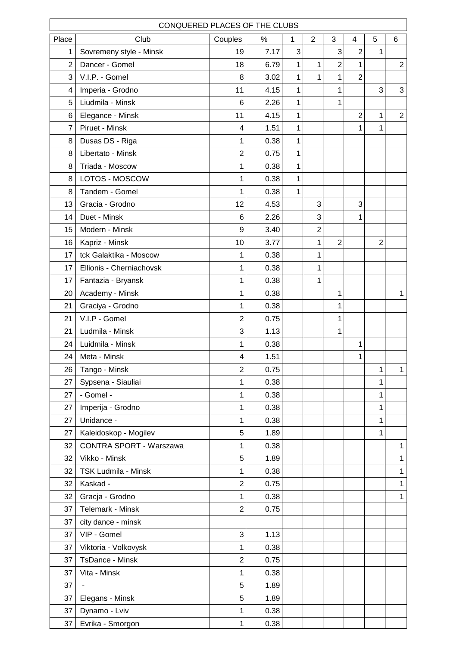| CONQUERED PLACES OF THE CLUBS<br>3<br>Place<br>Club<br>$\overline{2}$<br>$\overline{\mathbf{4}}$<br>5<br>Couples<br>$\%$<br>1<br>6 |                          |                  |      |   |                |                |                |                |                |  |  |  |
|------------------------------------------------------------------------------------------------------------------------------------|--------------------------|------------------|------|---|----------------|----------------|----------------|----------------|----------------|--|--|--|
|                                                                                                                                    |                          |                  |      |   |                |                |                |                |                |  |  |  |
| 1                                                                                                                                  | Sovremeny style - Minsk  | 19               | 7.17 | 3 |                | 3              | $\overline{c}$ | 1              |                |  |  |  |
| $\overline{2}$                                                                                                                     | Dancer - Gomel           | 18               | 6.79 | 1 | 1              | $\overline{c}$ | $\mathbf{1}$   |                | $\overline{2}$ |  |  |  |
| 3                                                                                                                                  | V.I.P. - Gomel           | 8                | 3.02 | 1 | 1              | 1              | $\overline{2}$ |                |                |  |  |  |
| 4                                                                                                                                  | Imperia - Grodno         | 11               | 4.15 | 1 |                | 1              |                | 3              | 3              |  |  |  |
| 5                                                                                                                                  | Liudmila - Minsk         | 6                | 2.26 | 1 |                | 1              |                |                |                |  |  |  |
| 6                                                                                                                                  | Elegance - Minsk         | 11               | 4.15 | 1 |                |                | $\overline{2}$ | 1              | $\overline{2}$ |  |  |  |
| $\overline{7}$                                                                                                                     | Piruet - Minsk           | 4                | 1.51 | 1 |                |                | 1              | $\mathbf{1}$   |                |  |  |  |
| 8                                                                                                                                  | Dusas DS - Riga          | 1                | 0.38 | 1 |                |                |                |                |                |  |  |  |
| 8                                                                                                                                  | Libertato - Minsk        | $\overline{2}$   | 0.75 | 1 |                |                |                |                |                |  |  |  |
| 8                                                                                                                                  | Triada - Moscow          | 1                | 0.38 | 1 |                |                |                |                |                |  |  |  |
| 8                                                                                                                                  | LOTOS - MOSCOW           | 1                | 0.38 | 1 |                |                |                |                |                |  |  |  |
| 8                                                                                                                                  | Tandem - Gomel           | 1                | 0.38 | 1 |                |                |                |                |                |  |  |  |
| 13                                                                                                                                 | Gracia - Grodno          | 12               | 4.53 |   | 3              |                | 3              |                |                |  |  |  |
| 14                                                                                                                                 | Duet - Minsk             | 6                | 2.26 |   | 3              |                | 1              |                |                |  |  |  |
| 15                                                                                                                                 | Modern - Minsk           | 9                | 3.40 |   | $\overline{2}$ |                |                |                |                |  |  |  |
| 16                                                                                                                                 | Kapriz - Minsk           | 10               | 3.77 |   | 1              | $\overline{2}$ |                | $\overline{2}$ |                |  |  |  |
| 17                                                                                                                                 | tck Galaktika - Moscow   | 1                | 0.38 |   | 1              |                |                |                |                |  |  |  |
| 17                                                                                                                                 | Ellionis - Cherniachovsk | 1                | 0.38 |   | 1              |                |                |                |                |  |  |  |
| 17                                                                                                                                 | Fantazia - Bryansk       | 1                | 0.38 |   | 1              |                |                |                |                |  |  |  |
| 20                                                                                                                                 | Academy - Minsk          | 1                | 0.38 |   |                | 1              |                |                | $\mathbf{1}$   |  |  |  |
| 21                                                                                                                                 | Graciya - Grodno         | 1                | 0.38 |   |                | 1              |                |                |                |  |  |  |
| 21                                                                                                                                 | V.I.P - Gomel            | $\overline{2}$   | 0.75 |   |                | 1              |                |                |                |  |  |  |
| 21                                                                                                                                 | Ludmila - Minsk          | 3                | 1.13 |   |                | $\mathbf{1}$   |                |                |                |  |  |  |
| 24                                                                                                                                 | Luidmila - Minsk         | 1                | 0.38 |   |                |                | 1              |                |                |  |  |  |
| 24                                                                                                                                 | Meta - Minsk             | 4                | 1.51 |   |                |                | 1              |                |                |  |  |  |
| 26                                                                                                                                 | Tango - Minsk            | $\overline{2}$   | 0.75 |   |                |                |                | 1              | $\mathbf 1$    |  |  |  |
| 27                                                                                                                                 | Sypsena - Siauliai       | 1                | 0.38 |   |                |                |                | 1              |                |  |  |  |
| 27                                                                                                                                 | - Gomel -                | 1                | 0.38 |   |                |                |                | 1              |                |  |  |  |
| 27                                                                                                                                 | Imperija - Grodno        | 1                | 0.38 |   |                |                |                | 1              |                |  |  |  |
| 27                                                                                                                                 | Unidance -               | 1                | 0.38 |   |                |                |                | 1              |                |  |  |  |
| 27                                                                                                                                 | Kaleidoskop - Mogilev    | 5                | 1.89 |   |                |                |                | 1              |                |  |  |  |
| 32                                                                                                                                 | CONTRA SPORT - Warszawa  | 1                | 0.38 |   |                |                |                |                | $\mathbf{1}$   |  |  |  |
| 32                                                                                                                                 | Vikko - Minsk            | 5                | 1.89 |   |                |                |                |                | $\mathbf{1}$   |  |  |  |
| 32                                                                                                                                 | TSK Ludmila - Minsk      | 1                | 0.38 |   |                |                |                |                | $\mathbf{1}$   |  |  |  |
| 32                                                                                                                                 | Kaskad -                 | $\boldsymbol{2}$ | 0.75 |   |                |                |                |                | $\mathbf{1}$   |  |  |  |
| 32                                                                                                                                 | Gracja - Grodno          | 1                | 0.38 |   |                |                |                |                | $\mathbf{1}$   |  |  |  |
| 37                                                                                                                                 | Telemark - Minsk         | $\overline{2}$   | 0.75 |   |                |                |                |                |                |  |  |  |
| 37                                                                                                                                 | city dance - minsk       |                  |      |   |                |                |                |                |                |  |  |  |
| 37                                                                                                                                 | VIP - Gomel              | 3                | 1.13 |   |                |                |                |                |                |  |  |  |
| 37                                                                                                                                 | Viktoria - Volkovysk     | 1                | 0.38 |   |                |                |                |                |                |  |  |  |
| 37                                                                                                                                 | TsDance - Minsk          | $\overline{c}$   | 0.75 |   |                |                |                |                |                |  |  |  |
| 37                                                                                                                                 | Vita - Minsk             | 1                | 0.38 |   |                |                |                |                |                |  |  |  |
| 37                                                                                                                                 |                          | 5                | 1.89 |   |                |                |                |                |                |  |  |  |
| 37                                                                                                                                 | Elegans - Minsk          | 5                | 1.89 |   |                |                |                |                |                |  |  |  |
| 37                                                                                                                                 | Dynamo - Lviv            | 1                | 0.38 |   |                |                |                |                |                |  |  |  |
| 37                                                                                                                                 | Evrika - Smorgon         | 1                | 0.38 |   |                |                |                |                |                |  |  |  |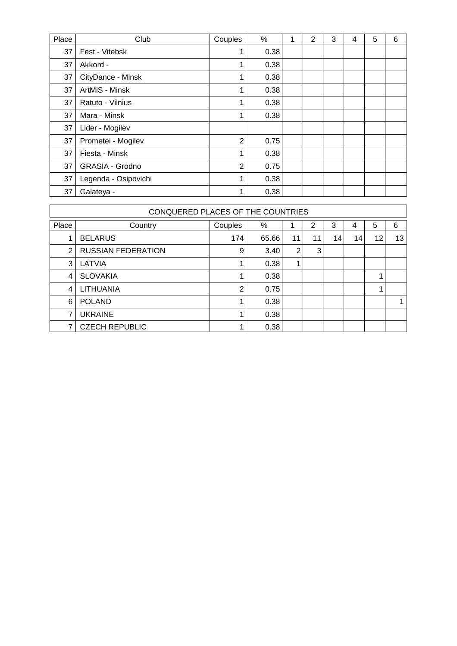| Place | Club                   | Couples        | $\%$ | 2 | 3 | 4 | 5 | 6 |
|-------|------------------------|----------------|------|---|---|---|---|---|
| 37    | Fest - Vitebsk         | 1              | 0.38 |   |   |   |   |   |
| 37    | Akkord -               | 1              | 0.38 |   |   |   |   |   |
| 37    | CityDance - Minsk      | 1              | 0.38 |   |   |   |   |   |
| 37    | ArtMiS - Minsk         | 1              | 0.38 |   |   |   |   |   |
| 37    | Ratuto - Vilnius       | 1              | 0.38 |   |   |   |   |   |
| 37    | Mara - Minsk           | 1              | 0.38 |   |   |   |   |   |
| 37    | Lider - Mogilev        |                |      |   |   |   |   |   |
| 37    | Prometei - Mogilev     | $\overline{2}$ | 0.75 |   |   |   |   |   |
| 37    | Fiesta - Minsk         | 1              | 0.38 |   |   |   |   |   |
| 37    | <b>GRASIA - Grodno</b> | $\overline{2}$ | 0.75 |   |   |   |   |   |
| 37    | Legenda - Osipovichi   | 1              | 0.38 |   |   |   |   |   |
| 37    | Galateya -             | 1              | 0.38 |   |   |   |   |   |

|       | CONQUERED PLACES OF THE COUNTRIES<br>5<br>%<br>6<br>2<br>3<br>Couples<br>Country<br>4 |                |       |                |    |    |    |    |    |  |  |  |  |  |  |
|-------|---------------------------------------------------------------------------------------|----------------|-------|----------------|----|----|----|----|----|--|--|--|--|--|--|
| Place |                                                                                       |                |       |                |    |    |    |    |    |  |  |  |  |  |  |
| 1     | <b>BELARUS</b>                                                                        | 174            | 65.66 | 11             | 11 | 14 | 14 | 12 | 13 |  |  |  |  |  |  |
| 2     | <b>RUSSIAN FEDERATION</b>                                                             | 9              | 3.40  | $\overline{2}$ | 3  |    |    |    |    |  |  |  |  |  |  |
| 3     | LATVIA                                                                                |                | 0.38  | 4              |    |    |    |    |    |  |  |  |  |  |  |
| 4     | <b>SLOVAKIA</b>                                                                       |                | 0.38  |                |    |    |    |    |    |  |  |  |  |  |  |
| 4     | LITHUANIA                                                                             | $\overline{2}$ | 0.75  |                |    |    |    |    |    |  |  |  |  |  |  |
| 6     | <b>POLAND</b>                                                                         |                | 0.38  |                |    |    |    |    |    |  |  |  |  |  |  |
| 7     | <b>UKRAINE</b>                                                                        | 1              | 0.38  |                |    |    |    |    |    |  |  |  |  |  |  |
|       | <b>CZECH REPUBLIC</b>                                                                 |                | 0.38  |                |    |    |    |    |    |  |  |  |  |  |  |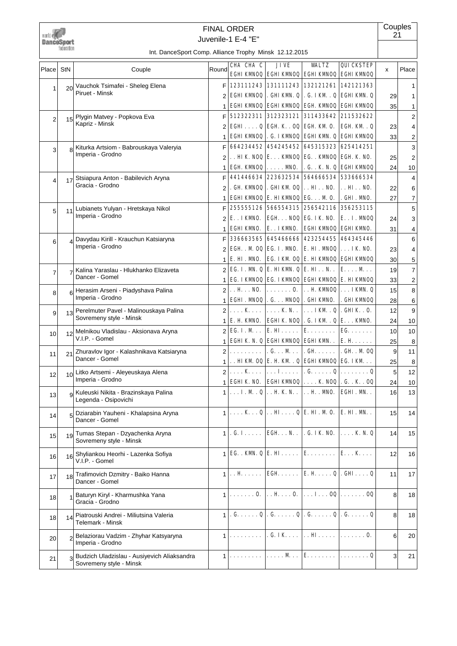

## Juvenile-1 E-4 "E" FINAL ORDER

**Couples** 21

| Place          | StN             | Couple                                                                 | Round          | CHA CHA C                                             | JIVE                                                       | <b>WALTZ</b>                            | QUICKSTEP                                                                                                                                                                                                                                                                                      | x                | Place                   |
|----------------|-----------------|------------------------------------------------------------------------|----------------|-------------------------------------------------------|------------------------------------------------------------|-----------------------------------------|------------------------------------------------------------------------------------------------------------------------------------------------------------------------------------------------------------------------------------------------------------------------------------------------|------------------|-------------------------|
|                |                 |                                                                        |                |                                                       |                                                            |                                         | <b>EGHI KWNOQ EGHI KWNOQ EGHI KWNOQ EGHI KWNOQ</b>                                                                                                                                                                                                                                             |                  |                         |
| 1              | 20              | Vauchok Tsimafei - Sheleg Elena<br>Piruet - Minsk                      | FI             |                                                       |                                                            |                                         | 123111243 131111243 132121261 142121363                                                                                                                                                                                                                                                        |                  | 1                       |
|                |                 |                                                                        |                | <b>EGHI KWNOQ</b>                                     |                                                            |                                         | . GHI KWN. Q  . G. I KM . Q  EGHI KWN. Q                                                                                                                                                                                                                                                       | 29               | 1                       |
|                |                 |                                                                        | 1              |                                                       |                                                            |                                         | <b>EGHI KWOQ EGHI KWOQ EGH. KWOQ EGHI KWOQ</b>                                                                                                                                                                                                                                                 | 35               | 1                       |
| $\overline{2}$ | 15              | Plygin Matvey - Popkova Eva<br>Kapriz - Minsk                          | F.             |                                                       |                                                            |                                         | 512322311 312323121 311433642 211532622                                                                                                                                                                                                                                                        |                  | $\overline{c}$          |
|                |                 |                                                                        | 2              |                                                       | EGHIQ EGH K . 0Q EGH KM 0.                                 |                                         | EGH KM . Q                                                                                                                                                                                                                                                                                     | 23               | 4                       |
|                |                 |                                                                        | 1              |                                                       | 664234452 454245452 645315323 625414251                    |                                         | <b>EGHI KWIOQ   . G. I KWIOQ   EGHI KWI. Q   EGHI KWIOQ</b>                                                                                                                                                                                                                                    | 33               | 2                       |
| 3              |                 | Kiturka Artsiom - Babrouskaya Valeryia<br>Imperia - Grodno             | F              |                                                       | HIK. $NOQ \mid E$ KWOQ $\mid EG$ KWOQ $\mid EGH$ .K. NO.   |                                         |                                                                                                                                                                                                                                                                                                |                  | 3                       |
|                |                 |                                                                        | 2<br>1         |                                                       | EGH $KMNOQ$ $\ldots$ $\ldots$ $MNO$ .                      |                                         | . G. . K. N. Q EGHI KWOQ                                                                                                                                                                                                                                                                       | 25<br>24         | $\overline{\mathbf{c}}$ |
|                |                 | Stsiapura Anton - Babilevich Aryna                                     | F              |                                                       | 441446634 223632534                                        |                                         | 564666534 533666534                                                                                                                                                                                                                                                                            |                  | 10                      |
| $\overline{4}$ | 17              | Gracia - Grodno                                                        | 2              | . GH KWOQ                                             | . GHI KM $OQ$ $\vert$ HI. . NO.                            |                                         | . . HI. . NO.                                                                                                                                                                                                                                                                                  | 22               | 4<br>6                  |
|                |                 |                                                                        | 1              |                                                       | EGHI KWOQ E. HI KWOQ EG. $\ldots$ M O.                     |                                         | . GHI. NNO.                                                                                                                                                                                                                                                                                    | 27               | 7                       |
|                |                 | Lubianets Yulyan - Hretskaya Nikol                                     | FI             |                                                       | 255555126 566554315 256542116 356253115                    |                                         |                                                                                                                                                                                                                                                                                                |                  | 5                       |
| 5              | 11              | Imperia - Grodno                                                       | $\overline{2}$ | E. . IKMNO.                                           |                                                            | <b>EGH NOO EG. IK NO.</b>               | <b>EI. MNOO</b>                                                                                                                                                                                                                                                                                | 24               | 3                       |
|                |                 |                                                                        | 1              | <b>EGHI KWNO.</b>                                     | E. . IKMNO.                                                | <b>EGHI KWOQ EGHI KWO.</b>              |                                                                                                                                                                                                                                                                                                | 31               | 4                       |
|                |                 | Davydau Kirill - Krauchun Katsiaryna                                   | F              | 336663565                                             | 645466666                                                  | 423254455                               | 464345446                                                                                                                                                                                                                                                                                      |                  | 6                       |
| 6              |                 | Imperia - Grodno                                                       | $\overline{2}$ |                                                       | EGH. M OQ EG. I. MNO. E. HI. MNOQ IK NO.                   |                                         |                                                                                                                                                                                                                                                                                                | 23               | 4                       |
|                |                 |                                                                        |                | $1 \mid E$ . HI. MNO.                                 |                                                            |                                         | EG. IKM OQ E. HIKMOQ EGHIKMOQ                                                                                                                                                                                                                                                                  | 30               | 5                       |
| $\overline{7}$ |                 | Kalina Yaraslau - Hlukhanko Elizaveta                                  |                | $2 \times C$ . I. M. Q $E$ . HIKM. Q $E$ . HI. . N. . |                                                            |                                         | E. M                                                                                                                                                                                                                                                                                           | 19               | 7                       |
|                |                 | Dancer - Gomel                                                         | 1              |                                                       |                                                            |                                         | EG. IKVNOQ EG. IKVNOQ EGHIKVNOQ E. HIKVNOQ                                                                                                                                                                                                                                                     | 33               | $\overline{\mathbf{c}}$ |
| 8              | 6               | Herasim Arseni - Piadyshava Palina                                     | 2              | $$ H $$ NO.                                           | . 0.                                                       |                                         | $\ldots$ H KMOQ $\ldots$ IKM. Q                                                                                                                                                                                                                                                                | 15               | 8                       |
|                |                 | Imperia - Grodno                                                       | 1 <sup>1</sup> | <b>EGHI. MOQ . G. MOQ . GHI KMO.</b>                  |                                                            |                                         | . GHI KWNOQ                                                                                                                                                                                                                                                                                    | 28               | 6                       |
| 9              | 13              | Perelmuter Pavel - Malinouskaya Palina                                 | $\overline{2}$ | . <b>K</b>                                            | $\ldots$ KN.                                               | $\ldots$ IKM . Q . GHIK . O.            |                                                                                                                                                                                                                                                                                                | 12               | 9                       |
|                |                 | Sovremeny style - Minsk                                                | 1              | E. H. KMNO.                                           | <b>EGHIK NOQ</b>                                           | . G. IKM . $Q E$ KM0.                   |                                                                                                                                                                                                                                                                                                | 24               | 10                      |
| 10             | 12              | Melnikou Vladislau - Aksionava Aryna                                   | 2              | <b>EG. I. M</b>                                       | $\mathbf{E}.\mathbf{H}\ldots$                              | <b>E.</b>                               | $EG. \ldots \ldots$                                                                                                                                                                                                                                                                            | 10 <sup>1</sup>  | 10                      |
|                |                 | V.I.P. - Gomel                                                         | 1              |                                                       | EGHIK. N. Q EGHIKWOQ EGHIKWN. .                            |                                         | <b>E.H</b>                                                                                                                                                                                                                                                                                     | 25               | 8                       |
| 11             | 21              | Zhuravlov Igor - Kalashnikava Katsiaryna                               | 2              | .                                                     | .G. M. .                                                   | $.GH$                                   | . GH. . M 0Q                                                                                                                                                                                                                                                                                   | 9                | 11                      |
|                |                 | Dancer - Gomel                                                         | 1              |                                                       | $\ldots$ HI KM OQ E. H. KM . Q EGHI KMOQ EG. I KM $\ldots$ |                                         |                                                                                                                                                                                                                                                                                                | 25               | 8                       |
| 12             | 10 <sup>1</sup> | Litko Artsemi - Aleyeuskaya Alena                                      | $\overline{2}$ | . K                                                   | . <b>I.</b>                                                |                                         | . G. Q $\vert$ Q                                                                                                                                                                                                                                                                               | 5                | 12                      |
|                |                 | Imperia - Grodno                                                       | 1              | <b>EGHTK NO.</b>                                      |                                                            |                                         | EGHIKWOQ $  \ldots$ K NOQ $  \ldots$ K . K . OQ                                                                                                                                                                                                                                                | 24               | 10                      |
| 13             | g               | Kuleuski Nikita - Brazinskaya Palina<br>Legenda - Osipovichi           | 1 <sup>1</sup> |                                                       | $\ldots$ I. M . Q $\ldots$ H K N. .                        | $\ldots$ H $\ldots$ MNO.                | EGHI.M                                                                                                                                                                                                                                                                                         | 16               | 13                      |
| 14             | 5               | Dziarabin Yauheni - Khalapsina Aryna<br>Dancer - Gomel                 |                | $\ldots$ K $\ldots$ Q                                 |                                                            | $\ldots$ HI $\ldots$ Q E. HI. M 0.      | E. HI. M. .                                                                                                                                                                                                                                                                                    | 15               | 14                      |
| 15             | 19              | Tumas Stepan - Dzyachenka Aryna<br>Sovremeny style - Minsk             |                | $1$ . G. I.                                           | <b>EGHN</b>                                                | . G. IK NO.                             | $\ldots$ K N.Q                                                                                                                                                                                                                                                                                 | 14               | 15                      |
| 16             | 16              | Shyliankou Heorhi - Lazenka Sofiya<br>V.I.P. - Gomel                   | 1              | EG. . KM. $Q$ E. HI.                                  |                                                            | $E.$                                    | E. K                                                                                                                                                                                                                                                                                           | 12               | 16                      |
| 17             | 18              | Trafimovich Dzmitry - Baiko Hanna<br>Dancer - Gomel                    |                | $1$                                                   |                                                            |                                         | EGH E. H $\mathbf{Q}$ . GHI Q                                                                                                                                                                                                                                                                  | 11               | 17                      |
| 18             |                 | Baturyn Kiryl - Kharmushka Yana<br>Gracia - Grodno                     | $\mathbf{1}$   | . 0.                                                  | $\dots$ H $\dots$ 0.                                       |                                         | $\ldots$ I. $\ldots$ 00 $\ldots$ $\ldots$ 00                                                                                                                                                                                                                                                   | 8                | 18                      |
| 18             | 14              | Piatrouski Andrei - Miliutsina Valeria<br>Telemark - Minsk             | $\mathbf{1}$   | $.G. \ldots Q$                                        |                                                            |                                         | $\mathbf{G}_{\mathbf{G}_{\mathbf{G}}}$ . $\mathbf{G}_{\mathbf{G}_{\mathbf{G}}}$ . $\mathbf{G}_{\mathbf{G}_{\mathbf{G}}}$ . $\mathbf{G}_{\mathbf{G}_{\mathbf{G}}}$ . $\mathbf{G}_{\mathbf{G}_{\mathbf{G}}}$ . $\mathbf{G}_{\mathbf{G}}$ . $\mathbf{G}_{\mathbf{G}}$ . $\mathbf{G}_{\mathbf{G}}$ | 8                | 18                      |
| 20             |                 | Belaziorau Vadzim - Zhyhar Katsyaryna<br>Imperia - Grodno              | $\mathbf{1}$   |                                                       |                                                            | . G. IK $\dots$ $\cdot$ . HI. $\dots$ . | . 0.                                                                                                                                                                                                                                                                                           | $6 \overline{6}$ | 20                      |
| 21             | 3               | Budzich Uladzislau - Ausiyevich Aliaksandra<br>Sovremeny style - Minsk |                |                                                       |                                                            | $\ldots$ M. $\vert$ E.                  | . Q                                                                                                                                                                                                                                                                                            | 3                | 21                      |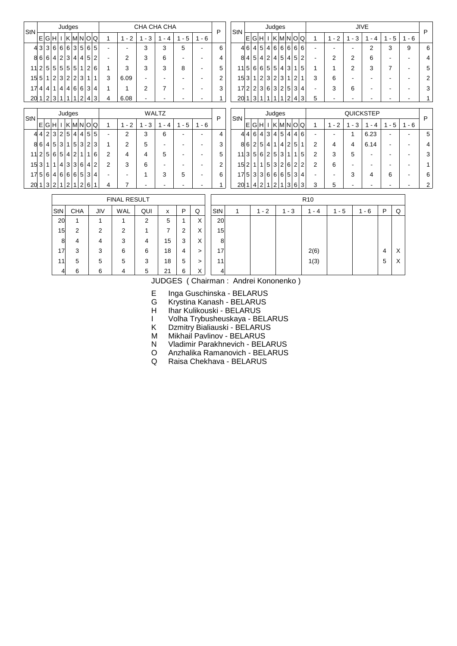| $\mathsf{StN}$ |                      |           |                | Judges |                |                |                |                |              |                |                          |         | CHA CHA CHA  |                          |         | P              | <b>StN</b>                      |                   |                |   |              | Judges         |              |                   |                |                |                          |         |                          | <b>JIVE</b>              |                          |         | P              |
|----------------|----------------------|-----------|----------------|--------|----------------|----------------|----------------|----------------|--------------|----------------|--------------------------|---------|--------------|--------------------------|---------|----------------|---------------------------------|-------------------|----------------|---|--------------|----------------|--------------|-------------------|----------------|----------------|--------------------------|---------|--------------------------|--------------------------|--------------------------|---------|----------------|
|                | Е                    | G H       |                |        |                |                |                |                | I K M N O Q  |                | $-2$<br>1                | $1 - 3$ | $1 - 4$      | $1 - 5$                  | $1 - 6$ |                |                                 |                   |                |   |              |                |              | E G H I K M N O Q |                |                | 1                        | $1 - 2$ | $1 - 3$                  | $-4$                     | $1 - 5$                  | $1 - 6$ |                |
|                | 43 3 6 6 6 3 5 6 5   |           |                |        |                |                |                |                |              |                | $\overline{\phantom{a}}$ | 3       | 3            | 5                        |         | 6              |                                 | 46 4 5 4 6 6 6 66 |                |   |              |                |              |                   |                |                |                          |         |                          | 2                        | 3                        | 9       | 6              |
|                | 8 6 6 4 2 3 4 4 5 2  |           |                |        |                |                |                |                |              |                | $\overline{2}$           | 3       | 6            | $\overline{a}$           |         | 4              |                                 | 8 4 5 4 2 4 5     |                |   |              |                |              |                   | 4 5            | $\overline{2}$ | $\overline{\phantom{a}}$ | 2       | $\overline{2}$           | 6                        |                          |         | 4              |
|                | 11 2 5 5 5 5 5 1 2 6 |           |                |        |                |                |                |                |              |                | 3                        | 3       | 3            | 8                        |         | 5              | $11\,5 6 6 5 5 4 $              |                   |                |   |              |                |              | $\mathbf{3}$      | 1 <sup>1</sup> | 5              | 1                        |         | 2                        | 3                        | $\overline{7}$           |         | 5              |
|                | $15\vert 5 \vert$    | $\vert$ 1 | $\vert$ 2      |        |                |                | 3 2 2 3        | 1 <sup>1</sup> | $\mathbf{1}$ | 3              | 6.09                     |         |              |                          |         | $\overline{2}$ | 153112323                       |                   |                |   |              |                |              | $\mathbf{1}$      | 2              |                | 3                        | 6       | $\overline{\phantom{a}}$ |                          |                          |         | $\overline{2}$ |
|                | 17 4 4               |           | 1 <sup>1</sup> |        |                |                |                |                | 4 4 6 6 3 4  |                |                          | 2       | 7            | $\overline{a}$           |         | 3              | 17 2 2 3 6 3 2 5 3 4            |                   |                |   |              |                |              |                   |                |                | $\overline{\phantom{a}}$ | 3       | 6                        |                          |                          |         | 3              |
|                | 201 2 3              |           |                |        | 1              | 1              | 2              |                | 4 3          | 4              | 6.08                     |         |              |                          |         |                | 20                              | 1 3               |                |   | 1 1          | 1 <sup>1</sup> | 1            | 2                 | 4              | 3              | 5                        |         | $\blacksquare$           |                          |                          |         |                |
|                |                      |           |                |        |                |                |                |                |              |                |                          |         |              |                          |         |                |                                 |                   |                |   |              |                |              |                   |                |                |                          |         |                          |                          |                          |         |                |
| $\mathsf{StN}$ |                      |           |                | Judges |                |                |                |                |              |                |                          |         | <b>WALTZ</b> |                          |         | P              | StN                             |                   |                |   |              | Judges         |              |                   |                |                |                          |         |                          | <b>QUICKSTEP</b>         |                          |         | P              |
|                | Е                    | G H       |                |        |                |                |                |                | I K M N O Q  |                | $-2$<br>1                | $1 - 3$ | 1<br>$-4$    | $1 - 5$                  | $1 - 6$ |                |                                 |                   |                |   |              |                |              | E G H I K M N O Q |                |                | 1                        | $1 - 2$ | $1 - 3$                  | $-4$<br>-1               | $-5$                     | $1 - 6$ |                |
|                | 44                   |           | 2 3            | 2 5    |                | 4 <sup>1</sup> |                |                | 4 5 5        |                | 2                        | 3       | 6            | $\overline{\phantom{a}}$ |         | 4              |                                 | 4 4 6 4 3 4 5     |                |   |              |                |              | $\vert$           | 4              | 6              | $\overline{\phantom{a}}$ |         | 1                        | 6.23                     |                          |         | 5              |
|                | 8 6 4 5              |           |                | 3      |                |                | 1 5 3          |                | 2 3          |                | 2                        | 5       |              |                          |         | 3              |                                 | 86 2 5 4 1 4      |                |   |              |                |              |                   | 2 5            | $\mathbf 1$    | 2                        | 4       | 4                        | 6.14                     |                          |         | 4              |
|                | 11 2 5 6 5 4 2       |           |                |        |                |                | 1 <sup>1</sup> |                | 1 6          | $\overline{2}$ | 4                        | 4       | 5            | $\overline{\phantom{a}}$ |         | 5              | 11 3 5 6 2 5 3                  |                   |                |   |              |                |              | 11                | 1 <sup>1</sup> | 5              | $\overline{2}$           | 3       | 5                        | $\overline{\phantom{a}}$ | $\overline{\phantom{a}}$ | ٠.      | 3              |
|                | 15 3                 | 1         | 1              |        |                |                |                |                | 4 3 3 6 4 2  | 2              | 3                        | 6       |              |                          |         | $\overline{2}$ | 15 2 1 1 5 3 2 6 2              |                   |                |   |              |                |              |                   |                | $\overline{2}$ | $\overline{2}$           | 6       | $\overline{\phantom{a}}$ |                          |                          |         |                |
|                | 1756 4666 534        |           |                |        |                |                |                |                |              |                | $\overline{\phantom{a}}$ | 1       | 3            | 5                        |         | 6              | $17\,5\,3\,3\,6\,6\,6\,5\,3\,4$ |                   |                |   |              |                |              |                   |                |                | $\overline{\phantom{a}}$ |         | 3                        | 4                        | 6                        | ٠.      | 6              |
| 20             |                      | 1 3       | $\overline{2}$ |        | $\overline{2}$ |                | $\overline{2}$ | $6 \mid$       |              | 4              |                          |         |              |                          |         |                | 20                              |                   | $\overline{4}$ | 2 | $\mathbf{1}$ | 2              | $\mathbf{1}$ | $\mathbf{3}$      | 6              | 3              | 3                        | 5       | -                        |                          |                          |         | 2              |
|                |                      |           |                |        |                |                |                |                |              |                |                          |         |              |                          |         |                |                                 |                   |                |   |              |                |              |                   |                |                |                          |         |                          |                          |                          |         |                |

|                 |            |     | <b>FINAL RESULT</b> |     |    |   |        |                 |      |           | R <sub>10</sub> |     |     |   |        |
|-----------------|------------|-----|---------------------|-----|----|---|--------|-----------------|------|-----------|-----------------|-----|-----|---|--------|
| StN             | <b>CHA</b> | JIV | WAL                 | QUI | x  | P | Q      | StN             | $-2$ | - 3<br>1. | - 4             | - 5 | - 6 | P | Q      |
| 20 <sup>1</sup> | и          |     |                     | 2   | 5  |   | v<br>∧ | 20 <sup>2</sup> |      |           |                 |     |     |   |        |
| 15 <sup>1</sup> | 2          | 2   | 2                   |     |    | っ | v<br>∧ | 15              |      |           |                 |     |     |   |        |
| 8               | 4          | 4   | 3                   | 4   | 15 | 3 | v<br>∧ | 8               |      |           |                 |     |     |   |        |
| 17              | 3          | 3   | 6                   | 6   | 18 | 4 | >      | 17              |      |           | 2(6)            |     |     | 4 | v<br>↗ |
| 11              | 5          | 5   | 5                   | 3   | 18 | 5 | >      | 11              |      |           | 1(3)            |     |     | 5 | ⌒      |
| $\vert$         | 6          | 6   | 4                   | 5   | 21 | 6 | v      | 4               |      |           |                 |     |     |   |        |

E Inga Guschinska - BELARUS

G Krystina Kanash - BELARUS

H Ihar Kulikouski - BELARUS

I Volha Trybusheuskaya - BELARUS

K Dzmitry Bialiauski - BELARUS

M Mikhail Pavlinov - BELARUS

N Vladimir Parakhnevich - BELARUS

O Anzhalika Ramanovich - BELARUS

Q Raisa Chekhava - BELARUS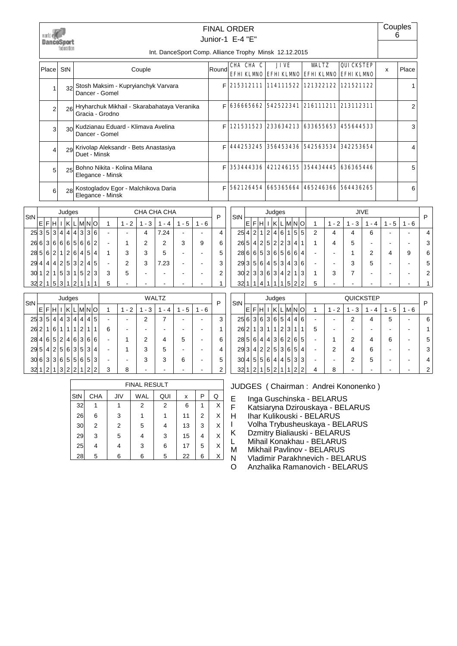

## Junior-1 E-4 "E" FINAL ORDER

Int. DanceSport Comp. Alliance Trophy Minsk 12.12.2015

| Place | <b>StN</b>      | Couple                                                            | Round | CHA CHA C | <b>JIVE</b><br>EFHI KLMO EFHI KLMO EFHI KLMO EFHI KLMO | WALTZ | <b>QUICKSTEP</b> | x | Place |
|-------|-----------------|-------------------------------------------------------------------|-------|-----------|--------------------------------------------------------|-------|------------------|---|-------|
|       |                 | Stosh Maksim - Kupryianchyk Varvara<br>Dancer - Gomel             | F     |           | 215312111 114111522 121322122 121521122                |       |                  |   |       |
| 2     |                 | 26 Hryharchuk Mikhail - Skarabahataya Veranika<br>Gracia - Grodno | F     |           | 636665662 542522341 216111211 213112311                |       |                  |   | 2     |
| 3     | 30 <sup>1</sup> | Kudzianau Eduard - Klimava Avelina<br>Dancer - Gomel              | F     |           | 121531523 233634213 633655653 455644533                |       |                  |   | 3     |
|       | 29              | Krivolap Aleksandr - Bets Anastasiya<br>Duet - Minsk              | F     |           | 444253245 356453436 542563534 342253654                |       |                  |   | 4     |
| 5     | 25              | Bohno Nikita - Kolina Milana<br>Elegance - Minsk                  | F     |           | 353444336 421246155 354434445 636365446                |       |                  |   | 5     |
| 6     | 28              | Kostogladov Egor - Malchikova Daria<br>Elegance - Minsk           | F     |           | 562126454   665365664   465246366   564436265          |       |                  |   | 6     |

| StN |      |   |                |   | Judges         |   |              |      |   |   |         |         | CHA CHA CHA |          |         | P |
|-----|------|---|----------------|---|----------------|---|--------------|------|---|---|---------|---------|-------------|----------|---------|---|
|     | F    | F | н              |   | ΚI             |   |              | L MN | O | 1 | $1 - 2$ | $1 - 3$ | 4           | - 5<br>1 | $1 - 6$ |   |
|     | 25 3 | 5 | 3              | 4 | 4              | 4 | $\mathbf{3}$ | 3    | 6 |   |         | 4       | 7.24        |          |         |   |
| 26  | 6    | 3 | 6              | 6 | 6              | 5 | 6            | 6    | 2 |   |         | 2       | 2           | 3        | 9       | 6 |
|     | 28 5 | 6 | 2 <sub>1</sub> | 1 | 2 <sub>1</sub> | 6 | $\vert$      | 5    | 4 | 1 | 3       | 3       | 5           |          |         | 5 |
| 29  | 4    | 4 | $\vert$        | 2 | 5              | 3 | 21           | 4    | 5 |   | 2       | 3       | 7.23        |          |         |   |
| 30  |      | 2 | 1              | 5 | 3              | 1 | 5            | 2    | 3 | 3 | 5       |         |             |          |         | າ |
| 32  | 2    | 1 | 5              | 3 |                | 2 |              |      |   | 5 |         |         |             |          |         |   |

| StN  |                |   |                |                | Judges         |                |                |                |   |   |       |          | <b>WALTZ</b> |                                    |          | P |
|------|----------------|---|----------------|----------------|----------------|----------------|----------------|----------------|---|---|-------|----------|--------------|------------------------------------|----------|---|
|      | E              | F | н              |                | K              | L              | <b>IMNO</b>    |                |   | 1 | 1 - 2 | - 3<br>1 | 4<br>۰       | 5<br>1<br>$\overline{\phantom{a}}$ | - 6<br>1 |   |
| 25 3 |                | 5 | $\vert$        | $\overline{4}$ | 3              | 4              | $\overline{4}$ | 4              | 5 |   |       | 2        |              |                                    |          | 3 |
| 26   | 2 <sub>1</sub> | 1 | 6              | 1              | 1              | 1              | 2              | 1              | 1 | 6 |       |          |              |                                    |          |   |
| 28   | 4 <sup>1</sup> | 6 | 5 <sup>1</sup> | 2              | 4 <sup>1</sup> | 6              | 3              | 6              | 6 |   |       | 2        | 4            | 5                                  |          | 6 |
| 29   | 5              | 4 | $\overline{2}$ | 5              | 6              | 3              | 5              | 3              | 4 |   |       | 3        | 5            |                                    |          |   |
| 30   | 6              | 3 | 3              | 6              | 5 <sup>1</sup> | 5              | 6              | 5              | 3 |   |       | 3        | 3            | 6                                  |          | 5 |
| 32   |                | 2 | 1              | 3              | $\overline{2}$ | $\mathfrak{p}$ | 1              | $\overline{2}$ | 2 | 3 | 8     |          |              |                                    |          | 2 |

|     |            |     | <b>FINAL RESULT</b> |     |    |   |   |
|-----|------------|-----|---------------------|-----|----|---|---|
| StN | <b>CHA</b> | JIV | WAL                 | QUI | x  | Р | Q |
| 32  |            |     | 2                   | 2   | 6  | 1 | X |
| 26  | 6          | 3   | 1                   |     | 11 | 2 | X |
| 30  | 2          | 2   | 5                   | 4   | 13 | 3 | X |
| 29  | 3          | 5   | 4                   | 3   | 15 | 4 | X |
| 25  | 4          | 4   | 3                   | 6   | 17 | 5 | X |
| 28  | 5          | 6   | 6                   | 5   | 22 | 6 | X |

| StN  |                |                |   |                | Judges |                 |                |   |              |   |      |                               | <b>JIVE</b>         |          |          | P                    |
|------|----------------|----------------|---|----------------|--------|-----------------|----------------|---|--------------|---|------|-------------------------------|---------------------|----------|----------|----------------------|
|      | E              | F              | н |                | κ      | $\mathbf{L}$    | IMINI          |   | O            | 1 | $-2$ | 3<br>$\overline{\phantom{a}}$ | $\overline{a}$<br>۰ | - 5<br>1 | - 6<br>1 |                      |
| 25   | 4              | 2 <sub>1</sub> | 1 | 2 <sup>1</sup> | 4      | 6               | 1              | 5 | 5            | 2 | 4    |                               | 6                   |          |          | 4                    |
| 26   | 5 <sub>1</sub> | 4              | 2 | 5 <sup>1</sup> | 2      | $\overline{2}$  | 3              | 4 | $\mathbf{1}$ |   | 4    | 5                             |                     |          |          | 3                    |
| 28 6 |                | 6              | 5 |                | 3 6    | 5               | 6              | 6 | 4            |   |      |                               | 2                   |          | 9        | 6                    |
| 293  |                | 5              | 6 | 4 <sup>1</sup> | 5      | $\overline{3}$  | 4              | 3 | 6            |   |      | 3                             | 5                   |          |          | 5                    |
| 30   | 2 <sub>1</sub> | 3              | 3 | 6              | 3      | $\vert 4 \vert$ | $\overline{2}$ | 1 | 3            |   | 3    |                               |                     |          |          | $\mathbf{2}^{\circ}$ |
| 32   |                |                |   |                |        | 1               | 5              | 2 | 2            | 5 |      |                               |                     |          |          |                      |

| StN |                |   |                |                | Judges |   |                |     |    |   |           |                                    | QUICKSTEP |                                    |          | P |
|-----|----------------|---|----------------|----------------|--------|---|----------------|-----|----|---|-----------|------------------------------------|-----------|------------------------------------|----------|---|
|     | E              | F | н              |                | κ      |   |                | MIN | ΙO | 1 | $-2$<br>1 | 3<br>1<br>$\overline{\phantom{a}}$ | 4         | 5<br>1<br>$\overline{\phantom{a}}$ | - 6<br>1 |   |
| 25  | 6              | 3 | 6              | 3              | 6      | 5 | 4              | 4   | 6  |   |           | 2                                  |           | 5                                  |          | 6 |
| 26  | $\overline{2}$ | 1 | 3              | 1              | 1      | 2 | 3              | 1   | 1  | 5 |           |                                    |           |                                    |          |   |
| 28  | 5              | 6 | 4              | 4              | 3      | 6 | $\overline{2}$ | 6   | 5  |   |           | 2                                  | 4         | 6                                  |          | 5 |
| 29  | 3              | 4 | $\overline{2}$ | $\overline{2}$ | 5      | 3 | 6              | 5   | 4  |   | 2         | 4                                  | 6         |                                    |          | 3 |
| 30  | 4              | 5 | 5              | 6              | 4      | 4 | 5              | 3   | 3  |   |           | 2                                  | 5         |                                    |          | 4 |
| 32  |                | ົ |                | 5              | ົ      |   |                | 2   | っ  | 4 | 8         |                                    |           |                                    |          | 2 |

JUDGES ( Chairman : Andrei Kononenko )

E Inga Guschinska - BELARUS<br>F Katsiaryna Dzirouskaya - BEL

F Katsiaryna Dzirouskaya - BELARUS<br>H Ihar Kulikouski - BELARUS

Ihar Kulikouski - BELARUS

I Volha Trybusheuskaya - BELARUS<br>K Dzmitry Bialiauski - BELARUS

Dzmitry Bialiauski - BELARUS

L Mihail Konakhau - BELARUS

M Mikhail Pavlinov - BELARUS<br>N Vladimir Parakhnevich - BEL

Vladimir Parakhnevich - BELARUS

O Anzhalika Ramanovich - BELARUS

| ruyco |   |           |       |         |   |         |   |
|-------|---|-----------|-------|---------|---|---------|---|
| ΙK    | L | M N       |       | $\circ$ |   | $1 - 2$ |   |
| 4     | 4 |           | 3 3   | 6       |   |         |   |
|       |   | 6 5 6 6 2 |       |         |   |         | 2 |
| 2 6   |   |           | 4 5 4 |         |   | 3       | 3 |
|       |   | 5 3 2 4 5 |       |         |   | 2       | 3 |
| 3     |   |           | 5 2 3 |         | 3 | 5       |   |
|       | 2 |           |       |         | 5 |         |   |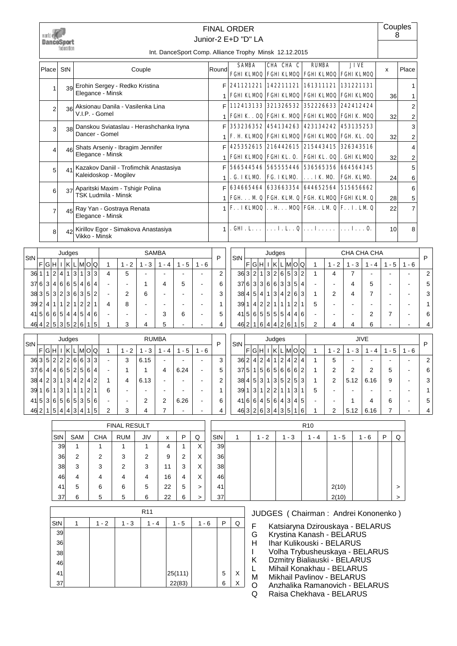|      |     | wurld ei<br><b>DanceSport</b> |           | federation      |            |                                               |                |                |                                         |                                            |                |                          |                |                  | <b>FINAL ORDER</b><br>Junior-2 E+D "D" LA                          |   |                 |                   |         |              |                                                     |                |                |                                                                 |                | 8  | Couples        |
|------|-----|-------------------------------|-----------|-----------------|------------|-----------------------------------------------|----------------|----------------|-----------------------------------------|--------------------------------------------|----------------|--------------------------|----------------|------------------|--------------------------------------------------------------------|---|-----------------|-------------------|---------|--------------|-----------------------------------------------------|----------------|----------------|-----------------------------------------------------------------|----------------|----|----------------|
|      |     |                               |           |                 |            |                                               |                |                |                                         |                                            |                |                          |                |                  | Int. DanceSport Comp. Alliance Trophy Minsk 12.12.2015             |   |                 |                   |         |              |                                                     |                |                |                                                                 |                |    |                |
|      |     | Place                         | StN       |                 |            |                                               |                |                |                                         | Couple                                     |                |                          |                | Round            | <b>SAMBA</b>                                                       |   |                 | CHA CHA C         |         |              | <b>RUMBA</b>                                        |                |                | <b>JIVE</b><br>FGHI KLMOQ FGHI KLMOQ FGHI KLMOQ FGHI KLMOQ      | X              |    | Place          |
|      |     |                               |           | 39              |            |                                               |                |                | Erohin Sergey - Redko Kristina          |                                            |                |                          |                | F                | 241121221 142211121 161311121 131221131                            |   |                 |                   |         |              |                                                     |                |                |                                                                 |                |    | 1              |
|      |     | 1                             |           |                 |            | Elegance - Minsk                              |                |                |                                         |                                            |                |                          |                | 1                | FGHI KLMOQ FGHI KLMOQ FGHI KLMOQ FGHI KLMOQ                        |   |                 |                   |         |              |                                                     |                |                |                                                                 |                | 36 | 1              |
|      |     | 2                             |           | 36 <sup>1</sup> |            |                                               |                |                | Aksionau Danila - Vasilenka Lina        |                                            |                |                          |                | F                | 112413133   321326532                                              |   |                 |                   |         |              |                                                     |                |                | 352226633 242412424                                             |                |    | $\overline{2}$ |
|      |     |                               |           |                 |            | V.I.P. - Gomel                                |                |                |                                         |                                            |                |                          |                | 1                | FGHIK. 00 FGHIK MO0 FGHIKLMO0 FGHIK MO0                            |   |                 |                   |         |              |                                                     |                |                |                                                                 |                | 32 | 2              |
|      |     | 3                             |           | 38              |            | Dancer - Gomel                                |                |                | Danskou Sviataslau - Herashchanka Iryna |                                            |                |                          |                | F                |                                                                    |   |                 |                   |         |              |                                                     |                |                | 353236352 454134263 423134242 453135253                         |                |    | 3              |
|      |     |                               |           |                 |            |                                               |                |                |                                         |                                            |                |                          |                | 1                | F. H. KLMDQ FGHIKLMDQ FGHIKLMDQ FGH. KL. OQ                        |   |                 |                   |         |              |                                                     |                |                |                                                                 |                | 32 | 2              |
|      |     | 4                             |           | 46              |            | Elegance - Minsk                              |                |                | Shats Arseniy - Ibragim Jennifer        |                                            |                |                          |                | F                |                                                                    |   |                 |                   |         |              |                                                     |                |                | 425352615 216442615 215443415 326343516                         |                |    | 4              |
|      |     |                               |           |                 |            |                                               |                |                | Kazakov Daniil - Trofimchik Anastasiya  |                                            |                |                          |                | $\mathbf 1$<br>F | FGHIKLMOQ FGHIKL. O.                                               |   |                 |                   |         |              |                                                     |                |                | FGHIKL. 0Q .GHIKLMOQ<br>566544546 565555446 536565356 664564345 |                | 32 | 2<br>5         |
|      |     | 5                             |           | 41              |            |                                               |                |                | Kaleidoskop - Mogilev                   |                                            |                |                          |                | 1                | . G. IKLMD.                                                        |   |                 | FG. IKLMD.        |         |              | . IK M.                                             |                |                | FGH KLMD.                                                       |                | 24 | 6              |
|      |     |                               |           |                 |            |                                               |                |                | 37 Aparitski Maxim - Tshigir Polina     |                                            |                |                          |                | F                | 634665464                                                          |   |                 | 633663354         |         |              |                                                     |                |                | 644652564 515656662                                             |                |    | 6              |
|      |     | 6                             |           |                 |            |                                               |                |                | <b>TSK Ludmila - Minsk</b>              |                                            |                |                          |                | $\mathbf 1$      | FGH. M Q FGH KLM Q FGH KLMOQ FGHIKLM Q                             |   |                 |                   |         |              |                                                     |                |                |                                                                 |                | 28 | 5              |
|      |     | $\overline{7}$                |           | 45              |            | Elegance - Minsk                              |                |                | Ray Yan - Gostraya Renata               |                                            |                |                          |                |                  | $1 \times .1$ KLMOQ $\ldots$ H $\ldots$ MOQ FGH. LM Q F. . I. LM Q |   |                 |                   |         |              |                                                     |                |                |                                                                 |                | 22 | 7              |
|      |     | 8                             |           | 42              |            | Vikko - Minsk                                 |                |                | Kirillov Egor - Simakova Anastasiya     |                                            |                |                          |                | 1                | . GHI . L.                                                         |   |                 |                   |         |              | $\vert \ldots$ I. L. . $\mathbf{Q} \vert \ldots$ I. |                |                | $\left  \ldots \right  \ldots 0.$                               |                | 10 | 8              |
|      |     |                               |           | Judges          |            |                                               |                |                |                                         |                                            | <b>SAMBA</b>   |                          |                |                  |                                                                    |   |                 | Judges            |         |              |                                                     |                |                | CHA CHA CHA                                                     |                |    |                |
|      |     | F G H I K                     |           |                 |            | L M O Q                                       |                | 1              | $1 - 2$                                 | $1 - 3$                                    | $1 - 4$        | $1 - 5$                  | $1 - 6$        | P                | StN                                                                | F | $ G H $ I $ K $ |                   | LMOQ    |              | $\mathbf{1}$                                        | $1 - 2$        | $1 - 3$        | $1 - 4$                                                         | $1 - 5$        |    | $1 - 6$        |
| 36 1 |     | $\vert$ 2<br>1 <sup>1</sup>   | $\vert$ 4 | $\vert$ 1       | 3 1        | 3 3                                           |                | 4              | 5                                       |                                            |                |                          |                | $\overline{2}$   | 363 2 1                                                            |   |                 | 3 2 6 5           |         | 3 2          | $\mathbf{1}$                                        | 4              | $\overline{7}$ |                                                                 |                |    |                |
| 6    |     | 3 4                           |           |                 | 6 6 5 4    | 6                                             | $\overline{4}$ |                |                                         | 1                                          | 4              | 5                        |                | 6                | 37                                                                 | 6 |                 | 3 3 6 6 3 3 5 4   |         |              |                                                     |                | 4              | 5                                                               |                |    |                |
| 38 3 |     | 5 3                           |           |                 | 2 3 6 3    | 5                                             | $\overline{2}$ | $\blacksquare$ | $\overline{2}$                          | 6                                          | $\blacksquare$ | $\blacksquare$           | $\blacksquare$ | 3                | 38 4                                                               | 5 | $\overline{4}$  | 1 3 4 2           |         | 6 3          | 1                                                   | 2              | 4              | $\overline{7}$                                                  | $\blacksquare$ |    | $\blacksquare$ |
| 39 2 |     | 4 1                           |           |                 | 1 2 1 2    | 2 1                                           |                | 4              | 8                                       | $\blacksquare$                             |                |                          |                | 1                | 39 1                                                               |   |                 | 4 2 2 1 1 1       | 2       | $\mathbf{1}$ | 5                                                   |                | $\blacksquare$ |                                                                 |                |    |                |
|      |     | 415665444                     |           |                 | 5          | $\vert$                                       | 6              |                |                                         | $\blacksquare$                             | 3              | 6                        |                | 5                | $41\,5 6 5$                                                        |   |                 | 5 5 5 4           |         | 6<br>$\vert$ |                                                     |                | $\blacksquare$ | $\overline{2}$                                                  | $\overline{7}$ |    |                |
|      | 464 | 2 5                           |           |                 |            | 352615                                        |                | 1              | 3                                       | 4                                          | 5              |                          |                | 4                | 46 2                                                               | 1 | 6               | 4 4 2 6           |         | $1\vert 5$   | $\overline{2}$                                      | 4              | 4              | 6                                                               |                |    |                |
|      |     |                               |           | Judges          |            |                                               |                |                |                                         | <b>RUMBA</b>                               |                |                          |                | P                | <b>StN</b>                                                         |   |                 | Judges            |         |              |                                                     |                |                | JIVE                                                            |                |    |                |
|      |     |                               |           |                 |            | F G H I K L M O Q                             |                | 1              | $1 - 2$                                 | $1 - 3$                                    | $1 - 4$        | $1 - 5$                  | $1 - 6$        |                  |                                                                    |   |                 | F G H I K L M O Q |         |              | 1                                                   | $1 - 2$        | $1 - 3$        | $1 - 4$                                                         | $1 - 5$        |    | $1 - 6$        |
|      |     |                               |           |                 |            | 36352226633                                   |                |                | $\mathbf{3}$                            | 6.15                                       |                |                          |                | 3                | 3624241242424                                                      |   |                 |                   |         |              | $\mathbf{1}$                                        | 5              |                |                                                                 |                |    |                |
|      |     |                               |           |                 |            | 376 4 4 6 5 2 5 6 4                           |                |                | 1                                       | $\mathbf{1}$                               | 4              | 6.24                     |                | 5                | 375 15 656 66 2                                                    |   |                 |                   |         |              | 1                                                   | 2              | 2              | 2                                                               | 5              |    |                |
|      |     |                               |           |                 |            | 38 4 2 3 1 3 4 2 4 2 <br>39 1 6 1 3 1 1 1 2 1 |                | $\mathbf{1}$   | 4                                       | 6.13                                       |                | $\overline{\phantom{a}}$ |                | 2                | 38 4 5 3 1 3 5 2 5 3                                               |   |                 |                   |         |              | 1                                                   | $\overline{2}$ | 5.12           | 6.16                                                            | 9              |    |                |
|      |     |                               |           |                 |            | $41\,5 3 6 5 6 5 3 5 6$                       |                | 6              |                                         | $\overline{\phantom{a}}$<br>$\overline{2}$ | 2              | $\blacksquare$<br>6.26   |                | 1<br>6           | 39 1 3 1 2 2 1 1 3 1<br>4166456434345                              |   |                 |                   |         |              | 5                                                   |                | $\mathbf{1}$   | 4                                                               | 6              |    |                |
|      |     |                               |           |                 |            | 462 1 5 4 4 3 4 1 5                           |                | 2              | 3                                       | $\overline{4}$                             | $\overline{7}$ | $\blacksquare$           |                | 4                | 463 2 6 3 4 3 5 1 6                                                |   |                 |                   |         |              |                                                     | $\overline{2}$ | 5.12           | 6.16                                                            | $\overline{7}$ |    |                |
|      |     |                               |           |                 |            |                                               |                |                |                                         |                                            |                |                          |                |                  |                                                                    |   |                 |                   |         |              |                                                     |                |                |                                                                 |                |    |                |
|      |     |                               |           |                 |            |                                               |                |                |                                         |                                            |                |                          |                |                  |                                                                    |   |                 |                   |         |              |                                                     |                |                |                                                                 |                |    |                |
|      |     |                               | StN       |                 | <b>SAM</b> |                                               | CHA            |                | FINAL RESULT<br><b>RUM</b>              | JIV                                        | X              | $\sf P$                  | Q              | StN              | $\mathbf{1}$                                                       |   | $1 - 2$         |                   | $1 - 3$ |              | R <sub>10</sub><br>$1 - 4$                          |                | $1 - 5$        | $1 - 6$                                                         | $\sf P$        | Q  |                |

36 38 46

| 41              | 5 | 6    | 6     | 5               | 22      | 5   | >       | 41 |   |   |                              | 2(10) |                                     | $\geq$ |
|-----------------|---|------|-------|-----------------|---------|-----|---------|----|---|---|------------------------------|-------|-------------------------------------|--------|
| 37              | 6 | 5    | 5     | 6               | 22      | 6   |         | 37 |   |   |                              | 2(10) |                                     | $\geq$ |
|                 |   |      |       | R <sub>11</sub> |         |     |         |    |   |   |                              |       | JUDGES (Chairman: Andrei Kononenko) |        |
| StN             |   | $-2$ | 1 - 3 | 1 - 4           |         | - 5 | $1 - 6$ | P  | Q | F |                              |       | Katsiaryna Dzirouskaya - BELARUS    |        |
| 39 <sub>l</sub> |   |      |       |                 |         |     |         |    |   | G | Krystina Kanash - BELARUS    |       |                                     |        |
| 36              |   |      |       |                 |         |     |         |    |   | н | Ihar Kulikouski - BELARUS    |       |                                     |        |
| 38              |   |      |       |                 |         |     |         |    |   |   |                              |       | Volha Trybusheuskaya - BELARUS      |        |
| 46              |   |      |       |                 |         |     |         |    |   | Κ | Dzmitry Bialiauski - BELARUS |       |                                     |        |
| 41              |   |      |       |                 | 25(111) |     |         | 5  | X |   | Mihail Konakhau - BELARUS    |       |                                     |        |
|                 |   |      |       |                 |         |     |         |    | v | м | Mikhail Pavlinov - BELARUS   |       |                                     |        |
| $37$            |   |      |       |                 | 22(83)  |     |         | 6  |   |   |                              |       | Anzhalika Ramanovich - REI ARLIS    |        |

36 2 2 3 2 9 2 X 38 3 3 3 2 3 11 3 X 46 4 4 4 4 4 16 4 X

O Anzhalika Ramanovich - BELARUS<br>Q Raisa Chekhava - BELARUS

Raisa Chekhava - BELARUS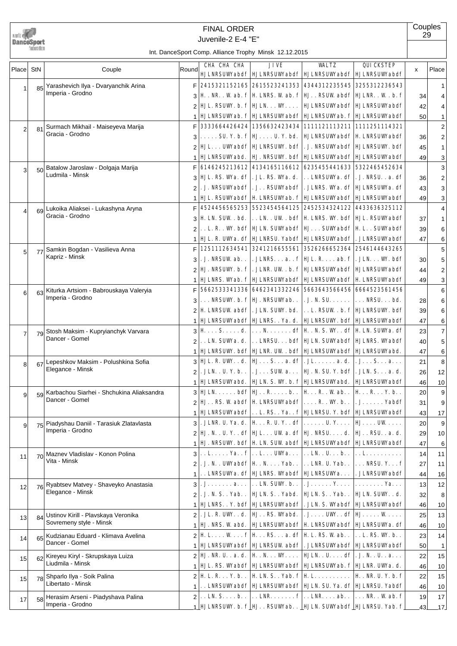

## Juvenile-2 E-4 "E" FINAL ORDER

**Couples** 

| Place          | StN | Couple                                                         | Round          | CHA CHA CHA                                                                                                                                                                                                                                                                                                                                                                                                             | JIVE                                                                                                  | WALTZ                | QUICKSTEP<br><b>HJLNRSUWabdf   HJLNRSUWabdf   HJLNRSUWabdf   HJLNRSUWabdf</b>   | x  | Place          |
|----------------|-----|----------------------------------------------------------------|----------------|-------------------------------------------------------------------------------------------------------------------------------------------------------------------------------------------------------------------------------------------------------------------------------------------------------------------------------------------------------------------------------------------------------------------------|-------------------------------------------------------------------------------------------------------|----------------------|---------------------------------------------------------------------------------|----|----------------|
|                |     |                                                                |                | F 2415321152165 2615523241353 4344312235545 3255312236543                                                                                                                                                                                                                                                                                                                                                               |                                                                                                       |                      |                                                                                 |    |                |
| 1              | 85  | Yarashevich Ilya - Dvaryanchik Arina<br>Imperia - Grodno       |                |                                                                                                                                                                                                                                                                                                                                                                                                                         |                                                                                                       |                      | $H. NR. Wab. f/H LNRS. Wab. f/H. RSWabdf HILNR. W.b. f$                         | 34 | 1<br>4         |
|                |     |                                                                |                |                                                                                                                                                                                                                                                                                                                                                                                                                         | HJL. RSUW. b. f   HJLN. W.   HJLNRSUWabdf   HJLNRSUWabdf                                              |                      |                                                                                 | 42 | 4              |
|                |     |                                                                | 1              |                                                                                                                                                                                                                                                                                                                                                                                                                         |                                                                                                       |                      | <b>HJLNRSUWab. f   HJLNRSUWabdf   HJLNRSUWab. f   HJLNRSUWabdf</b>              | 50 | 1              |
|                |     | Surmach Mikhail - Maiseyeva Marija                             | F              |                                                                                                                                                                                                                                                                                                                                                                                                                         | 3333664426424 1356632423434 1111121113211 1111251114321                                               |                      |                                                                                 |    | 2              |
| 2              | 81  | Gracia - Grodno                                                |                |                                                                                                                                                                                                                                                                                                                                                                                                                         | $\ldots$ . SU. Y. b. $f \vert \mathbf{H} \ldots$ U. Y. bd. $\vert$ HJLNRSUWabdf $\vert$ H, LNRSUWabdf |                      |                                                                                 | 36 | 2              |
|                |     |                                                                |                |                                                                                                                                                                                                                                                                                                                                                                                                                         | HJL. UWabdf   HJLNRSUW. bdf   . J. NRSUWabdf   HJLNRSUW. bdf                                          |                      |                                                                                 | 45 | 1              |
|                |     |                                                                |                | <b>HJLNRSUWabd.</b>                                                                                                                                                                                                                                                                                                                                                                                                     |                                                                                                       |                      | HJ . NRSUW. bdf  HJLNRSUWabdf  HJLNRSUWabdf                                     | 49 | 3              |
|                | 50  | Batalow Jaroslaw - Dolgaja Marija                              | F              |                                                                                                                                                                                                                                                                                                                                                                                                                         | 6146245213612 4134165116612 6235455441633 5322465452634                                               |                      |                                                                                 |    | 3              |
| 3              |     | Ludmila - Minsk                                                | 3              |                                                                                                                                                                                                                                                                                                                                                                                                                         |                                                                                                       |                      | <b>HJL. RS. Wa. df   . JL. RS. Wa. d.   LNRSUWa. df   . J. NRSU. . a. df</b>    | 36 | 2              |
|                |     |                                                                | 2              |                                                                                                                                                                                                                                                                                                                                                                                                                         | . J. NRSUWabdf   . J. . RSUWabdf   . JLNRS. Wa. df   HJLNRSUWa. df                                    |                      |                                                                                 | 43 | 3              |
|                |     |                                                                |                |                                                                                                                                                                                                                                                                                                                                                                                                                         | <b>HJL. RSUWabdf   H. LNRSUWab. f   HJLNRSUWabdf   HJLNRSUWabdf</b>                                   |                      |                                                                                 | 49 | 3              |
| 4              | 69  | Lukoika Aliaksei - Lukashyna Aryna                             | F              |                                                                                                                                                                                                                                                                                                                                                                                                                         | 4524456565253 5523454564125 2452534324122 4433636325112                                               |                      |                                                                                 |    | 4              |
|                |     | Gracia - Grodno                                                | 3              |                                                                                                                                                                                                                                                                                                                                                                                                                         | H. LN. SUW . bd.   LN. . UW . bdf   H. LNRS. W. bdf   HJL. RSUWabdf                                   |                      |                                                                                 | 37 |                |
|                |     |                                                                |                |                                                                                                                                                                                                                                                                                                                                                                                                                         | L. R. . W. bdf   HJLN. SUWabdf   HJ. SUWabdf   H. L. . SUWabdf                                        |                      |                                                                                 | 39 | 6              |
|                |     |                                                                |                |                                                                                                                                                                                                                                                                                                                                                                                                                         | HJL. R. UWa. df   HJLNRSU. Yabdf   HJLNRSUWabdf   . JLNRSUWabdf                                       |                      |                                                                                 | 47 | 6              |
| 5              | 77  | Samkin Bogdan - Vasilieva Anna                                 | F              |                                                                                                                                                                                                                                                                                                                                                                                                                         | 1251112634541 3241216655561 3526266652364 2546144643265                                               |                      |                                                                                 |    | 5              |
|                |     | Kapriz - Minsk                                                 | 3              |                                                                                                                                                                                                                                                                                                                                                                                                                         | . J. NRSUW ab. .   . JLNRS. a. . f   HJL. R. ab. f   . JLN. W. bdf                                    |                      |                                                                                 | 30 | 5              |
|                |     |                                                                | 2              |                                                                                                                                                                                                                                                                                                                                                                                                                         | HJ. NRSUW. b. f   . JLNR. UW . b. f   HJLNRSUWabdf   HJLNRSUWabdf                                     |                      |                                                                                 | 44 | $\overline{2}$ |
|                |     |                                                                |                |                                                                                                                                                                                                                                                                                                                                                                                                                         | <b>HJLNRS. Wab. f   HJLNRSUWabdf   HJLNRSUWabdf   H, LNRSUWabdf</b>                                   |                      |                                                                                 | 49 | 3              |
| 6              | 63  | Kiturka Artsiom - Babrouskaya Valeryia                         | F              |                                                                                                                                                                                                                                                                                                                                                                                                                         |                                                                                                       |                      |                                                                                 |    | 6              |
|                |     | Imperia - Grodno                                               | 3              |                                                                                                                                                                                                                                                                                                                                                                                                                         | $\ldots$ NRSUW. b. $f $ HJ . NRSUWab. .                                                               | $. J. N. SU. \ldots$ | $\ldots$ NRSU $\ldots$ bd.                                                      | 28 | 6              |
|                |     |                                                                | 2              |                                                                                                                                                                                                                                                                                                                                                                                                                         | <b>H</b> LNRSUW abdf   . JLN. SUW. bd.                                                                |                      | L. RSUW.b.f HJLNRSUW.bdf                                                        | 39 | 6              |
|                |     |                                                                |                |                                                                                                                                                                                                                                                                                                                                                                                                                         |                                                                                                       |                      | HJLNRSUWabdf  HJLNRS. . Ya. d.   HJLNRSUW. bdf  HJLNRSUWabdf                    | 47 | 6              |
| $\overline{7}$ | 79  | Stosh Maksim - Kupryianchyk Varvara                            | 3              | $\mathbf{H} \dots \mathbf{S} \dots \mathbf{d}$ .                                                                                                                                                                                                                                                                                                                                                                        |                                                                                                       |                      | $\ldots$ N. $\ldots$ df   H . N. S. W. . df   H LN. SUWa. df                    | 23 | 7              |
|                |     | Dancer - Gomel                                                 |                | . . LN. SUWa. d.                                                                                                                                                                                                                                                                                                                                                                                                        |                                                                                                       |                      | . . LNRSU. bdf   HJLN. SUWabdf   HJLNRS. Wabdf                                  | 40 | 5              |
|                |     |                                                                |                | 1   HJLNRSUW, bdf   HJLNR, UW . bdf   HJLNRSUWabdf   HJLNRSUWabd,                                                                                                                                                                                                                                                                                                                                                       |                                                                                                       |                      |                                                                                 | 47 | 6              |
| 8              | 67  | Lepeshkov Maksim - Polushkina Sofia                            |                | $3 \text{HJI. R. UW. d. } \text{HJ. S. a. df} $ . JL a. d.                                                                                                                                                                                                                                                                                                                                                              |                                                                                                       |                      | $J_{1}S_{n}A_{n}$                                                               | 21 | 8              |
|                |     | Elegance - Minsk                                               | 2              |                                                                                                                                                                                                                                                                                                                                                                                                                         | . JLN. . U. Y. b. .   . J. SUW a.   <b>HJ</b> . N. SU. Y. bdf   . JLN. S. a. d.                       |                      |                                                                                 | 26 | 12             |
|                |     |                                                                |                | HJLNRSUWabd.                                                                                                                                                                                                                                                                                                                                                                                                            | HJLN. S. W. b. f HJLNRSUWabd.                                                                         |                      | <b>HJLNRSUWabdf</b>                                                             | 46 | 10             |
| 9              | 59  | Karbachou Siarhei - Shchukina Aliaksandra                      |                | $3$ HULNbdf HJRb HRWab                                                                                                                                                                                                                                                                                                                                                                                                  |                                                                                                       |                      | <b>H.</b> R. Y. b. .                                                            | 20 | 9              |
|                |     | Dancer - Gomel                                                 | 2              |                                                                                                                                                                                                                                                                                                                                                                                                                         | $\mathbf{H}$ RS. Wabdf   H. LNRSUWabdf $  \dots$ R. . W. b                                            |                      | $. J. \ldots. Yabdf$                                                            | 31 | 9              |
|                |     |                                                                |                |                                                                                                                                                                                                                                                                                                                                                                                                                         |                                                                                                       |                      | $\uparrow$   HJLNRSUWabdf   L. RS. . Ya. . $f$   HJLNRSU. Y. bdf   HJLNRSUWabdf | 43 | 17             |
| 9              | 75  | Piadyshau Daniil - Tarasiuk Zlatavlasta                        | 3              |                                                                                                                                                                                                                                                                                                                                                                                                                         | . JLNR. U. Ya. d.   H. . R. U. Y. . df   U. Y.   HJ. UW.                                              |                      |                                                                                 | 20 | 9              |
|                |     | Imperia - Grodno                                               |                | $2 \mathbf{H} \mathbf{J} \mathbf{N} \mathbf{N} \mathbf{N} \mathbf{U} \mathbf{N} \mathbf{N} \mathbf{N} \mathbf{N} \mathbf{N} \mathbf{I} \mathbf{N} \mathbf{N} \mathbf{N} \mathbf{N} \mathbf{N} \mathbf{N} \mathbf{N} \mathbf{N} \mathbf{N} \mathbf{N} \mathbf{N} \mathbf{N} \mathbf{N} \mathbf{N} \mathbf{N} \mathbf{N} \mathbf{N} \mathbf{N} \mathbf{N} \mathbf{N} \mathbf{N} \mathbf{N} \mathbf{N} \mathbf{N} \mathbf$ |                                                                                                       |                      | HJ. . RSU. . a. d.                                                              | 29 | 10             |
|                |     |                                                                | 1              |                                                                                                                                                                                                                                                                                                                                                                                                                         |                                                                                                       |                      | <b>HJ. NRSUW. bdf   H. LN. SUW abdf   HJLNRSUWabdf   HJLNRSUWabdf</b>           | 47 | 6              |
| 11             | 70  | Maznev Vladislav - Konon Polina                                |                | $3$ L Ya f L UWa LNUb                                                                                                                                                                                                                                                                                                                                                                                                   |                                                                                                       |                      | . . <b>L</b> .                                                                  | 14 | 11             |
|                |     | Vita - Minsk                                                   | 2              |                                                                                                                                                                                                                                                                                                                                                                                                                         | $ . J. N. . UWabdf  H. N.  Yab. .  . . LNR. U. Yab. .$                                                |                      | $\ldots$ NRSU. Y. $\ldots$ f                                                    | 27 | 11             |
|                |     |                                                                |                |                                                                                                                                                                                                                                                                                                                                                                                                                         | LNRSUWA. df   HJLNRS. Wabdf   HJLNRSUWA.                                                              |                      | . JLNRSUWabdf                                                                   | 44 | 16             |
| 12             |     | 76 Ryabtsev Matvey - Shaveyko Anastasia<br>Elegance - Minsk    | 31             |                                                                                                                                                                                                                                                                                                                                                                                                                         | $J_{1},,, a  $ IN. SUW. b. . $J_{1},, Y_{k}$                                                          |                      | Ya.                                                                             | 13 | 12             |
|                |     |                                                                | $\overline{2}$ |                                                                                                                                                                                                                                                                                                                                                                                                                         | . J. N. S. . Yab. .   HJLN. S. . Yabd.   HJLN. S. . Yab. .                                            |                      | HJLN. SUW. . d.                                                                 | 32 | 8              |
|                |     |                                                                |                |                                                                                                                                                                                                                                                                                                                                                                                                                         |                                                                                                       |                      | 1   HJLNRS. . Y. bdf   HJLNRSUWabdf   . JLN. S. Wabdf   HJLNRSUWabdf            | 46 | 10             |
| 13             | 84  | Ustinov Kirill - Plavskaya Veronika<br>Sovremeny style - Minsk | 2              |                                                                                                                                                                                                                                                                                                                                                                                                                         |                                                                                                       |                      |                                                                                 | 25 | 13             |
|                |     |                                                                |                | HJ. NRS. W abd.                                                                                                                                                                                                                                                                                                                                                                                                         |                                                                                                       |                      | <b>HJLNRSUWabdf H. LNRSUWabdf HJLNRSUWa. df</b>                                 | 46 | 10             |
| 14             | 65  | Kudzianau Eduard - Klimava Avelina<br>Dancer - Gomel           |                | $2\vert$ H.L W $f\vert$ H RS a. df   H.L. RS. W ab    L. RS. W. b                                                                                                                                                                                                                                                                                                                                                       |                                                                                                       |                      |                                                                                 | 23 | 14             |
|                |     |                                                                |                |                                                                                                                                                                                                                                                                                                                                                                                                                         |                                                                                                       |                      | 1   HJLNRSUWabdf   HJLNRSUW abdf   . JLNRSUWabdf   HJLNRSUWabdf                 | 50 | $\overline{1}$ |
| 15             |     | Kireyeu Kiryl - Skrupskaya Luiza<br>Liudmila - Minsk           |                | 2 HJ. NR. U. . a. d.   H. . N. W.   HJLN. . U. df   . J. N. . U. . a.                                                                                                                                                                                                                                                                                                                                                   |                                                                                                       |                      |                                                                                 | 22 | 15             |
|                |     |                                                                |                | HJL. RS. Wabdf  HJLNRSUWabdf  HJLNRSUWab. f  HJLNR. UWa. d.                                                                                                                                                                                                                                                                                                                                                             |                                                                                                       |                      |                                                                                 | 46 | 10             |
| 15             | 78  | Shparlo Ilya - Soik Palina<br>Libertato - Minsk                |                |                                                                                                                                                                                                                                                                                                                                                                                                                         |                                                                                                       |                      | $2 \times 1$ . R. Y. b. .   H. LN. S. . Yab. f  H. L.   H. . NR. U. Y. b. f     | 22 | 15             |
|                |     |                                                                |                |                                                                                                                                                                                                                                                                                                                                                                                                                         |                                                                                                       |                      | 1. LNRSUWabdf   HJLNRSUWabdf   HJLN. SU. Ya. df   HJLNRSU. Yabdf                | 46 | 10             |
| 17             | 58  | Herasim Arseni - Piadyshava Palina<br>Imperia - Grodno         |                |                                                                                                                                                                                                                                                                                                                                                                                                                         |                                                                                                       |                      | 2 LN. S b . LNR $f$ LNR ab  NR Wab. f                                           | 19 | 17             |
|                |     |                                                                |                |                                                                                                                                                                                                                                                                                                                                                                                                                         |                                                                                                       |                      | $\text{1}$ HJ LNRSUW. b. f HJ RSUWab. . HJ LN. SUWabdf HJ LNRSU. Yab. f         | 43 | $-17$          |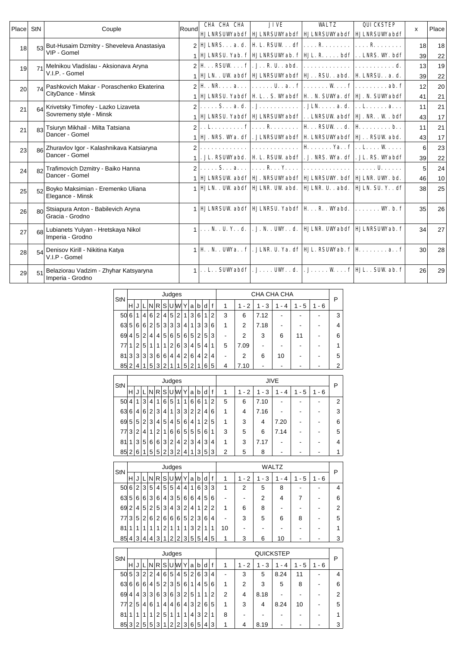| Place StN |            | Couple                                                        | Roundl        | <b>CHA CHA CHA</b>           | <b>JIVE</b>                                                                                                                                                                                                               | <b>WALTZ</b>                                                            | QUICKSTEP<br><b>HJLNRSUWabdf HJLNRSUWabdf HJLNRSUWabdf HJLNRSUWabdf</b>                             | x        | Place    |
|-----------|------------|---------------------------------------------------------------|---------------|------------------------------|---------------------------------------------------------------------------------------------------------------------------------------------------------------------------------------------------------------------------|-------------------------------------------------------------------------|-----------------------------------------------------------------------------------------------------|----------|----------|
| 18        | 53         | But-Husaim Dzmitry - Sheveleva Anastasiya<br>VIP - Gomel      |               |                              | <b>HULNRSa.d.</b>   <b>H</b> L. RSUWdf    R    R                                                                                                                                                                          |                                                                         | HJLNRSU. Yab. f   HJLNRSUWab. f   HJL. R. bdf   LNRS. W. bdf                                        | 18<br>39 | 18<br>22 |
| 19        |            | Melnikou Vladislau - Aksionava Aryna<br>V.I.P. - Gomel        | $\mathcal{P}$ |                              | $\mathbf{H} \dots \mathbf{R}$ <b>EVW</b> $\mathbf{f}$   . <b>J.</b> . <b>R.</b> U. . abd. $  \dots \dots \dots \dots   \dots \dots \dots \dots$<br>HJLN. . UW abdf   HJLNRSUWabdf   HJ. . RSU. . abd.   H, LNRSU. . a. d. |                                                                         |                                                                                                     | 13<br>39 | 19<br>22 |
| 20        |            | Pashkovich Makar - Poraschenko Ekaterina<br>CityDance - Minsk |               |                              |                                                                                                                                                                                                                           |                                                                         | HJLNRSU. Yabdf   H. L. . S. Wabdf   H. . N. SUWa. df   HJ. N. SUWabdf                               | 12<br>41 | 20<br>21 |
| 21        | 64         | Krivetsky Timofey - Lazko Lizaveta<br>Sovremeny style - Minsk |               | $\ldots$ . S. $\ldots$ a. d. |                                                                                                                                                                                                                           | $ . J. \ldots, \ldots, \ldots  . JLN. \ldots a. d.  . . L. \ldots a. .$ | <b>HULNRSU. Yabdf   HULNRSUWabdf   LNRSUW abdf   HJ. NR. . W. bdf</b>                               | 11<br>43 | 21<br>17 |
| 21        | 83         | Tsiuryn Mikhail - Milta Tatsiana<br>Dancer - Gomel            | $\mathcal{D}$ |                              | $\ldots$ L. f $ \ldots$ R   H $\ldots$ RSUW $\ldots$ d.   H $\ldots$ b. .<br>HJ. NRS. Wa. df   . JLNRSUWabdf   H. LNRSUWabdf   HJ. . RSUW abd.                                                                            |                                                                         |                                                                                                     | 11<br>43 | 21<br>17 |
| 23        | 86         | Zhuravlov Igor - Kalashnikava Katsiaryna<br>Dancer - Gomel    |               | .                            | . JL. RSUWabd.   H. L. RSUW abdf   . J. NRS. Wa. df   . JL. RS. Wabdf                                                                                                                                                     | <b>H</b> Ya. . <b>f</b>   <b>L</b> W                                    |                                                                                                     | 6<br>39  | 23<br>22 |
| 24        |            | Trafimovich Dzmitry - Baiko Hanna<br>Dancer - Gomel           |               |                              | S a    R Y  <br><b>HJLNRSUW abdf HJ. NRSUWabdf HJLNRSUW. bdf HJLNR. UW. bd.</b>                                                                                                                                           |                                                                         | <b>. U.</b>                                                                                         | 5<br>46  | 24<br>10 |
| 25        | 52         | Boyko Maksimian - Eremenko Uliana<br>Elegance - Minsk         |               |                              |                                                                                                                                                                                                                           |                                                                         | <b>HJLN.</b> . UW abdf   HJLNR. UW abd.   HJLNR. U. . abd.   HJLN. SU. Y. . df                      | 38       | 25       |
| 26        | 80         | Stsiapura Anton - Babilevich Aryna<br>Gracia - Grodno         |               |                              |                                                                                                                                                                                                                           |                                                                         | <b>HJLNRSUW</b> abdf   HJLNRSU, Yabdf   H. R. . Wabd. $  \ldots \ldots \ldots \ldots \ldots \ldots$ | 35       | 26       |
| 27        | <b>G</b> R | Lubianets Yulyan - Hretskaya Nikol<br>Imperia - Grodno        |               |                              |                                                                                                                                                                                                                           |                                                                         | N. . U. Y. . d.   . J. N. . UW. . d.   HJLNR. UWabdf   HJLNRSUWab. f                                | 34       | 27       |
| 28        | 54         | Denisov Kirill - Nikitina Katya<br>V.I.P - Gomel              |               |                              |                                                                                                                                                                                                                           |                                                                         | $1\vert$ H.N., UWa., $f\vert$ . JLNR. U.Ya. df HUL. RSUWab. f $\vert$ H  a., f                      | 30       | 28       |
| 29        | 51         | Belaziorau Vadzim - Zhyhar Katsyaryna<br>Imperia - Grodno     |               |                              |                                                                                                                                                                                                                           |                                                                         | $1$ L SUWabdf $ J_1, \ldots, UW_k, d. $ Wf HIL SUW ab. f                                            | 26       | 29       |

| StN |   |                |                |   |             |   |                | Judges         |                |   |                |   |   |                          |                | CHA CHA CHA |        |     |         | Р |
|-----|---|----------------|----------------|---|-------------|---|----------------|----------------|----------------|---|----------------|---|---|--------------------------|----------------|-------------|--------|-----|---------|---|
|     | н | J              |                | N | R           | S |                | lulwi          | Y              | a | b              | d | f | 1                        | $1 - 2$        | - 3<br>1    | 4<br>- | - 5 | $1 - 6$ |   |
| 50  | 6 |                | 4              | 6 | 2           | 4 | 5 <sup>5</sup> | $\overline{2}$ | 1              | 3 | 6              | 1 | 2 | 3                        | 6              | 7.12        |        |     |         | 3 |
| 63  | 5 | 6              | 6              | 2 | 5           | 3 | 3              | 3              | 4              | 1 | 3              | 3 | 6 | 1                        | 2              | 7.18        |        |     |         | 4 |
| 69  | 4 | 5              | $\overline{2}$ | 4 | 4           | 5 | 6              | 5              | 6              | 5 | $\overline{2}$ | 5 | 3 | $\overline{\phantom{a}}$ | $\overline{2}$ | 3           | 6      | 11  |         | 6 |
| 77  | 1 | $\overline{2}$ | 5              | 1 | $\mathbf 1$ | 1 | $\overline{2}$ | 6              | 3              | 4 | 5              | 4 | 1 | 5                        | 7.09           |             |        |     |         | 1 |
| 81  | 3 | 3              | 3              | 3 | 6           | 6 | 4              | 4              | $\overline{2}$ | 6 | $\vert$        | 2 | 4 | $\blacksquare$           | 2              | 6           | 10     |     |         | 5 |
| 85  | っ | 4              |                | 5 | 3           | າ |                |                | 5              | າ |                | 6 | 5 | 4                        | 7.10           |             |        |     |         | 2 |
|     |   |                |                |   |             |   |                |                |                |   |                |   |   |                          |                |             |        |     |         |   |

| StN    |   |   |                |                |    |                |   | Judges         |                |                |                |                |   |   |         |          | <b>JIVE</b> |                                    |       | P |
|--------|---|---|----------------|----------------|----|----------------|---|----------------|----------------|----------------|----------------|----------------|---|---|---------|----------|-------------|------------------------------------|-------|---|
|        | н | J |                | N R            |    | sı             |   | U W            | Y.             | a              | b              | d              | f | 1 | $1 - 2$ | - 3<br>1 | 4           | 5<br>1<br>$\overline{\phantom{a}}$ | 1 - 6 |   |
| 50     | 4 | 1 | 3              | . 4 '          | 1  | 6              | 5 | 11             | 1              | 6              | 6              | 1              | 2 | 5 | 6       | 7.10     |             |                                    |       | 2 |
| 63     | 6 | 4 | 6              | 2 <sub>1</sub> | 3  | 4              | 1 | 3 <sub>l</sub> | 3              | $\overline{2}$ | $\overline{2}$ | 4              | 6 | 1 | 4       | 7.16     |             |                                    |       | 3 |
| 69     | 5 | 5 | 2 <sub>1</sub> | 3              | 4' | 5              | 4 | 5 <sup>5</sup> | 6              | 4              | 1              | 2              | 5 | 1 | 3       | 4        | 7.20        |                                    |       | 6 |
| 77     | 3 | 2 | 4              | 1              | 2  | 1              | 6 | 6              | 5 <sup>1</sup> | 5              | 5              | 6              | 1 | 3 | 5       | 6        | 7.14        |                                    |       | 5 |
| 81     | 1 | 3 | 5              | 6              | 6  | 3 <sup>1</sup> | 2 | . 4 !          | 2              | 3              | 4              | 3              | 4 | 1 | 3       | 7.17     |             |                                    |       | 4 |
| $85$ 2 |   | 6 |                | 5              | 5  | 2 <sub>1</sub> | 3 | 2              | 4              | 1              | 3              | 5 <sup>1</sup> | 3 | 2 | 5       | 8        |             |                                    |       |   |

| <b>StN</b> |                |                |                |                |    |                |   | Judges         |                |                |                |   |   |    |                          |                                    | <b>WALTZ</b> |     |       | P |
|------------|----------------|----------------|----------------|----------------|----|----------------|---|----------------|----------------|----------------|----------------|---|---|----|--------------------------|------------------------------------|--------------|-----|-------|---|
|            | Н              |                |                | N              | 'R |                |   | <b>SIUW</b>    | Υ              | a              | b              | d | f | 1  | 2<br>1<br>$\blacksquare$ | 3<br>1<br>$\overline{\phantom{a}}$ | 4            | - 5 | 1 - 6 |   |
| 50         | 6              | 2 <sup>1</sup> | 3 <sub>1</sub> | 5              | 4  | 5 <sup>2</sup> | 5 | 4              | 4 <sup>1</sup> | 1              | 6              | 3 | 3 | 1  | 2                        | 5                                  | 8            |     |       | 4 |
| 63         | 5              | 6              | 6              | 3              | 6  | 4 <sup>1</sup> | 3 | 5              | 6              | 6              | 4 <sup>1</sup> | 5 | 6 |    |                          | 2                                  | 4            |     |       | 6 |
| 69         | $\overline{2}$ | 41             | 5              | $\overline{2}$ | 5  | 3              | 4 | 3              | 2              | 4              | 1              | 2 | 2 | 1  | 6                        | 8                                  |              |     |       | 2 |
| 77         | 3              | 5              | 2              | 6              | 2  | $6 \mid$       | 6 | 6              | 5              | $\overline{2}$ | 3              | 6 | 4 |    | 3                        | 5                                  | 6            | 8   |       | 5 |
| 81         | 1              |                | 1              | 1              | 1  | 2              | 1 | 1              | 1              | 3 <sup>1</sup> | 2              | 1 | 1 | 10 |                          |                                    |              |     |       | 1 |
| 85         | 4              | $\mathbf{3}$   | 4              | 4              | 3  | 1              | 2 | 2 <sub>1</sub> | 3              | 5              | 5 <sup>1</sup> | 4 | 5 | 1  | 3                        | 6                                  | 10           |     |       | 3 |

| StN |                |                |   |   |                |         |                | Judges    |                |                |                |   |   |   |                                    |                               | QUICKSTEP |                               |       | P |
|-----|----------------|----------------|---|---|----------------|---------|----------------|-----------|----------------|----------------|----------------|---|---|---|------------------------------------|-------------------------------|-----------|-------------------------------|-------|---|
|     | н              |                |   | N | R              | sı      |                | <b>UW</b> | Υ              | a              | b              | d | f | 1 | 2<br>1<br>$\overline{\phantom{a}}$ | 3<br>$\overline{\phantom{a}}$ | 4         | 5<br>$\overline{\phantom{a}}$ | 1 - 6 |   |
| 50  | 5 <sup>1</sup> | 3              | 2 | 2 | 4 <sup>1</sup> | 6       | 5              | $\vert$   | 5              | 2 <sub>1</sub> | 6              | 3 | 4 | - | 3                                  | 5                             | 8.24      | 11                            |       | 4 |
| 63  | 6              | 6              | 6 | 4 | 5              | 2       | 3              | 5         | 6              |                | 4              | 5 | 6 | 1 | 2                                  | 3                             | 5         | 8                             |       | 6 |
| 69  | $\overline{4}$ | 4              | 3 | 3 | 6              | 3       | 6              | 3         | $\overline{2}$ | 5              | 1              | 1 | 2 | 2 | 4                                  | 8.18                          |           |                               |       | 2 |
| 77  | 2              | 5              | 4 | 6 | 1              | $\vert$ | 4              | 6         | 4              | 3              | $\overline{2}$ | 6 | 5 | 1 | 3                                  | 4                             | 8.24      | 10                            |       | 5 |
| 81  | $\mathbf{1}$   | 1              | 1 |   | 2              | 5       | 1              | 1         |                | $\overline{4}$ | 3              | 2 | 1 | 8 |                                    |                               |           |                               |       | 1 |
|     | 85 3           | 2 <sub>1</sub> | 5 | 5 | 3              |         | $\overline{2}$ | 2         | 3              | 6              | 5              | 4 | 3 | 1 | 4                                  | 8.19                          |           |                               |       | 3 |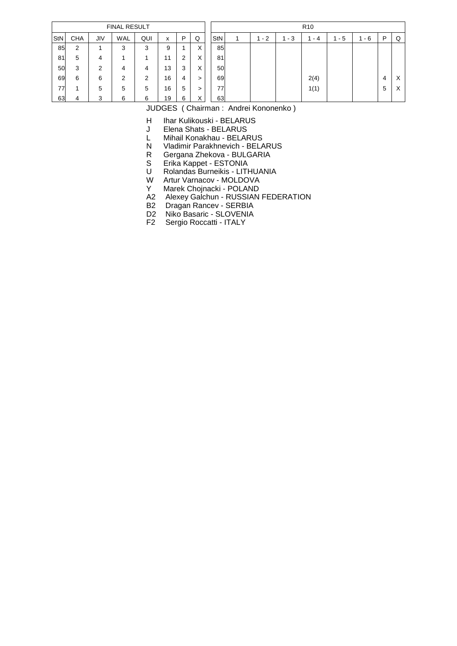|     |            |     | <b>FINAL RESULT</b> |     |    |   |        |     |   |         |     | R <sub>10</sub> |         |     |   |          |
|-----|------------|-----|---------------------|-----|----|---|--------|-----|---|---------|-----|-----------------|---------|-----|---|----------|
| StN | <b>CHA</b> | JIV | WAL                 | QUI | x  | P | Q      | StN | л | $1 - 2$ | - 3 | - 4             | $1 - 5$ | - 6 | P | Q        |
| 85  | 2          |     | 3                   | 3   | 9  |   | X      | 85  |   |         |     |                 |         |     |   |          |
| 81  | 5          | 4   |                     |     | 11 | 2 | X      | 81  |   |         |     |                 |         |     |   |          |
| 50  | 3          | 2   | 4                   | 4   | 13 | 3 | X      | 50  |   |         |     |                 |         |     |   |          |
| 69  | 6          | 6   | 2                   | 2   | 16 | 4 | >      | 69  |   |         |     | 2(4)            |         |     | 4 | $\times$ |
| 77  | ٠          | 5   | 5                   | 5   | 16 | 5 | >      | 77  |   |         |     | 1(1)            |         |     | 5 | $\times$ |
| 63  | 4          | 3   | 6                   | 6   | 19 | 6 | v<br>∧ | 63  |   |         |     |                 |         |     |   |          |

H Ihar Kulikouski - BELARUS<br>J Elena Shats - BELARUS

Elena Shats - BELARUS

L Mihail Konakhau - BELARUS<br>N Vladimir Parakhnevich - BELA

N Vladimir Parakhnevich - BELARUS<br>R Gergana Zhekova - BULGARIA

R Gergana Zhekova - BULGARIA<br>S Erika Kappet - ESTONIA

- S Erika Kappet ESTONIA<br>U Rolandas Burneikis LITI
- U Rolandas Burneikis LITHUANIA<br>W Artur Varnacov MOLDOVA
- W Artur Varnacov MOLDOVA<br>Y Marek Chojnacki POLAND
- Marek Chojnacki POLAND
- A2 Alexey Galchun RUSSIAN FEDERATION
- B2 Dragan Rancev SERBIA
- D2 Niko Basaric SLOVENIA
- F2 Sergio Roccatti ITALY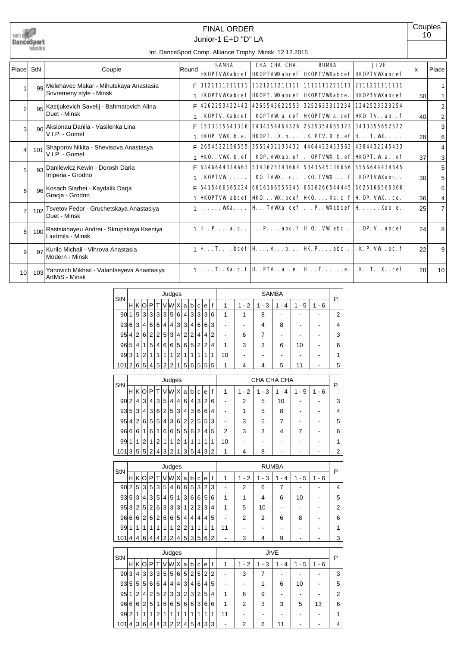

# Junior-1 E+D "D" LA FINAL ORDER

**Couples** 10

| Place           | StN             | Couple                                                             | Round | <b>SAMRA</b> | CHA CHA CHA                                                                                | <b>RIMBA</b> | <b>JTVE</b>                                                                                                                                                                                                                                 | X  | Place          |
|-----------------|-----------------|--------------------------------------------------------------------|-------|--------------|--------------------------------------------------------------------------------------------|--------------|---------------------------------------------------------------------------------------------------------------------------------------------------------------------------------------------------------------------------------------------|----|----------------|
|                 |                 |                                                                    |       |              | <b>HKOPTVWabcef   HKOPTVWabcef   HKOPTVWabcef   HKOPTVWabcef  </b>                         |              |                                                                                                                                                                                                                                             |    |                |
|                 |                 | 99 Melehavec Makar - Mihutskaya Anastasia                          |       |              |                                                                                            |              |                                                                                                                                                                                                                                             |    |                |
|                 |                 | Sovremeny style - Minsk                                            |       |              | <b>HKOPTVWAabcef   HKOPT. WAabcef   HKOPTVWAabce.</b>                                      |              | <b>HKOPTVWabcef</b>                                                                                                                                                                                                                         | 50 |                |
| $\overline{2}$  |                 | 95 Kastjukevich Savelij - Bahmatovich Alina                        | Е     |              | 4262253422442 4265543622553 3252633312234 1242523323254                                    |              |                                                                                                                                                                                                                                             |    | 2              |
|                 |                 | Duet - Minsk                                                       |       |              | . KOPTV. Xabcef   . KOPTVW a. cef   HKOPTVW a. cef   HKO. TV. . ab. . f                    |              |                                                                                                                                                                                                                                             | 40 | $\overline{2}$ |
| 3               | 90 <sub>l</sub> | Aksionau Danila - Vasilenka Lina                                   | F     |              | 1533335643336 2434354464326 2535354665323 3433355652522                                    |              |                                                                                                                                                                                                                                             |    | 3              |
|                 |                 | V.I.P. - Gomel                                                     |       |              | <b>HOP.</b> VW. b. e. <b>HOPT.</b> . X. b   . K. PIV. X. b. ef   H T. W                    |              |                                                                                                                                                                                                                                             | 28 | 6              |
| $\overline{4}$  | 101             | Shaporov Nikita - Shevtsova Anastasya                              | F     |              | 2654522156555 3552432135432 4464422453562 4364432245433                                    |              |                                                                                                                                                                                                                                             |    | 4              |
|                 |                 | V.I.P. - Gomel                                                     |       |              | <b>HKO.</b> . VW. b. ef   . KOP. VW.ab. ef   OPTVW. b. ef   HKOPT. W a. . ef               |              |                                                                                                                                                                                                                                             | 37 | 3              |
| 5               |                 | 93 Danilewicz Kewin - Dorosh Daria                                 | F     |              | 6346644334663 5343625343664 5343545136656 5556644434645                                    |              |                                                                                                                                                                                                                                             |    | 5              |
|                 |                 | Imperia - Grodno                                                   |       |              | . KOPTVW   . KO. TVW . c. .   . KO. TVW f   . KOPTVW.abc. .                                |              |                                                                                                                                                                                                                                             | 30 | 5              |
| 6               |                 | 96 Kosach Siarhei - Kaydalik Darja                                 | F     |              |                                                                                            |              |                                                                                                                                                                                                                                             |    | 6              |
|                 |                 | Gracia - Grodno                                                    |       |              | <b>HKOPTVW</b> abcef $\vert$ HKO. WK. bcef $\vert$ HKO. Xa. c. f $\vert$ H. OP. VWK. . ce. |              |                                                                                                                                                                                                                                             | 36 | 4              |
| $\overline{7}$  | 102             | Tsvetov Fedor - Grushetskaya Anastasiya<br>Duet - Minsk            |       |              | $\ldots$ Wa. $\ldots$   H $\ldots$ TVWa. cef $ \ldots$ P. . Wabcef   H $\ldots$ Xab. e.    |              |                                                                                                                                                                                                                                             | 25 | $\overline{7}$ |
| 8               |                 | 100 Rastsiahayeu Andrei - Skrupskaya Kseniya<br>Liudmila - Minsk   |       |              |                                                                                            |              | $1 \mathbf{H} \cdot \mathbf{P} \dots$ a. c. $ \dots \mathbf{P} \dots$ abc. $\mathbf{f} \mathbf{H} \mathbf{0} \dots \mathbf{W}$ abc. $ \dots$ OP. V. . abcef                                                                                 | 24 | 8              |
| 9               |                 | <sub>97</sub> Kurilo Michail - Vihrova Anastasia<br>Modern - Minsk |       |              |                                                                                            |              | $1 \mathbf{H} \dots \mathbf{T} \dots$ beef $ \mathbf{H} \dots \mathbf{V} \dots \mathbf{b} \dots   \mathbf{H} \mathbf{K} \mathbf{P} \dots$ abc. $ \mathbf{K} \mathbf{P} \mathbf{V} \mathbf{W} \dots \mathbf{b} \mathbf{c} \dots \mathbf{f} $ | 22 | 9              |
| 10 <sup>1</sup> | 103             | Yanovich Mikhail - Valantseyeva Anastasiya<br>ArtMiS - Minsk       |       |              | T. . Xa. c. f  H. . PIV. . a. . e.   H. . T. e.   . K. . T. . X. . cef                     |              |                                                                                                                                                                                                                                             | 20 | 10             |

| StN |                |   |                                                                          |   |                |   | Judges |   |                |                |                |   |                |                                              |           |                               | <b>SAMBA</b> |     |      | P |  |  |  |  |  |  |  |
|-----|----------------|---|--------------------------------------------------------------------------|---|----------------|---|--------|---|----------------|----------------|----------------|---|----------------|----------------------------------------------|-----------|-------------------------------|--------------|-----|------|---|--|--|--|--|--|--|--|
|     | н              | Κ |                                                                          | P |                |   | lWl    | X | a              | b              | c              | е | f              | 1                                            | $-2$<br>1 | 3<br>$\overline{\phantom{a}}$ | 4<br>-       | - 5 | $-6$ |   |  |  |  |  |  |  |  |
| 90  | 1              | 5 | 3                                                                        | 3 | 3              | 3 | 5      | 6 | 4              | 3              | 3              | 3 | 6              | 1                                            |           | 8                             |              |     |      | 2 |  |  |  |  |  |  |  |
| 93  | 6              | 3 | 4                                                                        | 6 | 6              | 4 | 4      | 3 | 3              | 4              | 6              | 6 | 3              | 4<br>8<br>4<br>$\overline{\phantom{a}}$<br>۰ |           |                               |              |     |      |   |  |  |  |  |  |  |  |
| 95  | 4              | 2 | 6                                                                        | 2 | $\overline{2}$ | 5 | 3      | 4 | $\overline{2}$ | $\overline{2}$ | 4              | 4 | $\overline{2}$ | $\overline{\phantom{a}}$                     | 6         | 7                             |              |     |      | 3 |  |  |  |  |  |  |  |
| 96  | 5              | 4 | 1                                                                        | 5 | 4              | 6 | 6      | 5 | 6              | 5              | $\overline{2}$ | 2 | 4              | 1                                            | 3         | 3                             | 6            | 10  |      | 6 |  |  |  |  |  |  |  |
| 99  | 3              | 1 | 2                                                                        |   | 1              | 1 | 1      | 2 | 1              |                | 1              |   | 1              | 10                                           |           |                               |              |     |      | 1 |  |  |  |  |  |  |  |
| 101 | $\overline{2}$ | 6 | 5<br>5<br>5<br>2<br>6<br>5<br>5<br>5<br>っ<br>5<br>4<br>11<br>4<br>1<br>4 |   |                |   |        |   |                |                |                |   |                |                                              |           |                               | 5            |     |      |   |  |  |  |  |  |  |  |
|     |                |   |                                                                          |   |                |   |        |   |                |                |                |   |                |                                              |           |                               |              |     |      |   |  |  |  |  |  |  |  |
|     |                |   |                                                                          |   |                |   |        |   |                |                |                |   |                |                                              |           |                               |              |     |      |   |  |  |  |  |  |  |  |

| StN |   |                |                |                |                |                | Judges         |                |   |                |                |   |   |                          |                                    | CHA CHA CHA |    |        |          | P |
|-----|---|----------------|----------------|----------------|----------------|----------------|----------------|----------------|---|----------------|----------------|---|---|--------------------------|------------------------------------|-------------|----|--------|----------|---|
|     | н |                | KIOI           | P              |                |                | V W            | x              | a | b              | C              | e | f | 1                        | 2<br>1<br>$\overline{\phantom{a}}$ | 3<br>۰      | 4  | 5<br>٠ | - 6<br>1 |   |
| 90  | 2 | 4              | 31             | 4              | 3              | 5              | $\overline{4}$ | 4              | 6 | 4              | 3              | 2 | 6 | $\overline{\phantom{a}}$ | 2                                  | 5           | 10 |        |          | 3 |
| 93  | 5 | 3              | 41             | 3              | 6              | 2 <sub>1</sub> | 5 <sub>1</sub> | 3              | 4 | 3              | 6              | 6 | 4 | -                        |                                    | 5           | 8  |        |          | 4 |
| 95  | 4 | 2 <sup>1</sup> | 6 <sup>1</sup> | 5              | 5              | 4              | 3              | 6              | 2 | $\overline{2}$ | 5 <sup>1</sup> | 5 | 3 | -                        | 3                                  | 5           |    |        |          | 5 |
| 96  | 6 | 6              |                | 6              | 1              | 6              | 6              | 5 <sup>5</sup> | 5 | 6              | 2 <sup>1</sup> | 4 | 5 | $\overline{2}$           | 3                                  | 3           | 4  |        |          | 6 |
| 99  |   | 1              | 2.             | 1              | $\overline{2}$ | 1              | 1              | 2              | 1 | 1              | 1              |   | 1 | 10                       |                                    |             |    |        |          |   |
| 101 | 3 | 5              | 5 <sup>1</sup> | $\overline{2}$ | 4              | 3              | 2              | 1              | 3 | 5              | 4              | 3 | 2 | 1                        | 4                                  | 8           |    |        |          | 2 |

| StN |                |                |                |   |                |                | Judges         |                |                |                |                |   |   |                          |      |     | <b>RUMBA</b> |     |         | P |
|-----|----------------|----------------|----------------|---|----------------|----------------|----------------|----------------|----------------|----------------|----------------|---|---|--------------------------|------|-----|--------------|-----|---------|---|
|     | HI             | K              | O              | P | т              |                | <b>VWX</b>     |                | a              | b              | C              | e | f | 1                        | $-2$ | - 3 | - 4          | - 5 | $1 - 6$ |   |
| 90  | $\overline{2}$ | 5 <sup>1</sup> | 3              | 5 | 3              | 5 <sup>1</sup> | $\overline{4}$ | 6              | 6              | 5 <sup>5</sup> | 3              | 2 | 3 |                          | 2    | 6   |              |     |         | 4 |
| 93  | 5 <sup>1</sup> | 3              | 4              | 3 | 5              | 4              | 5              | 1              | 3              | 6              | 6              | 5 | 6 | 1                        |      | 4   | 6            | 10  |         | 5 |
|     | 95 3           | 2              | 5              | 2 | 6              | 3              | 3              | 3              | 1              | 2              | 2              | 3 | 4 | 1                        | 5    | 10  |              |     |         | 2 |
| 96  | 6              | 6              | $\overline{2}$ | 6 | $\overline{2}$ | 6              | 6              | 5              | 4              | $\vert$        | 4              | 4 | 5 | $\overline{\phantom{0}}$ | 2    | 2   | 6            | 8   |         | 6 |
| 99  | 1 <sup>1</sup> | 1              | 1              | 1 | 1              |                | 1              | $\overline{2}$ | $\overline{2}$ | 1              | 1              | 1 | 1 | 11                       |      |     |              |     |         |   |
| 101 | $\vert$        | 4 <sup>1</sup> | 6              | 4 | 4              | 2              | $\overline{2}$ | 4              | 5              | 3              | 5 <sup>5</sup> | 6 | 2 | $\overline{\phantom{a}}$ | 3    | 4   | 9            |     |         | 3 |

| StN |   |                |                |                |   |                | Judges |                |   |                |                |   |   |    |                     |        | <b>JIVE</b> |     |           | Р |
|-----|---|----------------|----------------|----------------|---|----------------|--------|----------------|---|----------------|----------------|---|---|----|---------------------|--------|-------------|-----|-----------|---|
|     | н | ΚI             | O              | P              |   | v              | W X    |                | a | b              | C              | e | f | 1  | 2<br>$\blacksquare$ | 3<br>۰ | 4<br>۰      | - 5 | $-6$<br>1 |   |
| 90  | 3 | 4              | 3              | 3              | 3 | 5 <sup>1</sup> | 5      | 6              | 5 | $\overline{2}$ | 5              | 2 | 2 |    | 3                   |        |             |     |           | 3 |
| 93  | 5 | 5              | 5              | 6              | 6 | ا 4 ،          | 4      | 4              | 3 | 41             | 6              | 4 | 5 |    |                     |        | 6           | 10  |           | 5 |
| 95  |   | $\overline{2}$ | 4              | $\overline{2}$ | 5 | 2 <sub>1</sub> | 3      | 3              | 2 | 3 <sup>1</sup> | 2              | 5 | 4 | 1  | 6                   | 9      |             |     |           | 2 |
| 96  | 6 | 6              | $\overline{2}$ | 5              | 1 | 6              | 6      | 5              | 6 | 6              | 3              | 6 | 6 | 1  | 2                   | 3      | 3           | 5   | 13        | 6 |
| 99  | 2 |                | 1              |                | 2 |                |        | 1              | 1 |                |                | 1 | 1 | 11 |                     |        |             |     |           |   |
| 101 | 4 | 3 <sup>1</sup> | 6              | 4              | 4 | 3 <sup>1</sup> | 2      | $\overline{2}$ | 4 | $5^{\circ}$    | 4 <sup>1</sup> | 3 | 3 |    | 2                   | 6      | 11          |     |           |   |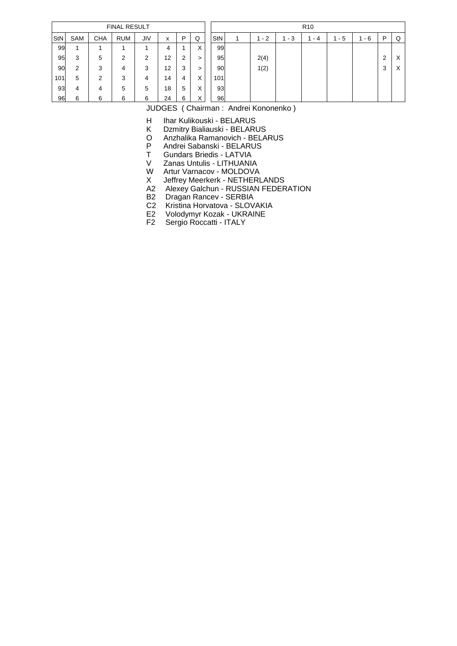|                 |     |            | <b>FINAL RESULT</b> |            |    |   |                   |     |   |         |     | R <sub>10</sub> |     |     |   |   |
|-----------------|-----|------------|---------------------|------------|----|---|-------------------|-----|---|---------|-----|-----------------|-----|-----|---|---|
| StN             | SAM | <b>CHA</b> | <b>RUM</b>          | <b>JIV</b> | x  | P | Q                 | StN | 1 | $1 - 2$ | - 3 | - 4             | - 5 | - 6 | P | Q |
| 99              | 4   |            |                     |            | 4  |   | ⋏                 | 99  |   |         |     |                 |     |     |   |   |
| 95              | 3   | 5          | 2                   | 2          | 12 | 2 | >                 | 95  |   | 2(4)    |     |                 |     |     | 2 | X |
| 90 <sup>°</sup> | 2   | 3          | 4                   | 3          | 12 | 3 | >                 | 90  |   | 1(2)    |     |                 |     |     | 3 | X |
| 101             | 5   | 2          | 3                   | 4          | 14 | 4 | v<br>⋏            | 101 |   |         |     |                 |     |     |   |   |
| 93              | 4   | 4          | 5                   | 5          | 18 | 5 | v<br>⋏            | 93  |   |         |     |                 |     |     |   |   |
| 96              | 6   | 6          | 6                   | 6          | 24 | 6 | $\checkmark$<br>∧ | 96  |   |         |     |                 |     |     |   |   |

H Ihar Kulikouski - BELARUS<br>K Dzmitry Bialiauski - BELARU

Dzmitry Bialiauski - BELARUS

O Anzhalika Ramanovich - BELARUS<br>P Andrei Sabanski - BELARUS

P Andrei Sabanski - BELARUS<br>T Gundars Briedis - LATVIA

T Gundars Briedis - LATVIA<br>V Zanas Untulis - LITHUANI

Zanas Untulis - LITHUANIA

W Artur Varnacov - MOLDOVA<br>X Jeffrey Meerkerk - NETHERI

Jeffrey Meerkerk - NETHERLANDS

A2 Alexey Galchun - RUSSIAN FEDERATION

B2 Dragan Rancev - SERBIA

C2 Kristina Horvatova - SLOVAKIA

E2 Volodymyr Kozak - UKRAINE F2 Sergio Roccatti - ITALY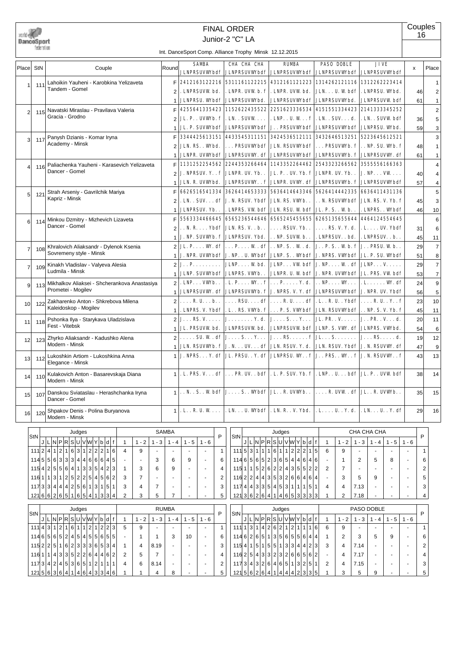

# Junior-2 "C" LA FINAL ORDER

**Couples** 16

|                 |     |                                                           |                | $\frac{1}{2}$ . Dance Opon Obinp. A singhce Trophy Temple 12.12.2010 |                                               |                                                        |                                                                                                                                                                               |                             |    |                |
|-----------------|-----|-----------------------------------------------------------|----------------|----------------------------------------------------------------------|-----------------------------------------------|--------------------------------------------------------|-------------------------------------------------------------------------------------------------------------------------------------------------------------------------------|-----------------------------|----|----------------|
| Place StN       |     | Couple                                                    |                | <b>SAMBA</b>                                                         | CHA CHA CHA                                   | <b>RUMBA</b>                                           | <b>PASO DOBLE</b>                                                                                                                                                             | <b>JIVE</b>                 |    | Place          |
|                 |     |                                                           | Round          |                                                                      |                                               |                                                        | JLNPRSUVWbdf   JLNPRSUVWbdf   JLNPRSUVWbdf   JLNPRSUVWbdf   JLNPRSUVWbdf                                                                                                      |                             | X  |                |
| $\mathbf{1}$    | 111 | Lahoikin Yauheni - Karobkina Yelizaveta                   | F              |                                                                      | 2412163122216 5311161122215                   |                                                        | 4312161121223 1314262121116 1312262223414                                                                                                                                     |                             |    | $\mathbf{1}$   |
|                 |     | Tandem - Gomel                                            | $\overline{2}$ | . LNPRSUVW bd.                                                       | . LNPR. UVW b. f                              | . LNPR. UVW bd.                                        | JLN. U. W bdf   . LNPRSU. Wbd.                                                                                                                                                |                             | 46 | $\overline{2}$ |
|                 |     |                                                           | 1              | JLNPRSU. Wbdf JLNPRSUVWbd.                                           |                                               |                                                        | JLNPRSUVWbdf   JLNPRSUVWbd.                                                                                                                                                   | <b>JLNPRSUVW bdf</b>        | 61 | $\mathbf{1}$   |
| $\overline{2}$  | 115 | Navatski Miraslau - Pravilava Valeria                     | F              | 4255641335423                                                        | 1152622435522                                 |                                                        | 2251623336534 4151551334423 2141333345252                                                                                                                                     |                             |    | $\overline{2}$ |
|                 |     | Gracia - Grodno                                           | 2              | JL. P. . UVWb. f                                                     | $.$ LN. $.$ SUVW $.$ $\ldots$                 |                                                        | . LNP. . U. W f   . LN. . SUV. d.                                                                                                                                             | . LN. . SUVW bdf            | 36 | 5              |
|                 |     |                                                           | 1              |                                                                      |                                               |                                                        | JL. P. SUVWbdf   JLNPRSUVWbdf   J. . PRSUVWbdf   JLNPRSUVWbdf                                                                                                                 | <b>JLNPRSU. Wbd.</b>        | 59 | 3              |
| 3 <sup>1</sup>  | 117 | Panysh Dzianis - Komar Iryna                              | F              |                                                                      |                                               |                                                        | 3344425613151 4433545311151 3424536512111 3432646513251 5223645612521                                                                                                         |                             |    | 3              |
|                 |     | Academy - Minsk                                           | 2              | JLN. RS. . Whd.                                                      | PRSUVWbdf                                     |                                                        | <b>JLN. RSUVWbdf   PRSUVWb. f   NP. SU. Wb. f</b>                                                                                                                             |                             | 48 | $\mathbf{1}$   |
|                 |     |                                                           | 1              | <b>JLNPR. UVWbdf</b>                                                 | <b>JLNPRSUVW.df</b>                           |                                                        | JLNPRSUVWbdf JLNPRSUVWb. f                                                                                                                                                    | <b>JLNPRSUVW.</b> df        | 61 | $\mathbf{1}$   |
| $\overline{4}$  | 116 | Paliachenka Yauheni - Karasevich Yelizaveta               | F              | 1131252254562                                                        | 2244353266464                                 |                                                        | 1143352264462 2543323266562 3555556166363                                                                                                                                     |                             |    | 4              |
|                 |     | Dancer - Gomel                                            | $\overline{2}$ | <b>J. NPRSUV. Y. . f</b>                                             | JLNPR. UV. Yb                                 |                                                        | JL. P. . UV. Yb. f JLNPR. UV. Yb. .                                                                                                                                           | $J. NP. \ldots$ VW $\ldots$ | 40 | $\overline{4}$ |
|                 |     |                                                           | 1              | JLN. R. UVWbd.                                                       | <b>JLNPRSUVWf</b>                             |                                                        | JLNPR. UVW. df JLNPRSUVWb. f                                                                                                                                                  | <b>JLNPRSUVWbdf</b>         | 57 | $\overline{4}$ |
| 5 <sub>l</sub>  | 121 | Strah Arseniy - Gavrilchik Mariya                         | F              | 6626516541334                                                        |                                               |                                                        | 3626414653333 5636414643346 5626414442335 6636411431136                                                                                                                       |                             |    | 5              |
|                 |     | Kapriz - Minsk                                            | $\overline{2}$ |                                                                      |                                               |                                                        | . LN. . SUV. df   J. N. RSUV. Ybdf   JLN. RS. VWb. .   N. RSUVWbdf   JLN. RS. V. Yb. f                                                                                        |                             | 45 | 3              |
|                 |     |                                                           | $\mathbf{1}$   | <b>JLNPRSUV. Yb</b>                                                  |                                               | . LNPRS. VW bdf   JLN. RSU. W bdf   JL. P. S. . W b. . |                                                                                                                                                                               | . LNPRS. . Wbdf             | 46 | 10             |
| 6               | 114 | Minkou Dzmitry - Mizhevich Lizaveta                       | F              |                                                                      |                                               |                                                        | 5563334466645 6565236544646 6565245455655 6265135655644 4464124554645                                                                                                         |                             |    | 6              |
|                 |     | Dancer - Gomel                                            | 2              | N. R Ybdf   JLN. RS. V b                                             |                                               |                                                        | $\ldots$ RSUV. Yb. $\ldots$ RS. V. Y. d.                                                                                                                                      | . L. UV. Ybdf               | 31 | 6              |
|                 |     |                                                           | 1              |                                                                      | J. NP. SUVWb. f JLNPRSUV. Ybd.                | $\ldots$ NP. SUVW b. $\ldots$                          | . LNPRSUV. . bd.                                                                                                                                                              | . LNPRSUV. . b. .           | 45 | 11             |
| $\overline{7}$  | 108 | Khralovich Aliaksandr - Dylenok Ksenia                    | $\overline{2}$ |                                                                      | JL. P. $\dots$ W. df $\dots$ P. $\dots$ W. df |                                                        | $\ldots$ NP. S. $\ldots$ W $\ldots$ d.   J. $\ldots$ P. S. $\ldots$ W b. $\ldots$ FISU. W b. .                                                                                |                             | 29 | $\overline{7}$ |
|                 |     | Sovremeny style - Minsk                                   | 1              |                                                                      |                                               |                                                        | J. NPR. UVWbdf   J. NP. . U. Wbdf   JLNP. S. . Wbdf   J. NPRS. VWbdf   JL. P. SU. Wbdf                                                                                        |                             | 51 | 8              |
| $\overline{7}$  | 109 | Kinakh Vladislav - Valyeva Alesia                         | $\overline{2}$ | J. . P.                                                              | $JIMP. \ldots W bd.$                          |                                                        | JLNP. $\dots$ VW bdf $ $ J. NP. $\dots$ W $\ldots$ df $ $ JLNP. $\dots$ V. $\dots$ .                                                                                          |                             | 29 | $\overline{7}$ |
|                 |     | Ludmila - Minsk                                           | $\mathbf{1}$   |                                                                      | <b>JLNP. SUVWbdf JLNPRS. VWb. .</b>           |                                                        | JLNPR. U. W bdf   J. NPR. UVWbdf   JL. PRS. VW bdf                                                                                                                            |                             | 53 | $\overline{7}$ |
| 9               | 113 | Mikhalkov Aliaksei - Shcherankova Anastasiya              | $\overline{2}$ | $.$ LNP. $.$ . VWb. $.$                                              |                                               | . L. P. W. . $f    P  P  Y$ . d. $   NP  W$ . W.       |                                                                                                                                                                               | . L. WY. df                 | 24 | 9              |
|                 |     | Prometei - Mogilev                                        | $\mathbf{1}$   |                                                                      |                                               |                                                        | <b>JLNPRSUVW. df JLNPRSUVWb. f J. NPRS. V. Y. df JLNPRSUVWbdf J. NPR. UV. Ybdf</b>                                                                                            |                             | 56 | 5              |
| 10 <sup>1</sup> | 122 | Zakharenko Anton - Shkrebova Milena                       | $\overline{2}$ | $\ldots$ R.U. $\ldots$ b                                             |                                               |                                                        | $\ldots$ RSU. $\ldots$ df $\ldots$ R. U. $\ldots$ df $\ldots$ R. U. $\ldots$ R. U. $\ldots$ R. U. $\ldots$ F                                                                  |                             | 23 | 10             |
|                 |     | Kaleidoskop - Mogilev                                     | 1              |                                                                      |                                               |                                                        | . LNPRS. V. Ybdf   . L. . RS. VWb. f   P. S. VWbdf   JLN. RSUVWbdf   NP. S. V. Yb. f                                                                                          |                             | 45 | 11             |
| 11              | 118 | Pshonka Ilya - Starykava Uladzislava                      | $\overline{2}$ | $J_{\cdot} \ldots$ RS. V $\ldots$ .                                  |                                               |                                                        | $J_{1},\ldots\ldots\ldots Y_{n}$ d. $J_{1}\ldots S_{n}\ldots Y_{n}\ldots J_{n}$ . PR. . V $\ldots\ldots/J_{n}\ldots\mathrm{PR}_{n}\ldots V_{n}\ldots\mathrm{d}_{n}$           |                             | 20 | 11             |
|                 |     | Fest - Vitebsk                                            | 1              | JL. PRSUVW bd.                                                       | <b>JLNPRSUVW bd.</b>                          |                                                        | JLNPRSUVW bdf   JLNP. S. VW. df   JLNPRS. VWbd.                                                                                                                               |                             | 54 | 6              |
| 12 <sup>1</sup> | 123 | Zhyrko Aliaksandr - Kadushko Alena                        | $\overline{2}$ |                                                                      |                                               |                                                        |                                                                                                                                                                               |                             | 19 | 12             |
|                 |     | Modern - Minsk                                            | 1              |                                                                      |                                               |                                                        | JLN. RSUVWb. f   J. N. UV. df   JLN. RSUV. Y. d.   JLN. RSUV. Ybdf   J. N. RSUVW. df                                                                                          |                             | 47 | 9              |
| 13 <sup>1</sup> | 112 | Lukoshkin Artiom - Lukoshkina Anna<br>Elegance - Minsk    | $\mathbf{1}$   |                                                                      |                                               |                                                        | <b>J. NPRS Y. df   JL. PRSU. . Y. df   JLNPRSU. W. . f   J. . PRS W. . f   J. N. RSUVW. . f</b>                                                                               |                             | 43 | 13             |
| 14              | 110 | Kulakovich Anton - Basarevskaja Diana<br>Modern - Minsk   | $\mathbf{1}$   |                                                                      |                                               |                                                        | . L. PRS. V. df   PR. UV. . bdf   . L. P. SUV. Yb. f   . LNP. . U. bdf   JL. P. . UVW bdf                                                                                     |                             | 38 | 14             |
| 15 <sub>l</sub> | 107 | Danskou Sviataslau - Herashchanka Iryna<br>Dancer - Gomel | $\mathbf{1}$   |                                                                      |                                               |                                                        | $\ldots$ N. $\ldots$ S. $\ldots$ W bdf $\vert$ J. $\ldots$ S. $\ldots$ W bdf $\vert$ JL. $\ldots$ R. UVW b. $\ldots$ N. UVW $\ldots$ N. UVW b. $\ldots$ N. UVW b. $\ldots$ N. |                             | 35 | 15             |
| 16              | 120 | Shpakov Denis - Polina Buryanova<br>Modern - Minsk        | $\mathbf{1}$   |                                                                      |                                               |                                                        | . L. . R. U. W.   . LN. U. W(bdf   . LN. R. . V. Ybd.   . L. U. Y. d.   . LN. U. . Y. df                                                                                      |                             | 29 | 16             |

| StN                                                       |                                                 |  | Judges |  |  |  |     |   |   |         |                          | <b>SAMBA</b>             |                          |                          | P            | StN                             |  |  | Judges |                           |  |            |   |                | CHA CHA CHA |         |         |         | P              |
|-----------------------------------------------------------|-------------------------------------------------|--|--------|--|--|--|-----|---|---|---------|--------------------------|--------------------------|--------------------------|--------------------------|--------------|---------------------------------|--|--|--------|---------------------------|--|------------|---|----------------|-------------|---------|---------|---------|----------------|
|                                                           | J L N P R S U V W Y b d f                       |  |        |  |  |  |     |   |   | $1 - 2$ | $1 - 3$                  | $1 - 4$                  | $1 - 5$                  | $1 - 6$                  |              |                                 |  |  |        | J L N P R S U V W Y b d f |  |            |   | $1 - 2$        | $1 - 3$     | $1 - 4$ | $1 - 5$ | $1 - 6$ |                |
| 111 2 4 1 2 1 6 3 1 2 2 2                                 |                                                 |  |        |  |  |  |     | 6 | 4 | 9       | $\overline{\phantom{0}}$ | -                        |                          | $\overline{\phantom{0}}$ | $\mathbf{1}$ | $111\,5 3 1 1 1 6 1 1 2 2 2 $   |  |  |        |                           |  | $1\vert 5$ | 6 | 9              |             |         |         |         |                |
| 114556333344466645                                        |                                                 |  |        |  |  |  |     |   |   | $\sim$  | 3                        | 6                        | 9                        | ٠                        | 6            | 11465652236544646               |  |  |        |                           |  |            |   |                | 2           | 5       | 8       |         | 6              |
| 115 4 2 5 5 6 4 1 3 3 5 4 2 3                             |                                                 |  |        |  |  |  |     |   |   | 3       | 6                        | 9                        |                          |                          | 4            | 115 1 1 5 2 6 2 2 4 3 5 5 2 2   |  |  |        |                           |  |            | 2 |                |             |         |         |         | $\overline{2}$ |
| $116   1   1   3   1   2   5   2   2   5   4   5   6   2$ |                                                 |  |        |  |  |  |     |   | 3 | 7       | $\overline{\phantom{0}}$ |                          |                          |                          | 2            | 116 2 2 4 4 3 5 3 2 6 6 4 6 4   |  |  |        |                           |  |            |   | 3              | 5           | 9       |         |         | 5              |
| 117333444425611311511                                     |                                                 |  |        |  |  |  |     |   | 3 | 4       | 7                        |                          |                          |                          | 3            | 117 4 4 3 3 5 4 5 3 1 1 1 5     |  |  |        |                           |  |            | 4 | 4              | 7.13        |         |         |         | 3              |
| 121 6 6 2 6 5 1 6 5 4 1 3                                 |                                                 |  |        |  |  |  | 3 4 |   | 2 | 3       | 5                        | 7                        |                          |                          | 5            | 121 3 6 2 6 4 1 4 6 5 3 3 3 3   |  |  |        |                           |  |            |   | 2              | 7.18        |         |         |         | 4              |
|                                                           |                                                 |  | Judges |  |  |  |     |   |   |         |                          | <b>RUMBA</b>             |                          |                          |              |                                 |  |  | Judges |                           |  |            |   |                | PASO DOBLE  |         |         |         |                |
| StN                                                       |                                                 |  |        |  |  |  |     |   |   |         |                          |                          |                          |                          | P            | StN                             |  |  |        |                           |  |            |   |                |             |         |         |         | P              |
|                                                           | J L N P R S U V W Y b d f                       |  |        |  |  |  |     |   |   | $1 - 2$ | $1 - 3$                  | $-4$                     | $1 - 5$                  | $1 - 6$                  |              |                                 |  |  |        | J L N P R S U V W Y b d f |  |            |   | $1 - 2$        | $1 - 3$     | $1 - 4$ | $1 - 5$ | $1 - 6$ |                |
| 111 4 3 1 2 1 6 1 1 2 1 2                                 |                                                 |  |        |  |  |  | 2 3 |   | 5 | 9       |                          |                          |                          | ٠                        | $\mathbf{1}$ | 111 1 3 1 4 2 6 2 1 2 1 1       |  |  |        |                           |  | 1 6        | 6 | 9              |             |         |         |         |                |
| 1146566524545456655                                       |                                                 |  |        |  |  |  |     |   |   |         |                          | 3                        | 10                       |                          | 6            | $1146$  2 6 5 1 3 5 6 5 5 6 4 4 |  |  |        |                           |  |            |   | $\overline{2}$ | 3           | 5       | 9       |         | 6              |
| $115$ 2 2 5 1 6 2 3 3 3 6 5 3 4                           |                                                 |  |        |  |  |  |     |   |   | 4       | 8.19                     | $\overline{\phantom{0}}$ | $\overline{\phantom{0}}$ | $\overline{a}$           | 3            | 115 4 1 5 1 5 5 1 3 3 4 4 2 3   |  |  |        |                           |  |            | 3 | 4              | 7.14        |         |         |         | 2              |
| $116   1   1   4   3   3   5   2   2   6   4   4   6   2$ |                                                 |  |        |  |  |  |     |   | 2 | 5       | $\overline{7}$           |                          |                          |                          | 4            | 116 2 5 4 3 3 2 3 2 6 6 5 6 2   |  |  |        |                           |  |            |   | 4              | 7.17        |         |         |         | $\overline{4}$ |
| 1173 4 2 4 5 3 6 5 1 2 1                                  |                                                 |  |        |  |  |  |     |   | 4 | 6       | 8.14                     |                          |                          |                          | 2            | 117 3 4 3 2 6 4 6 5 1 3 2 5     |  |  |        |                           |  |            | 2 | 4              | 7.15        |         |         |         | 3              |
|                                                           | $121\,5\,6\,3\,6\,4\,1\,1\,4\,6\,4\,3\,3\,4\,6$ |  |        |  |  |  |     |   |   |         | 4                        | 8                        |                          |                          | 5            | 121 5 6 2 6 4 1 4 4 4 2 3 3 5   |  |  |        |                           |  |            |   | 3              | 5           | 9       |         |         | 5              |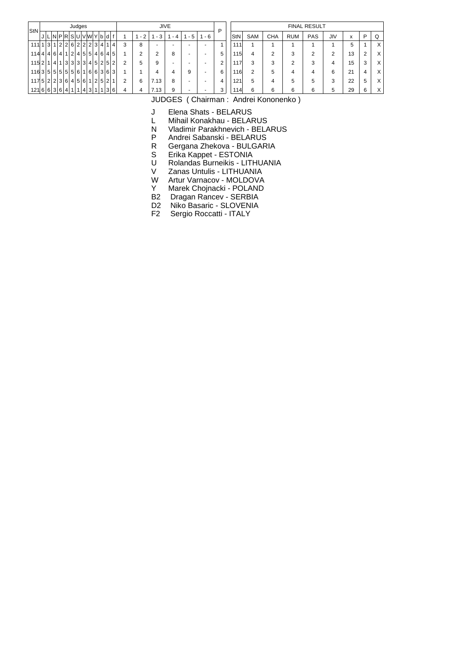| StN                           |  |                 | Judges |  |   |                                       |     |   |      |                          | <b>JIVE</b>              |     |                          | P |     |            |            |            | <b>FINAL RESULT</b> |     |                   |   |          |
|-------------------------------|--|-----------------|--------|--|---|---------------------------------------|-----|---|------|--------------------------|--------------------------|-----|--------------------------|---|-----|------------|------------|------------|---------------------|-----|-------------------|---|----------|
|                               |  | JLNPRSUVWYbdf   |        |  |   |                                       |     |   | $-2$ | - 3                      | - 4                      | - 5 | - 6                      |   | StN | <b>SAM</b> | <b>CHA</b> | <b>RUM</b> | PAS                 | JIV | $\mathbf v$<br>л. | Þ | Q        |
| $111$ 1 $ 3 $                 |  | 2 2 6 2 2 2 3 4 |        |  |   |                                       | 1 4 | 3 | 8    | $\overline{\phantom{0}}$ | $\overline{\phantom{0}}$ | -   | -                        |   | 111 |            |            |            |                     |     | 5                 |   | $\times$ |
| 114441614112141515146         |  |                 |        |  |   |                                       | 45  |   |      | ◠                        | 8                        | -   | -                        | 5 | 115 |            | ◠          | 3          |                     | ◠   | 13                |   | $\times$ |
| 115 2 1 4 1 3 3 3 3 4 5 2 5 2 |  |                 |        |  |   |                                       |     | 2 | 5    | 9                        | $\overline{\phantom{0}}$ |     |                          |   | 117 | 3          | 3          | っ          | 3                   | 4   | 15                |   | $\times$ |
| 11635555556116636363          |  |                 |        |  |   |                                       |     |   |      |                          | 4                        | 9   | $\overline{\phantom{0}}$ | 6 | 116 | 2          | 5          | 4          | 4                   | 6   | 21                |   | $\times$ |
| 117 5 2 2 3 6 4 5 6 1         |  |                 |        |  |   | $\left  2 \right  5 \left  2 \right $ |     | 2 | 6    | 7.13                     | 8                        |     |                          | 4 | 121 | 5          | 4          | 5          | 5                   | 3   | 22                | 5 | $\times$ |
| 121 6 6 3 6 4 1 1 4 3 1       |  |                 |        |  | 1 |                                       | 3 6 | 4 |      | 7.13                     | 9                        |     |                          |   | 114 | 6          | 6          | 6          | 6                   | 5   | 29                |   | $\times$ |

J Elena Shats - BELARUS

L Mihail Konakhau - BELARUS<br>N Vladimir Parakhnevich - BELA

Vladimir Parakhnevich - BELARUS

P Andrei Sabanski - BELARUS<br>R Gergana Zhekova - BULGAR

R Gergana Zhekova - BULGARIA<br>S Erika Kappet - ESTONIA

S Erika Kappet - ESTONIA<br>U Rolandas Burneikis - LITI

U Rolandas Burneikis - LITHUANIA<br>V Zanas Untulis - LITHUANIA

V Zanas Untulis - LITHUANIA<br>W Artur Varnacov - MOLDOVA

W Artur Varnacov - MOLDOVA<br>Y Marek Choinacki - POLAND

Marek Chojnacki - POLAND

B2 Dragan Rancev - SERBIA<br>D2 Niko Basaric - SLOVENIA

D2 Niko Basaric - SLOVENIA<br>F2 Sergio Roccatti - ITALY

Sergio Roccatti - ITALY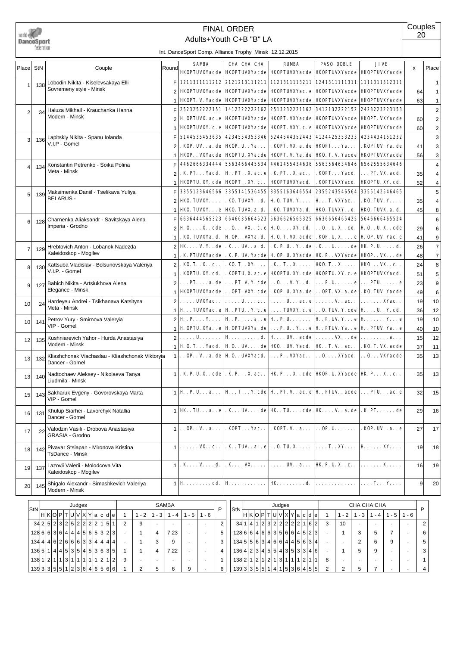

# Adults+Youth C+B "B" LA FINAL ORDER

**Couples** 20

|                 |     |                                                                    |                | IIII. Dariceoport Comp. Aliiance Trophy IVIIIISN 12.12.2013                                                                                                                                                                                       |                                      |                                                                                                                                                            |                                                          |                                                        |          |                         |
|-----------------|-----|--------------------------------------------------------------------|----------------|---------------------------------------------------------------------------------------------------------------------------------------------------------------------------------------------------------------------------------------------------|--------------------------------------|------------------------------------------------------------------------------------------------------------------------------------------------------------|----------------------------------------------------------|--------------------------------------------------------|----------|-------------------------|
| Place           | StN | Couple                                                             | Round          | <b>SAMBA</b>                                                                                                                                                                                                                                      | CHA CHA CHA                          | <b>RUMBA</b><br><b>HKOPTUVXYacde   HKOPTUVXYacde   HKOPTUVXYacde   HKOPTUVXYacde   HKOPTUVXYacde</b>                                                       | <b>PASO DOBLE</b>                                        | <b>JIVE</b>                                            | $\times$ | Place                   |
|                 |     | Lobodin Nikita - Kiselevsakaya Elli                                | F              |                                                                                                                                                                                                                                                   | 1211311111212 2121213111211          | 1121311113211 1241311111311 1111311312311                                                                                                                  |                                                          |                                                        |          | $\mathbf{1}$            |
| $\mathbf{1}$    | 138 | Sovremeny style - Minsk                                            | 2              | <b>HKOPTUVXYacde HKOPTUVXYacde</b>                                                                                                                                                                                                                |                                      | <b>HKOPTUVXYac. e</b>                                                                                                                                      | <b>HKOPTUVXYacde</b>                                     | <b>HKOPTUVXYacde</b>                                   | 64       | 1                       |
|                 |     |                                                                    | 1              |                                                                                                                                                                                                                                                   | <b>HKOPT. V. Yacde HKOPTUVXYacde</b> | <b>HKOPTUVXYacde</b>                                                                                                                                       | <b>HKOPTUVXYacde</b>                                     | <b>HKOPTUVXYacde</b>                                   | 63       | $\mathbf{1}$            |
|                 |     | Haluza Mikhail - Krauchanka Hanna                                  | F              |                                                                                                                                                                                                                                                   | 2523252222151 1412322222162          | 2513232221162                                                                                                                                              |                                                          | 3412132222152 2423223223153                            |          | $\overline{\mathbf{c}}$ |
| 2               | 34  | Modern - Minsk                                                     | $\overline{c}$ |                                                                                                                                                                                                                                                   | H. OPTUVX. ac. e HKOPTUVXYacde       |                                                                                                                                                            |                                                          | <b>HKOPT. VXYacde   HKOPTUVXYacde   HKOPT. VXYacde</b> | 60       | $\overline{\mathbf{c}}$ |
|                 |     |                                                                    | 1              | <b>HKOPTUVXY. c. e HKOPTUVXYacde</b>                                                                                                                                                                                                              |                                      |                                                                                                                                                            | <b>HKOPT. VXY. c. e HKOPTUVXYacde</b>                    | <b>HKOPTUVXYacde</b>                                   | 60       | 2                       |
|                 |     | Lapitskiy Nikita - Spanu Iolanda                                   | F              |                                                                                                                                                                                                                                                   | 5144535453635 4234554353346          |                                                                                                                                                            |                                                          | 6244544352443 4124425353233 4234434151232              |          | 3                       |
| 3               | 136 | V.I.P - Gomel                                                      | $\overline{2}$ | . KOP. UV. . a. de   HKOP. U. . Ya.                                                                                                                                                                                                               |                                      | . KOPT. VX. a. de   HKOPT. Ya.                                                                                                                             |                                                          | . KOPTUV. Ya. de                                       | 41       | 3                       |
|                 |     |                                                                    | 1              | <b>HKOP. . VXYacde   HKOPTU. XYacde</b>                                                                                                                                                                                                           |                                      | <b>HKOPT. V. Ya. de</b>                                                                                                                                    | <b>HKO. T. V. Yacde</b>                                  | <b>HKOPTUVXYacde</b>                                   | 56       | 3                       |
|                 |     | Konstantin Petrenko - Soika Polina                                 | F              | 4462666334444                                                                                                                                                                                                                                     | 5563466445634                        |                                                                                                                                                            | 4462455434636 5563564634646                              | 6562555634646                                          |          | 4                       |
| 4               | 134 | Meta - Minsk                                                       | $\overline{2}$ | . K. PT. Yacd.                                                                                                                                                                                                                                    | <b>H</b> . PT. . X. ac. e            | . K. PT. . X. ac. .                                                                                                                                        | . KOPT. Yacd.                                            | . PT. VX. acd.                                         |          |                         |
|                 |     |                                                                    |                |                                                                                                                                                                                                                                                   |                                      |                                                                                                                                                            |                                                          |                                                        | 35       | 4                       |
|                 |     |                                                                    | 1              | <b>HKOPTU. XY. cde   HKOPT. . XY. c. .</b>                                                                                                                                                                                                        |                                      | <b>HKOPTUVXYacd.</b>                                                                                                                                       | . KOPTUVXYacd.                                           | <b>HKOPTU. XY. cd.</b>                                 | 52       | 4                       |
| 5               | 139 | Maksimenka Daniil - Tselikava Yuliya<br><b>BELARUS -</b>           | F              |                                                                                                                                                                                                                                                   | 3355123646566 3355141536455          | 3355163646554                                                                                                                                              | 2355243546564                                            | 3355142546465                                          |          | 5                       |
|                 |     |                                                                    | $\overline{2}$ | $H$ KO. TUVXY. $\ldots$                                                                                                                                                                                                                           | . KO. TUVXY. . d.                    | $H$ 0. TUV. Y. $\ldots$                                                                                                                                    | <b>H</b> T. VXYac. .                                     | . KO. TUV. Y.                                          | 35       | 4                       |
|                 |     |                                                                    | 1              | <b>HKO. TUVXY.</b> e   <b>HKO. TUVX.</b> a. d.                                                                                                                                                                                                    |                                      | . KO. TUVXYa. d.                                                                                                                                           | <b>HKO. TUVXY. . d.</b>                                  | <b>HKO. TUVX. a. d.</b>                                | 45       | 8                       |
| 6               | 128 | Charnenka Aliaksandr - Savitskava Alena<br>Imperia - Grodno        | F              |                                                                                                                                                                                                                                                   | 6636444565323 6646635664523          | 5636626565325                                                                                                                                              |                                                          | 6636656465425 5646666465524                            |          | 6                       |
|                 |     |                                                                    | 2              |                                                                                                                                                                                                                                                   |                                      | $\mathbf{H} \mathbf{0} \ldots \mathbf{X}$ . $\mathbf{c}$ de $\ldots$ 0. $\ldots$ VX. . $\mathbf{c}$ . e $\mathbf{H} \mathbf{0} \ldots$ XY. $\mathbf{c}$ d. |                                                          | $\ldots$ 0. . U. X. . cd.   H 0. . U. X. . cde         | 29       | 6                       |
|                 |     |                                                                    | $\mathbf{1}$   |                                                                                                                                                                                                                                                   |                                      | . KO. TUVXYa. d.   H. OP. . VXYa. d.   H. O. T. VX. acde   . KOP. U. X. e   H. OP. UV. Yac. e                                                              |                                                          |                                                        | 41       | 9                       |
| 7               | 129 | Hrebtovich Anton - Lobanok Nadezda                                 |                | 2   HK. V. Y. . de   . K. UV. . a. d.                                                                                                                                                                                                             |                                      | . K. P. U. . Y. . de   . K. U. de   <b>HK.</b> P. U. d.                                                                                                    |                                                          |                                                        | 26       | $\overline{7}$          |
|                 |     | Kaleidoskop - Mogilev                                              | $\mathbf{1}$   |                                                                                                                                                                                                                                                   |                                      | . K. PTUVXYacde   . K. P. UV. Yacde   H. OP. U. XYacde   HK. P. . VXYacde   HKOP. . VX. de                                                                 |                                                          |                                                        | 48       | $\overline{7}$          |
| 8               | 130 | Kattsuba Vladislav - Bolsunovskaya Valeriya                        | $\overline{2}$ | $\blacksquare$ . KO. T. . X. . c. . $\blacksquare$                                                                                                                                                                                                |                                      | . KO. T. . XY.   . K. . T. . X.   HKO. T. . X.   HKO. VX. . c. .                                                                                           |                                                          |                                                        | 24       | 8                       |
|                 |     | V.I.P. - Gomel                                                     | $\mathbf{1}$   | . KOPTU. XY. cd.                                                                                                                                                                                                                                  |                                      | . KOPTU. X. ac. e   HKOPTU. XY. cde   HKOPTU. XY. c. e   HKOPTUVXYacd.                                                                                     |                                                          |                                                        | 51       | 5                       |
| 9               | 127 | Babich Nikita - Artsiukhova Alena                                  | $\overline{2}$ |                                                                                                                                                                                                                                                   |                                      | $  \dots$ PT. $\ldots$ a. de $  \dots$ PT. V. Y. cde $  \dots$ O. $\ldots$ V. Y. . d. $  \dots$ P. U. $\dots \dots$ e $  \dots$ PTU. $\dots \dots$ e       |                                                          |                                                        | 23       | 9                       |
|                 |     | Elegance - Minsk                                                   | $\mathbf{1}$   | <b>HKOPTUVXYacde</b>                                                                                                                                                                                                                              |                                      | OPT. VXY. cde   . KOP. U. XYa. de   OPT. VX. a. de   . KO. TUV. Yacde                                                                                      |                                                          |                                                        | 49       | 6                       |
| 10              | 24  | Hardeyeu Andrei - Tsikhanava Katsityna                             |                | $2   \ldots$ . UVXYac                                                                                                                                                                                                                             |                                      | $\ldots$ . U. $\ldots$ c. $\cdot \cdot \cdot$ U. $\ldots$ ac. e $\ldots \cdot$ V. . ac. $\cdot \cdot \cdot \cdot \cdot$ XYac.                              |                                                          |                                                        | 19       | 10                      |
|                 |     | Meta - Minsk                                                       | $\mathbf{1}$   |                                                                                                                                                                                                                                                   |                                      | $\mid$ H $\ldots$ TUVXYac. e $\mid$ H $\ldots$ PTU. . Y. c. e $\mid \ldots$ . TUVXY. c. e $\mid \ldots$ O. TUV. Y. cde $\mid$ H $\ldots$ . U. . Y. cd.     |                                                          |                                                        | 36       | 12                      |
| 10              | 141 | Petrov Yury - Smirnova Valeryia                                    |                | $2 \mathbf{H} \cdot \mathbf{P} \dots \mathbf{Y} \dots  \mathbf{H} \cdot \mathbf{P} \dots \dots a \dots e \mathbf{H} \cdot \mathbf{P} \dots \dots  \mathbf{H} \cdot \mathbf{P} \dots \mathbf{V} \dots e \mathbf{H} \dots \dots \mathbf{Y} \dots e$ |                                      |                                                                                                                                                            |                                                          |                                                        | 19       | 10                      |
|                 |     | VIP - Gomel                                                        | $\mathbf{1}$   |                                                                                                                                                                                                                                                   |                                      | H. OPTU. XYa. . e   H. OPTUVXYa. de   P. U. . Y. e   H. . PTUV. Ya. . e   H. . PTUV. Ya. . e                                                               |                                                          |                                                        | 40       | 10                      |
| 12              | 135 | Kushniarevich Yahor - Hurda Anastasiya                             |                | $2   \ldots, U, \ldots, H, \ldots, d$ . $  H \ldots, W, \text{. acde}   \ldots, V, \text{. acde}   \ldots, \ldots, a \ldots$                                                                                                                      |                                      |                                                                                                                                                            |                                                          |                                                        | 15       | 12                      |
|                 |     | Modern - Minsk                                                     | $\mathbf{1}$   |                                                                                                                                                                                                                                                   |                                      | H. O. T. Yacd.   H. O. . UV. de   HKO. . UV. Yacd.   HK. .T. V. . ac. .   . KO. T. VX. acde                                                                |                                                          |                                                        | 37       | 11                      |
| 13              | 132 | Kliashchonak Viachaslau - Kliashchonak Viktoryia<br>Dancer - Gomel |                | $1 $ OP. . V. . a. de   H 0. . UVXYacd. $ $ P. . VXYac. . $ $ 0. XYacd. $ $ 0. VXYacde                                                                                                                                                            |                                      |                                                                                                                                                            |                                                          |                                                        | 35       | 13                      |
| 13              | 140 | Nadtochaev Aleksey - Nikolaeva Tanya<br>Liudmila - Minsk           |                | $  \cdot  $ . K. P. U. X. . cde   . K. P. X. ac. .   IK. P. X. . cde   IKOP. U. XYacde   IK. P. X. . c. .                                                                                                                                         |                                      |                                                                                                                                                            |                                                          |                                                        | 35       | 13                      |
| 15 <sub>l</sub> |     | 143 Sakharuk Evgeny - Govorovskaya Marta<br>VIP - Gomel            |                | $\parallel$   H.P. Ua   HTY. cde   H.PT.Vac. e   H. PTUVacde    PTUac. e                                                                                                                                                                          |                                      |                                                                                                                                                            |                                                          |                                                        | 32       | 15                      |
| 16              | 131 | Khulup Siarhei - Lavorchyk Natallia<br>Dancer - Gomel              |                | $\uparrow$   HK . TU. a. . e   . K UV. de   HK . TU. cde   HK V. . a. de   . K. PT. de                                                                                                                                                            |                                      |                                                                                                                                                            |                                                          |                                                        | 29       | 16                      |
| 17              | 22  | Valodzin Vasili - Drobova Anastasiya<br>GRASIA - Grodno            |                | $1 \ldots$ OP. . V. . a                                                                                                                                                                                                                           | . KOPT. Yac. .                       | . KOPT. V. . a.                                                                                                                                            | $\ldots$ OP. U. $\ldots \ldots$                          | . KOP. UV. . a. . e                                    | 27       | 17                      |
| 18              | 142 | Pivavar Stsiapan - Mironova Kristina<br><b>TsDance - Minsk</b>     |                | $1   \ldots \ldots \text{VX} \ldots \text{C} \ldots$                                                                                                                                                                                              |                                      | . K. TUV. . a. . e $ 0.$ TU. X. $ 1.$ . XY. $ $ H. XY.                                                                                                     |                                                          |                                                        | 19       | 18                      |
| 19              | 137 | Lazovii Valerii - Molodcova Vita<br>Kaleidoskop - Mogilev          |                | $1$   $\cdot$ K $\ldots$ V $\ldots$ d.                                                                                                                                                                                                            |                                      | $\mathbf{K} \ldots \mathbf{V} \mathbf{X} \ldots \ldots \ldots \mathbf{U} \ldots \mathbf{X}$                                                                | <b>HK. P. U. X.</b> . c. . $  \dots \dots \dots X \dots$ |                                                        | 16       | 19                      |
| 20              | 145 | Shigalo Alexandr - Simashkevich Valeriya<br>Modern - Minsk         |                | $1$   <b>H</b> $\ldots \ldots \ldots$ cd.                                                                                                                                                                                                         | <b>H</b>                             | <b>HK</b> d.                                                                                                                                               |                                                          | . <b>T. Y.</b>                                         | 9        | 20                      |
|                 | StN | Judges                                                             | SAMBA          | P                                                                                                                                                                                                                                                 | 'St                                  | Judges                                                                                                                                                     |                                                          | CHA CHA CHA                                            | P        |                         |

| $\vert$ StN                   |  |                           | Judges          |  |  |   |   |      |     | SAMBA |     |     | D | StN                               |  |  | Judges |                              |  |   |         | CHA CHA CHA |     |         |         |  |
|-------------------------------|--|---------------------------|-----------------|--|--|---|---|------|-----|-------|-----|-----|---|-----------------------------------|--|--|--------|------------------------------|--|---|---------|-------------|-----|---------|---------|--|
|                               |  | H K O P T U V X Y a c d e |                 |  |  |   |   | $-2$ | - 3 | - 4   | - 5 | - 6 |   |                                   |  |  |        | H K O P T U V X Y a c d e    |  |   | $1 - 2$ | - 3         | - 4 | $1 - 5$ | $1 - 6$ |  |
|                               |  | 342523252522221           |                 |  |  |   | ↷ |      |     |       |     |     | ◠ |                                   |  |  |        | 34 1 4 1 2 3 2 2 2 2 2 1 6 2 |  |   | 10      |             |     |         |         |  |
| 128 6 6 3 6 4 4 4 5 6 5 3 2 3 |  |                           |                 |  |  |   |   |      |     | '.23  |     |     | 5 | 128 6 6 4 6 6 3 5 6 6 4 5 2 3     |  |  |        |                              |  |   |         |             |     |         |         |  |
| 1344416266633344444           |  |                           |                 |  |  |   |   |      |     | 9     |     |     | 3 | 13455634684445684                 |  |  |        |                              |  |   |         |             |     | 9       |         |  |
| 136511444535415363635         |  |                           |                 |  |  |   |   |      | 4   | 7.22  |     |     | 4 | 136 4 2 3 4 5 5 4 3 5 3 3 4 6     |  |  |        |                              |  |   |         | 5           | 9   |         |         |  |
| 13811211                      |  |                           | 1 3 1 1 1 1 1 2 |  |  | 2 | 9 |      |     |       |     |     |   | $138$ 2 1 2 1 2 1 2 1 3 1 1 1 1 2 |  |  |        |                              |  | 8 |         |             |     |         |         |  |
| 13933355511236465566          |  |                           |                 |  |  |   |   |      |     |       | 9   |     | 6 | 13933355114                       |  |  |        | 1 5 3 6 4 5 5                |  |   |         |             |     |         |         |  |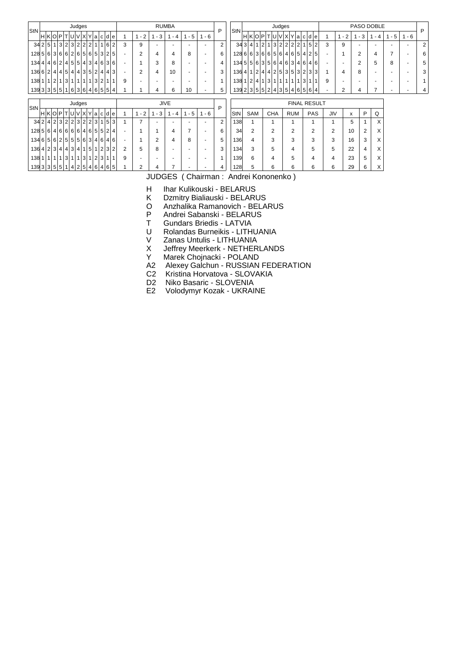| StN |                                                           |                           |  |  | Judges |  |  |  |     |   |                          |                          | <b>RUMBA</b>             |                          |                          | P              | StN                          |                           |  | Judges         |  |                |  |                     |                          |         |                          |                | PASO DOBLE     |                          |         | P |
|-----|-----------------------------------------------------------|---------------------------|--|--|--------|--|--|--|-----|---|--------------------------|--------------------------|--------------------------|--------------------------|--------------------------|----------------|------------------------------|---------------------------|--|----------------|--|----------------|--|---------------------|--------------------------|---------|--------------------------|----------------|----------------|--------------------------|---------|---|
|     |                                                           | H K O P T U V X Y a c d e |  |  |        |  |  |  |     |   | $-2$                     | $1 - 3$                  | $1 - 4$                  | $1 - 5$                  | $1 - 6$                  |                |                              | H K O P T U V X Y a c d e |  |                |  |                |  |                     |                          | $1 - 2$ | $1 - 3$                  |                | $1 - 4$        | $1 - 5$                  | $1 - 6$ |   |
|     | 342511323222111                                           |                           |  |  |        |  |  |  | 62  | 3 | 9                        | $\overline{\phantom{a}}$ | $\overline{a}$           | $\overline{\phantom{a}}$ | ٠                        | $\overline{2}$ | 343 4 1 2 1 3 2 2 2 2 1 5    |                           |  |                |  |                |  | 2                   | 3                        | 9       | $\overline{\phantom{a}}$ |                | $\overline{a}$ | $\overline{a}$           | ٠       | 2 |
|     | 128563636265565325                                        |                           |  |  |        |  |  |  |     |   | $\overline{2}$           | $\overline{4}$           | 4                        | 8                        | $\blacksquare$           | 6              | 128666366656461611215        |                           |  |                |  |                |  |                     | $\overline{\phantom{a}}$ |         | $\overline{2}$           |                | 4              | $\overline{7}$           |         | 6 |
|     | 1344416214551434636                                       |                           |  |  |        |  |  |  |     |   |                          | 3                        | 8                        | $\overline{\phantom{a}}$ | $\overline{a}$           | 4              | 134556356464634646           |                           |  |                |  |                |  |                     | ٠                        |         | 2                        |                | 5              | 8                        |         | 5 |
|     | $13662$  2 4 4 5 4 4 3 5 2 4 4 3                          |                           |  |  |        |  |  |  |     |   | $\overline{2}$           | $\overline{4}$           | 10                       | $\overline{\phantom{0}}$ | ٠                        | 3              | 136  4 1 2 4 4 2 5 3 5 3 2 3 |                           |  |                |  |                |  | 3                   |                          | 4       | 8                        |                |                | $\overline{\phantom{0}}$ |         | 3 |
|     | $138   1   1   2   1   3   1   1   1   1   3   2   1   1$ |                           |  |  |        |  |  |  |     | 9 | $\overline{\phantom{0}}$ | $\overline{\phantom{a}}$ | $\overline{a}$           | $\overline{a}$           | $\overline{\phantom{0}}$ | 1              | 138 1 2 4 1 3 1 1 1 1 1 3 1  |                           |  |                |  |                |  |                     | 9                        |         | $\overline{\phantom{0}}$ |                |                |                          |         |   |
|     | 13933355151636465554                                      |                           |  |  |        |  |  |  |     |   |                          | 4                        | 6                        | 10                       |                          | 5              | 139 2 3 5 5 2 4 3 5 4 6 5 6  |                           |  |                |  |                |  | 4                   |                          | 2       | 4                        |                |                |                          |         | 4 |
|     |                                                           |                           |  |  | Judges |  |  |  |     |   |                          |                          | <b>JIVE</b>              |                          |                          |                |                              |                           |  |                |  |                |  | <b>FINAL RESULT</b> |                          |         |                          |                |                |                          |         |   |
| StN |                                                           | H K O P T U V X Y a c d e |  |  |        |  |  |  |     |   | $1 - 2$                  | $1 - 3$                  | $1 - 4$                  | $1 - 5$                  | $1 - 6$                  | P              | StN                          | SAM                       |  | <b>CHA</b>     |  | <b>RUM</b>     |  | PAS                 | <b>JIV</b>               |         | $\mathsf{x}$             | P              | Q              |                          |         |   |
|     | 342 423 223 2323                                          |                           |  |  |        |  |  |  | 5 3 |   | $\overline{ }$           | ٠                        |                          |                          |                          | $\overline{2}$ | 138                          |                           |  |                |  |                |  |                     |                          |         | 5                        |                | X              |                          |         |   |
|     | 12856466666465524                                         |                           |  |  |        |  |  |  |     |   |                          |                          | 4                        | $\overline{7}$           | $\overline{\phantom{a}}$ | 6              | 34                           | 2                         |  | $\overline{2}$ |  | $\overline{2}$ |  | 2                   | 2                        |         | 10                       | $\overline{2}$ | X              |                          |         |   |
|     | 13465625555634646                                         |                           |  |  |        |  |  |  |     |   |                          | $\overline{2}$           | 4                        | 8                        | $\overline{\phantom{0}}$ | 5              | 136                          | 4                         |  | 3              |  | 3              |  | 3                   | 3                        |         | 16                       | 3              | X              |                          |         |   |
|     | $136   4   2   3   4   4   3   4   1   5   1   2   3   2$ |                           |  |  |        |  |  |  |     | 2 | 5                        | 8                        | $\overline{\phantom{0}}$ | $\overline{\phantom{0}}$ | $\overline{\phantom{0}}$ | 3              | 134                          | 3                         |  | 5              |  | 4              |  | 5                   | 5                        |         | 22                       | 4              | X              |                          |         |   |
|     | 138 1 1 1 1 3 1 1 3 1 2 3 1 1                             |                           |  |  |        |  |  |  |     | 9 |                          | $\overline{\phantom{0}}$ |                          |                          |                          | 1              | 139                          | 6                         |  | 4              |  | 5              |  | 4                   | 4                        |         | 23                       | 5              | X              |                          |         |   |
|     | 1393335551142514616165                                    |                           |  |  |        |  |  |  |     |   | $\overline{2}$           | 4                        | $\overline{ }$           |                          |                          | 4              | 128                          | 5                         |  | 6              |  | 6              |  | 6                   | 6                        |         | 29                       | 6              | X              |                          |         |   |

H Ihar Kulikouski - BELARUS<br>K Dzmitry Bialiauski - BELARI

K Dzmitry Bialiauski - BELARUS<br>O Anzhalika Ramanovich - BELA

O Anzhalika Ramanovich - BELARUS<br>P Andrei Sabanski - BELARUS

P Andrei Sabanski - BELARUS<br>T Gundars Briedis - LATVIA

T Gundars Briedis - LATVIA<br>U Rolandas Burneikis - LITH

U Rolandas Burneikis - LITHUANIA<br>V Zanas Untulis - LITHUANIA

V Zanas Untulis - LITHUANIA<br>X Jeffrey Meerkerk - NETHER

X Jeffrey Meerkerk - NETHERLANDS<br>Y Marek Choinacki - POLAND

Marek Chojnacki - POLAND

A2 Alexey Galchun - RUSSIAN FEDERATION

C2 Kristina Horvatova - SLOVAKIA

D2 Niko Basaric - SLOVENIA

E2 Volodymyr Kozak - UKRAINE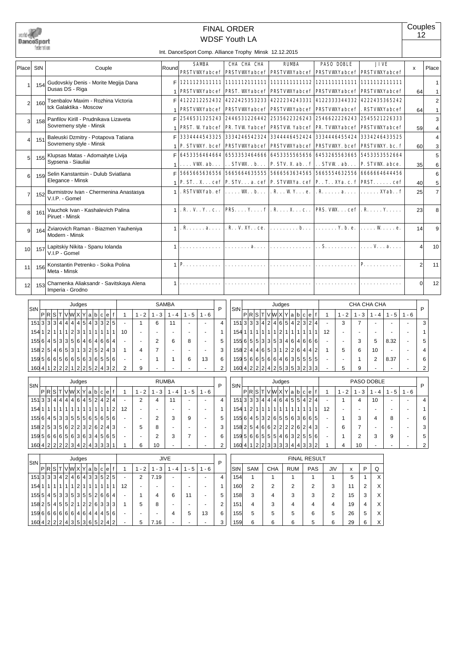|                | DanceSport<br>federation |                                                                                           |                                     |                                                   | Int. DanceSport Comp. Alliance Trophy Minsk 12.12.2015 |                                                                   |                                | <b>FINAL ORDER</b> | <b>WDSF Youth LA</b>                                                |              |                                                                          |                     |                                                                                                                                                                                                                                                                                         |                     |                          |                |                                         | Couples          | 12                         |
|----------------|--------------------------|-------------------------------------------------------------------------------------------|-------------------------------------|---------------------------------------------------|--------------------------------------------------------|-------------------------------------------------------------------|--------------------------------|--------------------|---------------------------------------------------------------------|--------------|--------------------------------------------------------------------------|---------------------|-----------------------------------------------------------------------------------------------------------------------------------------------------------------------------------------------------------------------------------------------------------------------------------------|---------------------|--------------------------|----------------|-----------------------------------------|------------------|----------------------------|
| Place          | <b>StN</b>               | Couple                                                                                    |                                     | Round                                             |                                                        | <b>SAMBA</b>                                                      |                                |                    | CHA CHA CHA                                                         |              | <b>RUMBA</b>                                                             |                     | <b>PASO DOBLE</b>                                                                                                                                                                                                                                                                       |                     |                          | <b>JIVE</b>    |                                         | x                | Place                      |
| 1              | 154                      | Gudovskiy Denis - Morite Megija Dana                                                      |                                     | F                                                 |                                                        |                                                                   |                                |                    |                                                                     |              |                                                                          |                     | <b>PRSTVWXYabcef   PRSTVWXYabcef   PRSTVWXYabcef   PRSTVWXYabcef   PRSTVWXYabcef</b>                                                                                                                                                                                                    |                     |                          |                |                                         |                  | 1                          |
| 2              | 160                      | Dusas DS - Riga<br>Tsenbalov Maxim - Rozhina Victoria                                     |                                     | 1<br>F                                            |                                                        | 4122212252432                                                     |                                |                    | <b>PRSTVWYabcef PRST. WYabcef</b><br>4222425353233                  |              | 4222234243331                                                            |                     | <b>PRSTVWXYabcef PRSTVWXYabcef</b><br>4122333344332                                                                                                                                                                                                                                     |                     |                          |                | <b>PRSTVWXYabcef</b><br>4222435365242   | 64               | $\mathbf{1}$<br>$\sqrt{2}$ |
| 3              | 158                      | tck Galaktika - Moscow<br>Panfilov Kirill - Prudnikava Lizaveta                           |                                     | 1<br>F                                            |                                                        |                                                                   |                                |                    | <b>PRSTVWYabcef PRSTVWYabcef</b><br>2546531325243 2446531226442     |              | <b>PRSTVWXYabcef</b><br>2535622326243                                    |                     | <b>PRSTVWXYabcef</b><br>2546622226243                                                                                                                                                                                                                                                   |                     |                          |                | . RSTVWXYabcef<br>2545521226333         | 64               | $\mathbf{1}$<br>3          |
| 4              | 151                      | Sovremeny style - Minsk<br>Baleuski Dzmitry - Potapova Tatiana<br>Sovremeny style - Minsk |                                     | 1<br>F                                            |                                                        |                                                                   |                                |                    | <b>PRST. W Yabcef PR. TVW Yabcef</b><br>3334444543325 3334246542324 |              | 3344446452424                                                            |                     | <b>PRSTVW Yabcef PR. TVWXYabcef</b><br>3334446455424                                                                                                                                                                                                                                    |                     |                          |                | <b>PRSTVWXYabcef</b><br>3334246433525   | 59               | 4<br>4                     |
| 5              | 155                      | Klupsas Matas - Adomaityte Livija<br>Sypsena - Siauliai                                   |                                     | 1<br>F                                            |                                                        | 6453356464664                                                     |                                |                    | <b>P. STVWY. bcef PRSTVWYabcef</b><br>6553353464666                 |              | <b>PRSTVWXYabcef</b>                                                     |                     | <b>PRSTVWXY.</b> bcef<br>6453355565656 6453265563665                                                                                                                                                                                                                                    |                     |                          |                | <b>PRSTVWXY.</b> bc. f<br>5453353552664 | 60               | 3<br>5                     |
| 6              | 159                      | Selin Kanstantsin - Dulub Sviatlana<br>Elegance - Minsk                                   |                                     | 1<br>F                                            |                                                        | . VW. ab.                                                         |                                |                    | $\ldots$ STVW. $\ldots$<br>5665665636556 5665664635555              |              | <b>P. STV. X. ab.</b> . f                                                |                     | $\ldots$ STVW $\ldots$<br>5666563634565 5665554632556                                                                                                                                                                                                                                   |                     |                          |                | P. STVW. abce.<br>6666664644456         | 35               | 6<br>6                     |
| $\overline{7}$ | 152                      | Burmistrov Ivan - Chermenina Anastasya<br>V.I.P. - Gomel                                  |                                     | $\mathbf{1}$<br>1                                 |                                                        | . RSTVWXYab. ef                                                   |                                |                    | $\ldots$ W. b. $\ldots$                                             |              | .R. <b>WY. e.</b>                                                        |                     | <b>P. ST. . X. cef   P. STV. a. cef   P. STVWYA. cef   P. . T. . XYa. c. f</b><br>$\cdot$ R $\cdot$ $\cdot$ $\cdot$ $\cdot$ a. $\cdot$ $\cdot$                                                                                                                                          |                     |                          |                | $P RST. \ldots.$ cef<br>. XYab. . f     | 40<br>25         | 5<br>$\overline{7}$        |
| 8              | 161                      | Vauchok Ivan - Kashalevich Palina<br>Piruet - Minsk                                       |                                     | $\mathbf{1}$                                      |                                                        |                                                                   |                                |                    |                                                                     |              |                                                                          |                     | $\mathbf{R}.\mathbf{V}.\mathbf{Y}.\mathbf{r}.\mathbf{c}.\mathbf{PRS}.\mathbf{S}.\mathbf{X}.\mathbf{r}.\mathbf{r}$ . $\mathbf{r}.\mathbf{R}.\mathbf{v}.\mathbf{X}.\mathbf{v}.\mathbf{c}.\mathbf{r}$   PRS. VWL cef   $\mathbf{R}.\mathbf{v}.\mathbf{v}.\mathbf{v}.\mathbf{v}.\mathbf{v}$ |                     |                          |                |                                         | 23               | 8                          |
| 9              | 164                      | Zviarovich Raman - Biazmen Yauheniya<br>Modern - Minsk                                    |                                     | $\mathbf{1}$                                      |                                                        | $\cdot$ R $\cdot$ $\cdot$ $\cdot$ $\cdot$ $\cdot$ $\cdot$ $\cdot$ |                                |                    | . R. . V. XY. . ce.                                                 |              | . <b>b.</b> 1                                                            |                     | $\ldots \ldots$ Y. b. e.                                                                                                                                                                                                                                                                |                     |                          |                | $$ W e.                                 | 14               | 9                          |
| 10             | 157                      | Lapitskiy Nikita - Spanu Iolanda<br>V.I.P - Gomel                                         |                                     | 1                                                 |                                                        |                                                                   |                                |                    | . 8.                                                                |              |                                                                          |                     | . . <b>S</b> .                                                                                                                                                                                                                                                                          |                     |                          |                | . V. a.                                 | $\overline{4}$   | 10                         |
| 11             | 156                      | Konstantin Petrenko - Soika Polina<br>Meta - Minsk                                        |                                     | $\mathbf{1}$                                      | <b>P.</b>                                              |                                                                   |                                |                    |                                                                     |              |                                                                          |                     |                                                                                                                                                                                                                                                                                         |                     |                          | <b>P.</b>      |                                         | $\overline{2}$   | 11                         |
| 12             | 153                      | Charnenka Aliaksandr - Savitskaya Alena<br>Imperia - Grodno                               |                                     | 1                                                 |                                                        |                                                                   |                                |                    |                                                                     |              |                                                                          |                     |                                                                                                                                                                                                                                                                                         |                     |                          |                |                                         | $\Omega$         | 12                         |
|                | StN                      | Judges                                                                                    |                                     | <b>SAMBA</b>                                      |                                                        |                                                                   | P                              | StN                |                                                                     | Judges       |                                                                          |                     |                                                                                                                                                                                                                                                                                         |                     |                          | CHA CHA CHA    |                                         |                  | P                          |
|                |                          | P R S T V W X Y a b c e f                                                                 | $1 - 2$<br>$\mathbf{1}$             | $1 - 3$<br>$1 - 4$                                | $1 - 5$                                                | $1 - 6$                                                           |                                |                    |                                                                     |              | P[R S T V W X Y a b c e f                                                |                     | $\mathbf{1}$                                                                                                                                                                                                                                                                            | $1 - 2$             | $1 - 3$                  | $1 - 4$        | $1 - 5$                                 | $1 - 6$          |                            |
|                | 154 1 2                  | 151 3 3 3 4 4 4 4 5 4 3 3 2 5<br>1 2 3 1 1 1 <br>1<br>1 <sup>1</sup><br>1 1 <br>1         | $\mathbf{1}$<br>10<br>÷.            | 6<br>11<br>$\ddot{\phantom{1}}$<br>$\overline{a}$ | ÷.<br>$\sim$                                           | $\sim$<br>÷.                                                      | $\overline{4}$<br>$\mathbf{1}$ |                    | 15411                                                               | 1 1 1 1 1 2  | 1513334246542324<br>1 1<br>$\mathbf{1}$                                  | 1 1                 | $\sim$<br>12<br>$\ddot{1}$                                                                                                                                                                                                                                                              | 3<br>$\overline{a}$ | $\overline{7}$<br>$\sim$ | $\overline{a}$ | ÷.                                      |                  | 3<br>-1                    |
|                | 155 6 4 <br>$158$ 2 5    | 5 3 3 5 6 4 6 4 6 6<br>$\overline{4}$<br>4 6 5 3 1 3 2 5 2 4 3                            | $\overline{a}$<br>$\mathbf{1}$<br>4 | $\overline{2}$<br>6<br>$\overline{7}$             | 8                                                      | $\sim$                                                            | 5<br>3                         |                    | 1556655335146                                                       |              | $158$ 2 4 4 6 5 3 1 2 2 6 4 4 2                                          | 4 6 6 6             | $\mathbf{1}$                                                                                                                                                                                                                                                                            | 5                   | 3<br>6                   | 5<br>10        | 8.32                                    | $\sim$<br>$\sim$ | 5<br>4                     |
|                |                          | 15956665665636556                                                                         |                                     | 1<br>1                                            | 6                                                      | 13                                                                | 6                              |                    |                                                                     |              | 15956665664635555                                                        |                     |                                                                                                                                                                                                                                                                                         |                     | $\mathbf{1}$             | $\overline{2}$ | 8.37                                    |                  | 6                          |
|                |                          | $\frac{160412221212252432}{$                                                              | $\overline{2}$<br>9                 |                                                   |                                                        |                                                                   | $\overline{c}$                 |                    |                                                                     |              | $\frac{160 4 2 2 2 4 2 5 3 5 3 2 3 3 }{160 4 2 2 4 2 5 3 5 3 5 3 2 3 3 $ |                     |                                                                                                                                                                                                                                                                                         | 5                   | 9                        |                |                                         |                  | $\boldsymbol{2}$           |
|                | StN                      | Judges                                                                                    |                                     | <b>RUMBA</b>                                      |                                                        |                                                                   | P                              | StN                |                                                                     | Judges       |                                                                          |                     |                                                                                                                                                                                                                                                                                         |                     |                          | PASO DOBLE     |                                         |                  | P                          |
|                |                          | P R S T V W X Y a b c e f                                                                 | $1 - 2$<br>$\mathbf{1}$             | $1 - 4$<br>$1 - 3$                                | $1 - 5$                                                | $1 - 6$                                                           |                                |                    |                                                                     |              | P R S T V W X Y a b c e f                                                |                     | $\mathbf{1}$                                                                                                                                                                                                                                                                            | $1 - 2$             | $1 - 3$                  | $1 - 4$        | $1 - 5$                                 | $1 - 6$          |                            |
|                |                          | $151\,3\,3\,4\,4\,4\,4\,6\,4\,5\,2\,4\,2\,4$<br> 1 1 1 1 1 1 2 <br>1 1 1 1                | 2                                   | $\overline{4}$<br>11                              |                                                        | $\tilde{\phantom{a}}$                                             | $\overline{4}$                 |                    | 151 3 3 3 4 4 4<br>154 1 2 1 1 1 1                                  | 1 1          | 6 4<br>1<br>$\mathbf{1}$<br>$\mathbf{1}$                                 | 5 5 4 2 4<br>1 1 1  |                                                                                                                                                                                                                                                                                         | $\mathbf{1}$        | 4                        | 10             |                                         |                  | 4                          |
|                | 15411                    | 1556 4533355565656                                                                        | 12                                  | 2<br>3                                            | 9                                                      |                                                                   | 1<br>5                         |                    |                                                                     |              | 15566453265563665                                                        |                     | 12                                                                                                                                                                                                                                                                                      | $\mathbf{1}$        | 3                        | 4              | 8                                       |                  | 6                          |
|                |                          | 1582535622326243                                                                          | 5                                   | 8                                                 |                                                        |                                                                   | 3                              |                    |                                                                     |              | $158$ 2 5 4 6 6 2 2 2 2 6 2 4 3                                          |                     |                                                                                                                                                                                                                                                                                         | 6                   | $\overline{7}$           |                |                                         |                  | 3                          |
|                |                          | 15956666563634565                                                                         |                                     | $\overline{2}$<br>3                               | $\overline{7}$                                         |                                                                   | 6                              |                    |                                                                     |              | 15956665554632556                                                        |                     |                                                                                                                                                                                                                                                                                         | 1                   | $\overline{2}$           | 3              | 9                                       |                  | 5                          |
|                |                          | $160   4  2   2  2   2   3   4   2   4   3   3   1$                                       | 6<br>$\mathbf{1}$                   | 10                                                |                                                        |                                                                   | 2                              |                    |                                                                     |              | $160$ 4 1 2 2 3 3 3 4 4 3 3 2                                            |                     |                                                                                                                                                                                                                                                                                         | 4                   | 10                       |                |                                         |                  | $\overline{\mathbf{c}}$    |
|                |                          | Judges                                                                                    |                                     | <b>JIVE</b>                                       |                                                        |                                                                   | P                              |                    |                                                                     |              |                                                                          | <b>FINAL RESULT</b> |                                                                                                                                                                                                                                                                                         |                     |                          |                |                                         |                  |                            |
|                | StN                      | P[R S T V W X Y a b c e f                                                                 | $1 - 2$<br>$\mathbf{1}$             | $1 - 3$<br>$1 - 4$                                | $1 - 5$                                                | $1 - 6$                                                           |                                | StN                | SAM                                                                 | <b>CHA</b>   | <b>RUM</b>                                                               | PAS                 | <b>JIV</b>                                                                                                                                                                                                                                                                              | x                   | P                        | Q              |                                         |                  |                            |
|                |                          | 1513334246433525                                                                          | $\overline{2}$                      | 7.19                                              |                                                        |                                                                   | $\overline{4}$                 | 154                | $\mathbf{1}$                                                        | $\mathbf{1}$ | $\mathbf{1}$                                                             | $\mathbf{1}$        | $\mathbf{1}$                                                                                                                                                                                                                                                                            |                     | $\mathbf{1}$<br>5        | X              |                                         |                  |                            |
|                | 154                      | 1 1 1 1 2 1 1 1 1 1 1 <br>1 1 <br>1555 45335 5552664                                      | 12                                  |                                                   |                                                        | ÷,                                                                | 1                              | 160                | 2                                                                   | 2            | 2                                                                        | 2                   | 3                                                                                                                                                                                                                                                                                       | 11                  | $\overline{\mathbf{c}}$  | X              |                                         |                  |                            |
|                |                          | $158$ 2 5 4 5 5 2 1 2 2 6 3 3 3                                                           | 1<br>5<br>$\mathbf{1}$              | 4<br>6<br>8                                       | 11                                                     |                                                                   | 5<br>2                         | 158<br>151         | 3<br>4                                                              | 4<br>3       | 3<br>4                                                                   | 3<br>4              | $\overline{2}$<br>4                                                                                                                                                                                                                                                                     | 15<br>19            | 3<br>4                   | X<br>X         |                                         |                  |                            |
|                |                          | 15966666664644456                                                                         |                                     | 4                                                 | 5                                                      | 13                                                                | 6                              | 155                | 5                                                                   | 5            | 5                                                                        | 6                   | 5                                                                                                                                                                                                                                                                                       | 26                  | 5                        | X              |                                         |                  |                            |

159 6 6 6 6 5 6 29 6 X

 $160 \frac{4}{2} \left| 2 \right| 2 \left| 4 \right| 3 \left| 5 \right| 3 \left| 6 \right| 5 \left| 2 \right| 4 \left| 2 \right|$  - 5  $\left| 7.16 \right|$  -  $\left| - \right|$  - 3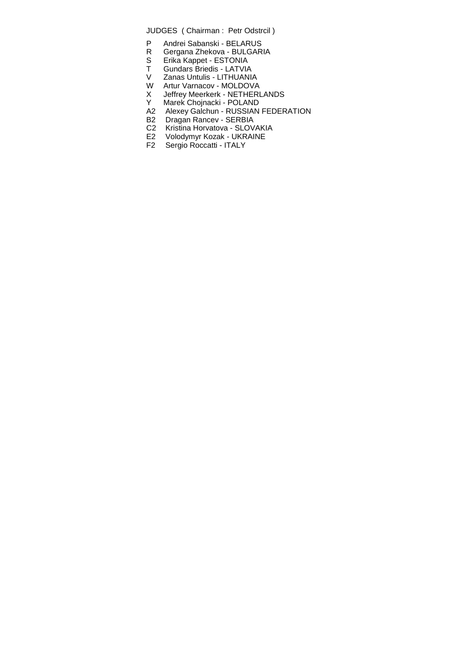JUDGES ( Chairman : Petr Odstrcil )

- P Andrei Sabanski BELARUS<br>R Gergana Zhekova BULGAR
- R Gergana Zhekova BULGARIA<br>S Erika Kappet ESTONIA<br>T Gundars Briedis LATVIA
- S Erika Kappet ESTONIA
- T Gundars Briedis LATVIA
- V Zanas Untulis LITHUANIA
- W Artur Varnacov MOLDOVA
- X Jeffrey Meerkerk NETHERLANDS<br>Y Marek Choinacki POLAND
- Marek Chojnacki POLAND
- A2 Alexey Galchun RUSSIAN FEDERATION
- B2 Dragan Rancev SERBIA
- C2 Kristina Horvatova SLOVAKIA
- E2 Volodymyr Kozak UKRAINE
- F2 Sergio Roccatti ITALY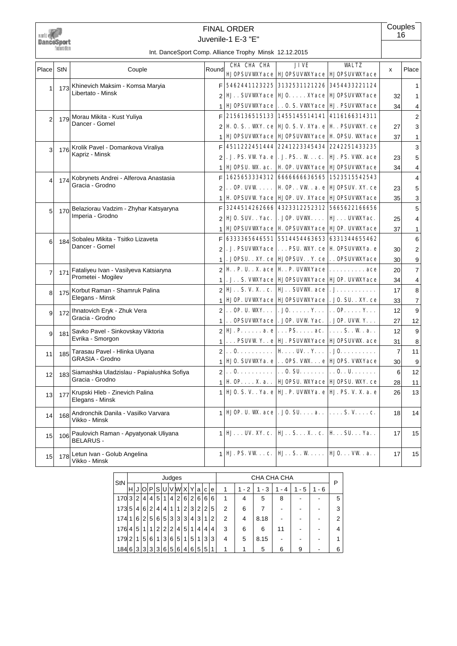

## Juvenile-1 E-3 "E" FINAL ORDER

**Couples** 16

|                         |     |                                                          |                | CHA CHA CHA                                                                                                                                        | JIVE                                                            | <b>WALTZ</b>                     |                 |                |
|-------------------------|-----|----------------------------------------------------------|----------------|----------------------------------------------------------------------------------------------------------------------------------------------------|-----------------------------------------------------------------|----------------------------------|-----------------|----------------|
| Place                   | StN | Couple                                                   | Round          |                                                                                                                                                    | <b>HJOPSUVWYace   HJOPSUVWYace   HJOPSUVWYace</b>               |                                  | x               | Place          |
| 1                       |     | 173 Khinevich Maksim - Komsa Maryia                      | F              |                                                                                                                                                    | 5462441123225 3132531121226 3454433221124                       |                                  |                 | -1             |
|                         |     | Libertato - Minsk                                        | $\overline{2}$ |                                                                                                                                                    | <b>HJ.</b> . SUVWYace   HJO. XYace   HJOPSUVWYace               |                                  | 32              | 1              |
|                         |     |                                                          |                | <b>HJOPSUVWYace</b>                                                                                                                                | 0. S. VWYace   HJ. PSUVWYace                                    |                                  | 34              | 4              |
| $\mathcal{P}$           |     | 179 Morau Mikita - Kust Yuliya                           | F              | 2156136515133 1455145514141 4116166314311                                                                                                          |                                                                 |                                  |                 | $\overline{2}$ |
|                         |     | Dancer - Gomel                                           | $\mathfrak{p}$ | <b>H</b> 0. S. . WIY. ce   HJ 0. S. V. XYa. e   H. . PSUVWY. ce                                                                                    |                                                                 |                                  | 27              | 3              |
|                         |     |                                                          | 1              |                                                                                                                                                    | <b>HJOPSUVWYace HJOPSUVWYace H OPSU. WYace</b>                  |                                  | 37              | 1              |
| $\vert$ 3               |     | 176 Krolik Pavel - Domankova Viraliya                    | F              |                                                                                                                                                    | 4511222451444 2241223345434 2242251433235                       |                                  |                 | 3              |
|                         |     | Kapriz - Minsk                                           | $\mathfrak{p}$ |                                                                                                                                                    | . J. PS. VW Ya. e   . J. PS. . W c.   HJ. PS. VW. ace           |                                  | 23              | 5              |
|                         |     |                                                          | 1              | <b>HJOPSU. WK. ac.</b>                                                                                                                             | H. OP. UVWYace   HJOPSUVWYace                                   |                                  | 34              | 4              |
| $\overline{\mathbf{A}}$ |     | 174 Kobrynets Andrei - Alferova Anastasia                | F              |                                                                                                                                                    | 1625653334312 6666666636565 1523515542543                       |                                  |                 | $\overline{4}$ |
|                         |     | Gracia - Grodno                                          | $\overline{2}$ |                                                                                                                                                    | $\ldots$ OP. UVW $\ldots$   H OP. . VW . a. e   HJOPSUV. XY. ce |                                  | 23              | 5              |
|                         |     |                                                          |                |                                                                                                                                                    | <b>H. OPSUVW Yace   HJOP. UV. XYace   HJOPSUVWYace</b>          |                                  | 35              | 3              |
| 5                       |     | 170 Belaziorau Vadzim - Zhyhar Katsyaryna                | F              |                                                                                                                                                    | 3244514262666 4323312252312 5665622166656                       |                                  |                 | 5              |
|                         |     | Imperia - Grodno                                         | $\overline{2}$ | <b>HJO. SUV. . Yac.</b>                                                                                                                            | . JOP. UVW. $\ldots$ HJ. $\ldots$ UVW. Yac.                     |                                  | 25              | 4              |
|                         |     |                                                          | 1              |                                                                                                                                                    | <b>HJOPSUVWYace   H. OPSUVWYace   HJOP. UVWYace</b>             |                                  | 37              | 1              |
| 6 <sup>1</sup>          | 184 | Sobaleu Mikita - Tsitko Lizaveta                         | F              |                                                                                                                                                    | 6333365646551 5514454463653 6331344655462                       |                                  |                 | 6              |
|                         |     | Dancer - Gomel                                           | $\overline{2}$ |                                                                                                                                                    | . J. PSUVWYace   PSU. WY. ce   H. OPSUVWYa. e                   |                                  | 30              | 2              |
|                         |     |                                                          | $\mathbf{1}$   |                                                                                                                                                    | . JOPSU. . XY. ce   HJOPSUV. . Y. ce   OPSUVWYace               |                                  | 30 <sup>1</sup> | 9              |
| $\overline{7}$          | 171 | Fataliyeu Ivan - Vasilyeva Katsiaryna                    |                | $2 \mathbf{H} \cdot \mathbf{P} \cdot \mathbf{U} \cdot \mathbf{X} $ ace $ \mathbf{H} \cdot \mathbf{P} \cdot \text{UVMYace} \dots \dots \dots \dots$ |                                                                 |                                  | 20 <sup>2</sup> | $\overline{7}$ |
|                         |     | Prometei - Mogilev                                       | $\mathbf{1}$   |                                                                                                                                                    | .J. . S. VWYace   HJOPSUVWYace   HJOP. UVWYace                  |                                  | 34              | 4              |
| 8 <sup>1</sup>          |     | 175 Korbut Raman - Shamruk Palina                        |                | $2 \mathbf{H} \dots S, V, X \dots c.  \mathbf{H} \dots S$ WWW. ace $  \dots \dots \dots$                                                           |                                                                 |                                  | 17              | 8              |
|                         |     | Elegans - Minsk                                          | 1              |                                                                                                                                                    | <b>HJOP. UVWYace   HJOPSUVWYace   . JO. SU. . XY. ce</b>        |                                  | 33              | 7              |
| 9                       |     | 172 Ihnatovich Eryk - Zhuk Vera                          |                | $2$ . OP. U. WXY                                                                                                                                   | $.$ JO. $. Y.   0 P. Y.$                                        |                                  | 12              | 9              |
|                         |     | Gracia - Grodno                                          | $\mathbf{1}$   | . . OPSUVWXYace . JOP. UVW Yac.                                                                                                                    |                                                                 | $.$ JOP. UVW Y. $.$ .            | 27              | 12             |
| $\vert 9 \vert$         |     | 181 Savko Pavel - Sinkovskay Viktoria                    | $\mathfrak{p}$ | $\mathbf{H}$ . P. a. e $\vert \ldots$ PS. ac. $\vert$                                                                                              |                                                                 | . S W. a                         | 12              | 9              |
|                         |     | Evrika - Smorgon                                         |                |                                                                                                                                                    | PSUVW Ye HJ. PSUVWYace HJOPSUVW. ace                            |                                  | 31              | 8              |
| 11                      | 185 | Tarasau Pavel - Hlinka Ulyana                            | $\overline{2}$ | $\vert \ldots 0 \ldots \ldots \ldots \vert$ H $\ldots$ UV. $\ldots \vert \ldots \vert$ . J0.                                                       |                                                                 |                                  | $\overline{7}$  | 11             |
|                         |     | <b>GRASIA - Grodno</b>                                   | $\mathbf{1}$   | <b>HJO. SUVWYA. e OPS. VW e HJOPS. VWYAcce</b>                                                                                                     |                                                                 |                                  | 30 <sup>1</sup> | 9              |
| 12 <sup>1</sup>         | 183 | Siamashka Uladzislau - Papialushka Sofiya                | $\overline{2}$ | $\vert \ldots 0, \ldots, \ldots, \vert \ldots 0, SU, \ldots, \vert \ldots 0, \ldots, U, \ldots, \ldots \rangle$                                    |                                                                 |                                  | $6 \mid$        | 12             |
|                         |     | Gracia - Grodno                                          | 1              | $\mathbf{H}$ OP X.a                                                                                                                                | HJOPSU. WYAace   HJOPSU. WY. ce                                 |                                  | 28              | 11             |
| 13 <sup>1</sup>         | 177 | Krupski Hleb - Zinevich Palina<br>Elegans - Minsk        | $\mathbf{1}$   | HJ 0. S. V. . Ya. e   HJ. P. UVWYa. e   HJ. PS. V. X. a. e                                                                                         |                                                                 |                                  | 26              | 13             |
| 14                      | 168 | Andronchik Danila - Vasilko Varvara<br>Vikko - Minsk     | 1              | <b>HJOP. U. W. ace</b>                                                                                                                             | $.$ JO. SU. $\ldots$ a. $.$                                     | $\ldots$ S.V. $\ldots$ c.        | 18              | 14             |
| 15                      | 106 | Paulovich Raman - Apyatyonak Uliyana<br><b>BELARUS -</b> | 1              | $H$ UV. XY. c.                                                                                                                                     | $HJ. S. X. . c.   H. SU. Ya. .$                                 |                                  | 17              | 15             |
| 15                      | 178 | Letun Ivan - Golub Angelina<br>Vikko - Minsk             | 1              | HJ. PS. VWc.  HJSW                                                                                                                                 |                                                                 | $H$ $\mathbf{0}$ $\mathbf{W}$ .a | 17              | 15             |

| StN |   |   |                |                |                |             |                | Judges          |                |   |                |   |   |   |         | CHA CHA CHA |        |          |         | P |
|-----|---|---|----------------|----------------|----------------|-------------|----------------|-----------------|----------------|---|----------------|---|---|---|---------|-------------|--------|----------|---------|---|
|     | н |   | ΙOΙ            | P              | SI             |             |                | UVWXY           |                |   | a              | C | e | 1 | $1 - 2$ | - 3<br>1    | 4<br>۰ | - 5<br>1 | $1 - 6$ |   |
| 170 | 3 | 2 | 41             | $\overline{4}$ | 5 <sup>1</sup> | $\mathbf 1$ | 4 <sup>1</sup> | 2               | 6              | 2 | 6              | 6 | 6 | 1 | 4       | 5           | 8      |          |         | 5 |
| 173 | 5 | 4 | 6              | $\overline{2}$ | 4              | 4           | 11             | 1               | 2 <sub>1</sub> | 3 | 2 <sup>1</sup> | 2 | 5 | 2 | 6       |             |        |          |         | 3 |
| 174 |   | 6 | 2 <sup>1</sup> | 5              | 6              | $5^{\circ}$ | 3              | $\mathbf{3}$    | 3              | 4 | 3              | 1 | 2 | 2 | 4       | 8.18        |        |          |         | 2 |
| 176 | 4 | 5 | 1 <sup>1</sup> | 1              | 2 <sub>1</sub> | 2           | $\overline{2}$ | $\vert 4 \vert$ | 5              | 1 | $\vert$        | 4 | 4 | 3 | 6       | 6           | 11     |          |         | 4 |
| 179 | 2 | 1 | 5 <sup>1</sup> | 6              | 1 <sup>1</sup> | 3           | 6              | 5               | 1              | 5 | 11             | 3 | 3 | 4 | 5       | 8.15        |        |          |         |   |
| 184 | 6 |   | 3 3            | 3              | 3              | 6           | 5 <sup>1</sup> | $6 \mid$        | 4              | 6 | 5 <sup>1</sup> | 5 | 1 | 1 | 4       | 5           | 6      | 9        |         | 6 |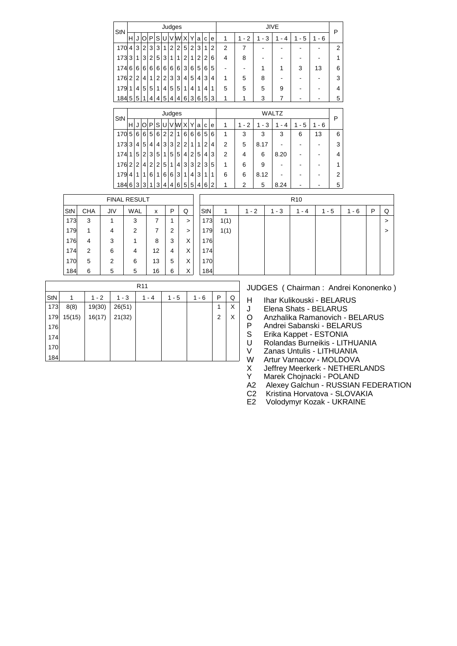| StN |   |                |                         |                |                |              |                | Judges         |                |   |                |   |                |                |                |         | <b>JIVE</b>  |         |           | P              |
|-----|---|----------------|-------------------------|----------------|----------------|--------------|----------------|----------------|----------------|---|----------------|---|----------------|----------------|----------------|---------|--------------|---------|-----------|----------------|
|     | н | J              | O                       | P              | S              |              |                | U V W X        |                | Υ | a              | с | e              | 1              | $1 - 2$        | $1 - 3$ | 1<br>- 4     | $1 - 5$ | 1<br>$-6$ |                |
| 170 | 4 | 3              | $\overline{2}$          | 3              | 3              | $\mathbf{1}$ | $\overline{2}$ | $\overline{2}$ | 5              | 2 | 3              | 1 | $\overline{2}$ | 2              | 7              |         |              |         |           | $\overline{2}$ |
| 173 | 3 | 1              | 3                       | $\overline{2}$ | 5              | 3            | 1              | 1              | $\overline{2}$ | 1 | 2              | 2 | 6              | 4              | 8              |         |              | -       |           | 1              |
| 174 | 6 | 6              | 6                       | 6              | 6              | 6            | 6              | 6              | 3              | 6 | 5              | 6 | 5              |                |                | 1       | 1            | 3       | 13        | 6              |
| 176 | 2 | $\overline{2}$ | 4                       | 1              | $\overline{2}$ | 2            | 3              | 3              | 4              | 5 | 4              | 3 | 4              | 1              | 5              | 8       |              |         |           | 3              |
| 179 | 1 | 4              | 5                       | 5              | 1              | 4            | 5              | 5              | 1              | 4 | 1              | 4 | 1              | 5              | 5              | 5       | 9            |         |           | 4              |
| 184 | 5 | 5              | 1                       | 4              | 4              | 5            | 4              | 4              | 6              | 3 | 6              | 5 | 3              | 1              | 1              | 3       | 7            |         |           | 5              |
|     |   |                |                         |                |                |              |                | Judges         |                |   |                |   |                |                |                |         | <b>WALTZ</b> |         |           |                |
| StN | H | J              | O                       | P              | <sub>S</sub>   | υl           |                | V[W X]         |                | Υ | a              | C | e              | 1              | $1 - 2$        | $1 - 3$ | $1 - 4$      | $1 - 5$ | $1 - 6$   | P              |
|     |   |                |                         |                |                |              |                |                |                |   |                |   |                |                |                |         |              |         |           |                |
| 170 | 5 | 6              | 6                       | 5              | 6              | 2            | $\overline{2}$ | 1              | 6              | 6 | $6 \mid$       | 5 | 6              | 1              | 3              | 3       | 3            | 6       | 13        | 6              |
| 173 | 3 | 4              | 5                       | 4              | $\overline{4}$ | 3            | 3              | $\overline{2}$ | $\overline{2}$ | 1 | 1              | 2 | 4              | 2              | 5              | 8.17    |              |         |           | 3              |
| 174 | 1 | 5              | $\overline{2}$          | 3              | 5              | 1            | 5              | 5              | 4              | 2 | 5              | 4 | 3              | $\overline{2}$ | 4              | 6       | 8.20         |         |           | 4              |
| 176 | 2 | $\overline{2}$ | $\overline{\mathbf{4}}$ | $\overline{2}$ | $\overline{2}$ | 5            | 1              | 4              | 3              | 3 | $\overline{2}$ | 3 | 5              | 1              | 6              | 9       |              |         |           | 1              |
| 179 | 4 | 1              | 1                       | 6              | 1              | 6            | 6              | 3              | 1              | 4 | 3              | 1 | 1              | 6              | 6              | 8.12    |              |         |           | $\overline{2}$ |
| 184 | 6 | 3              | 3                       | 1              | 3              | 4            | 4              | 6              | 5              | 5 | $\overline{4}$ | 6 | 2              | 1              | $\overline{2}$ | 5       | 8.24         |         |           | 5              |

|     |            |     | <b>FINAL RESULT</b> |    |        |        |     |      |         |         | R <sub>10</sub> |         |     |   |   |
|-----|------------|-----|---------------------|----|--------|--------|-----|------|---------|---------|-----------------|---------|-----|---|---|
| StN | <b>CHA</b> | JIV | <b>WAL</b>          | x  | P      | Q      | StN | 1    | $1 - 2$ | $1 - 3$ | $1 - 4$         | $1 - 5$ | - 6 | P | Q |
| 173 | 3          |     | 3                   |    |        | >      | 173 | 1(1) |         |         |                 |         |     |   | > |
| 179 | 1          | 4   | 2                   |    | າ<br>▵ | $\geq$ | 179 | 1(1) |         |         |                 |         |     |   | > |
| 176 | 4          | 3   |                     | 8  | 3      | X      | 176 |      |         |         |                 |         |     |   |   |
| 174 | 2          | 6   | 4                   | 12 | 4      | X      | 174 |      |         |         |                 |         |     |   |   |
| 170 | 5          | 2   | 6                   | 13 | 5      | X      | 170 |      |         |         |                 |         |     |   |   |
| 184 | 6          | 5   | 5                   | 16 | 6      | X      | 184 |      |         |         |                 |         |     |   |   |

|     |        |         |         | R <sub>11</sub> |         |         |   |   |
|-----|--------|---------|---------|-----------------|---------|---------|---|---|
| StN | 1      | $1 - 2$ | $1 - 3$ | $1 - 4$         | $1 - 5$ | $1 - 6$ | P | Q |
| 173 | 8(8)   | 19(30)  | 26(51)  |                 |         |         | 1 | X |
| 179 | 15(15) | 16(17)  | 21(32)  |                 |         |         | 2 | Х |
| 176 |        |         |         |                 |         |         |   |   |
| 174 |        |         |         |                 |         |         |   |   |
| 170 |        |         |         |                 |         |         |   |   |
| 184 |        |         |         |                 |         |         |   |   |

- H Ihar Kulikouski BELARUS
- J Elena Shats BELARUS<br>O Anzhalika Ramanovich -
- O Anzhalika Ramanovich BELARUS<br>P Andrei Sabanski BELARUS
- P Andrei Sabanski BELARUS<br>S Erika Kappet ESTONIA<br>U Rolandas Burneikis LITHUA
- Erika Kappet ESTONIA
- U Rolandas Burneikis LITHUANIA<br>V Zanas Untulis LITHUANIA
- V Zanas Untulis LITHUANIA<br>W Artur Varnacov MOLDOVA
- 
- W Artur Varnacov MOLDOVA<br>X Jeffrey Meerkerk NETHERL<br>Y Marek Choinacki POLAND Jeffrey Meerkerk - NETHERLANDS
- Y Marek Chojnacki POLAND<br>A2 Alexey Galchun RUSSIAN
- Alexey Galchun RUSSIAN FEDERATION
- C2 Kristina Horvatova SLOVAKIA<br>E2 Volodymyr Kozak UKRAINE
- Volodymyr Kozak UKRAINE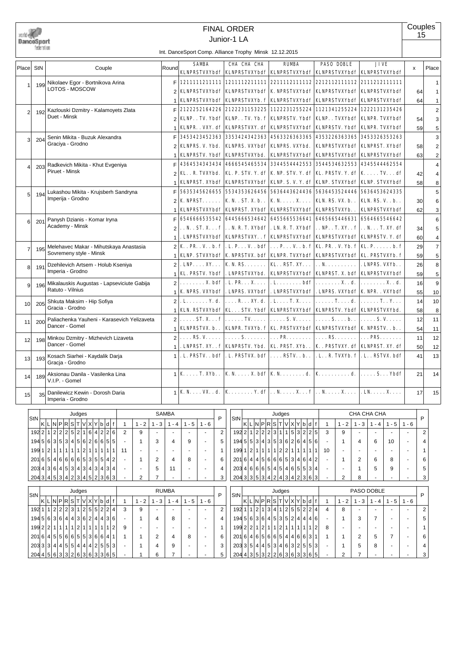|       | DanceSport<br>federation |                                                                               |                |                          |                                        |                | <b>FINAL ORDER</b><br>Junior-1 LA<br>Int. DanceSport Comp. Alliance Trophy Minsk 12.12.2015 |                                                                                                                      |                |                             |                                            |                | Couples<br>15            |                         |
|-------|--------------------------|-------------------------------------------------------------------------------|----------------|--------------------------|----------------------------------------|----------------|---------------------------------------------------------------------------------------------|----------------------------------------------------------------------------------------------------------------------|----------------|-----------------------------|--------------------------------------------|----------------|--------------------------|-------------------------|
|       |                          |                                                                               |                |                          | <b>SAMBA</b>                           |                | CHA CHA CHA                                                                                 | <b>RUMBA</b>                                                                                                         |                | <b>PASO DOBLE</b>           | <b>JIVE</b>                                |                |                          |                         |
| Place | <b>StN</b>               | Couple                                                                        | Round          |                          |                                        |                |                                                                                             | KLNPRSTVXYbdf   KLNPRSTVXYbdf   KLNPRSTVXYbdf   KLNPRSTVXYbdf   KLNPRSTVXYbdf                                        |                |                             |                                            |                | x                        | Place                   |
|       |                          | Nikolaev Egor - Bortnikova Arina                                              | F              |                          |                                        |                | 1211111211111 1211112211111                                                                 |                                                                                                                      |                |                             |                                            |                |                          | $\mathbf{1}$            |
|       | 199                      | LOTOS - MOSCOW                                                                |                |                          | <b>KLNPRSTVXYbdf</b>                   |                | <b>KLNPRSTVXYbdf</b>                                                                        | <b>K NPRSTVXYbdf</b>                                                                                                 |                | <b>KLNPRSTVXYbdf</b>        | <b>KLNPRSTVXYbdf</b>                       |                | 64                       | 1                       |
|       |                          |                                                                               |                |                          |                                        |                | KLNPRSTVXYbdf KLNPRSTVXYb. f                                                                | <b>KLNPRSTVXYbdf</b>                                                                                                 |                | KLNPRSTVXYbdf               | KLNPRSTVXYbdf                              |                | 64                       | $\mathbf{1}$            |
|       |                          | Kazlouski Dzmitry - Kalamoyets Zlata                                          | F              |                          |                                        |                | 2122252164226 2122231153225                                                                 | 1122231255224                                                                                                        |                |                             | 1121341255224 1222131235426                |                |                          | $\overline{c}$          |
| 2     | 192                      | Duet - Minsk                                                                  |                |                          |                                        |                | KLNP. . TV. Ybdf   KLNP. . TV. Yb. f                                                        | KLNPRSTV. Ybdf                                                                                                       |                |                             | KLNP. . TVXYbdf   KLNPR. TVXYbdf           |                | 54                       | 3                       |
|       |                          |                                                                               |                |                          | KLNPR. . VXY. df                       |                | KLNPRSTVXY. df                                                                              | <b>KLNPRSTVXYbdf</b>                                                                                                 |                |                             | KLNPRSTV. Ybdf   KLNPR. TVXYbdf            |                |                          |                         |
|       |                          |                                                                               |                |                          | 3453423452363                          |                | 3353424342363                                                                               | 4563326363365                                                                                                        |                | 4353226363365               | 3453326353263                              |                | 59                       | 5                       |
| 3     | 204                      | Senin Mikita - Buzuk Alexandra<br>Graciya - Grodno                            | F              |                          |                                        |                |                                                                                             |                                                                                                                      |                |                             |                                            |                |                          | 3                       |
|       |                          |                                                                               |                |                          | KLNPRS. V. Ybd.                        |                | <b>KLNPRS. VXYbdf</b>                                                                       | KLNPRS. VXYbd.                                                                                                       |                |                             | KLNPRSTVXYbdf   KLNPRST, XYbdf             |                | 58                       | $\overline{\mathbf{c}}$ |
|       |                          |                                                                               |                |                          | <b>KLNPRSTV. Ybdf</b>                  |                | <b>KLNPRSTVXYbd.</b>                                                                        | <b>KLNPRSTVXYbdf</b>                                                                                                 |                |                             | KLNPRSTVXYbdf   KLNPRSTVXYbdf              |                | 63                       | $\overline{c}$          |
| 4     | 203                      | Radkevich Mikita - Khut Evgeniya                                              |                |                          | 4364534343434                          |                | 4666545465534                                                                               | 3344554442553                                                                                                        |                |                             | 3544534632553 4345544462554                |                |                          | 4                       |
|       |                          | Piruet - Minsk                                                                | 2              |                          | KLR. TVXYbd.                           |                | KL. P. STV. Y. df                                                                           | K NP. STV. Y. df   KL. PRSTV. Y. df   KTVdf                                                                          |                |                             |                                            |                | 42                       | 4                       |
|       |                          |                                                                               |                |                          | KLNPRST. XYbdf                         |                | <b>KLNPRSTVXYbdf</b>                                                                        | KLNP. S. V. Y. df   KLNP. STVXYbdf                                                                                   |                |                             | <b>KLNP. STVXYbdf</b>                      |                | 58                       | 8                       |
| 5     | 194                      | Lukashou Mikita - Krujsberh Sandryna                                          | F              |                          | 5635345626655                          |                | 5534353626456                                                                               | 5636443624436                                                                                                        |                |                             | 5636453524446 5636453624335                |                |                          | 5                       |
|       |                          | Imperiia - Grodno                                                             | $\overline{2}$ |                          | $K$ NPRST. $\ldots$                    |                | <b>K.N.</b> , ST. X. b.,                                                                    | $K N$ $X$                                                                                                            |                | <b>KLN. RS. VX. b</b>       | <b>KLN. RS. V. . b</b>                     |                | 30                       | 6                       |
|       |                          |                                                                               |                |                          | <b>KLNPRSTVXYbdf</b>                   |                | <b>KLNPRST. XYbdf</b>                                                                       | KLNPRSTVXYbdf   KLNPRSTVXYb. .                                                                                       |                |                             | <b>KLNPRSTVXYbdf</b>                       |                | 62                       | 3                       |
|       |                          | Panysh Dzianis - Komar Iryna                                                  | F              |                          |                                        |                | 6546666535542 6445666534642                                                                 | 6455665536641 6465665446631                                                                                          |                |                             | 6564665546642                              |                |                          | 6                       |
| 6     | 201                      | Academy - Minsk                                                               | 2              |                          | . . N. . ST. X. f                      |                | . . N. R. T. XYbdf                                                                          | . LN. R. T. XYbdf   NP. . T. XY. . f   N. T. XY. df                                                                  |                |                             |                                            |                | 34                       | 5                       |
|       |                          |                                                                               | 1              |                          |                                        |                | . LNPRSTVXYbdf   KLNPRSTVXY. . f                                                            | KLNPRSTVXYbdf   KLNPRSTVXYbdf   KLNPRSTV. Y. df                                                                      |                |                             |                                            |                | 60                       | 4                       |
|       |                          | Melehavec Makar - Mihutskaya Anastasia                                        | $\overline{2}$ | K.FR.V. b.F              |                                        |                | . L. P. V. . bdf                                                                            | . P. V. . b. f   KL. PR. . V. Yb. f   KL. P. b. f                                                                    |                |                             |                                            |                | 29                       | $\overline{7}$          |
| 7     | 195                      | Sovremeny style - Minsk                                                       | 1              |                          |                                        |                | KLNP. STVXYbdf   K. NPRSTVX. bdf                                                            | KLNPR. TVXYbdf   KLNPRSTVXYbdf   KL. PRSTVXYb. f                                                                     |                |                             |                                            |                |                          | 5                       |
|       |                          |                                                                               |                |                          |                                        |                |                                                                                             |                                                                                                                      |                |                             |                                            |                | 59                       |                         |
| 8     | 191                      | Dzehilevich Artsem - Holub Kseniya<br>Imperia - Grodno                        | $\overline{2}$ |                          | $\mathbf{LNP} \dots \mathbf{XY} \dots$ |                | K. N. RS.                                                                                   | <b>KLRST.XY</b>                                                                                                      | . . N.         |                             | . LNPRS. VXYb. .                           |                | 26                       | 8                       |
|       |                          |                                                                               | 1              | KL. PRSTV. Ybdf          |                                        |                | . LNPRSTVXYbd.                                                                              | KLNPRSTVXYbdf   KLNPRST, X, bdf   KLNPRSTVXYbdf                                                                      |                |                             |                                            |                | 59                       | 5                       |
| 9     | 196                      | Mikalauskis Augustas - Lapseviciute Gabija                                    | $\overline{2}$ |                          | $\ldots \ldots \rm X.$ bdf             |                | .L. PR. X.                                                                                  | . L. bdf                                                                                                             |                | . X. . d.                   | . X. . d.                                  |                | 16                       | 9                       |
|       |                          | Ratuto - Vilnius                                                              | 1              | <b>K NPRS. VXYbdf</b>    |                                        |                | . LNPRS. VXYbdf                                                                             | . LNPRSTVXYbdf   . LNPRS. VXYbdf   K. NPR. . VXYbdf                                                                  |                |                             |                                            |                | 55                       | 10                      |
| 10    | 205                      | Shkuta Maksim - Hip Sofiya                                                    | $\overline{2}$ | . L. Y. d.               |                                        |                | $\ldots$ R $\ldots$ XY. d.                                                                  | $.L. \ldots T. X. \ldots$                                                                                            |                | . T. d.                     | . <b>T. . Y.</b>                           |                | 14                       | 10                      |
|       |                          | Gracia - Grodno                                                               |                |                          |                                        |                |                                                                                             | KLN. RSTVXYbdf   KL. STV. Ybdf   KLNPRSTVXYbdf   KLNPRSTV. Ybdf   KLNPRSTVXYbd.                                      |                |                             |                                            |                | 58                       | 8                       |
| 11    | 200                      | Paliachenka Yauheni - Karasevich Yelizaveta                                   | $\overline{2}$ |                          |                                        |                | $\ldots$ ST. X $\mathbf{f}   \ldots$ TV                                                     | $\ldots$ . S.V. $\ldots$ .                                                                                           |                | $\ldots$ . S. $\ldots$ b. . | $$ S.V.                                    |                | 12                       | 11                      |
|       |                          | Dancer - Gomel                                                                |                |                          |                                        |                |                                                                                             | KLNPRSTVX. b. .   KLNPR. TVXYb. f   KL. PRSTVXYbdf   KLNPRSTVXYbdf   K. NPRSTV. . b. .                               |                |                             |                                            |                | 54                       | 11                      |
| 12    | 198                      | Minkou Dzmitry - Mizhevich Lizaveta                                           | 2              |                          | $\ldots$ RS, V.                        |                | . S.                                                                                        | <b>PR.</b>                                                                                                           |                | $\ldots$ . RS.              | <b>PRS</b>                                 |                | 11                       | 12                      |
|       |                          | Dancer - Gomel                                                                | 1              |                          |                                        |                | . LNPRST. XY. . f   KLNPRSTV. Ybd.                                                          | KL. PRST. XYb. .   K. . PRSTVXY. df   KLNPRST. XY. df                                                                |                |                             |                                            |                | 50                       | 12                      |
|       |                          | 193 Kosach Siarhei - Kaydalik Darja                                           | 1              |                          |                                        |                |                                                                                             | . L. PRSTV. . bdf   . L. PRSTVX. bdf   RSTV. . b. .   . L. . R. TVXYb. f   . L. . RSTVX. bdf                         |                |                             |                                            |                | 41                       | 13                      |
| 13    |                          | Gracja - Grodno                                                               |                |                          |                                        |                |                                                                                             |                                                                                                                      |                |                             |                                            |                |                          |                         |
|       |                          | Aksionau Danila - Vasilenka Lina                                              |                | $1$ K $\ldots$ T. XYb. . |                                        |                |                                                                                             | K. N. $\dots$ X. bdf   K. N. $\dots$ $\dots$ d.   K. $\dots$ $\dots$ $d.$                                            |                |                             | $\ldots$ S. $\ldots$ Ybdf                  |                | 21                       | 14                      |
| 14    | 189                      | V.I.P. - Gomel                                                                |                |                          |                                        |                |                                                                                             |                                                                                                                      |                |                             |                                            |                |                          |                         |
|       |                          |                                                                               |                |                          |                                        |                |                                                                                             | <b>K</b> N. <b>VX.</b> . <b>d. K</b> Y. <b>df</b> $  \cdot, N, \ldots, X, \ldots, f   \cdot, N, \ldots, X, \ldots  $ |                |                             |                                            |                |                          |                         |
| 15    | 35                       | Danilewicz Kewin - Dorosh Daria<br>Imperia - Grodno                           | $\mathbf{1}$   |                          |                                        |                |                                                                                             |                                                                                                                      |                |                             | $. \mathbf{LN} \ldots \mathbf{X} \ldots$   |                | 17                       | 15                      |
|       |                          |                                                                               |                |                          |                                        |                |                                                                                             |                                                                                                                      |                |                             |                                            |                |                          |                         |
|       | StN                      | Judges                                                                        | <b>SAMBA</b>   |                          |                                        | P              | StN                                                                                         | Judges                                                                                                               |                |                             | CHA CHA CHA                                |                | P                        |                         |
|       |                          | $K$ L $N$ PRST $V$ X<br>Y b d f<br>$1 - 2$<br>$1 - 3$<br>$\mathbf{1}$         | $1 - 4$        | $1 - 5$                  | $1 - 6$                                |                | $ \kappa $ l $ \kappa $ P $ \kappa $ S $ \tau $                                             | V X Y b d f                                                                                                          | $\mathbf{1}$   | $1 - 2$                     | $1 - 3$<br>$1 - 4$                         | $1 - 5$        | $1 - 6$                  |                         |
|       |                          | 1922 1 2 2 2 5 2<br>1 6 <br>4 2 2 6<br>$\overline{2}$<br>9                    |                |                          | $\sim$                                 | $\overline{2}$ | $192$ 2 $1$ 2 $2$ 2 $3$                                                                     | 5 3 2 2 5<br>1 1                                                                                                     | 3              | 9                           | $\overline{\phantom{a}}$<br>$\blacksquare$ |                |                          | 2                       |
|       | 194                      | 3 5 3 4 5 6 2 6 6 5 5<br>5 6 <br>3<br>1<br>$\overline{\phantom{a}}$           | 4              | 9                        | $\sim$                                 | 5              | 194 5                                                                                       | 5 3 4 3 5 3 6 2 6 4 5 6                                                                                              |                | 1                           | 4<br>6                                     | 10             | $\overline{\phantom{a}}$ | 4                       |
|       | 199<br>11                | 1 2 1<br>1 1 1 1 <br>1 1 1 1<br>2 <br>11                                      |                |                          | $\overline{\phantom{a}}$               | 1              | 2 1 <br>199 1                                                                               | 1 1 1 2 2 <br>111<br>1 <sup>1</sup>                                                                                  | 1 1<br>10      |                             | $\overline{\phantom{a}}$<br>$\sim$         |                | $\blacksquare$           | 1                       |
|       | 201<br>6                 | 5 4 6 6 6 6 5 3 5 5 4 2<br>1<br>2<br>$\sim$                                   | 4              | 8                        | $\sim$                                 | 6              | 201 6                                                                                       | 4 4 5 6 6 6 5 3 4 6 4 2                                                                                              | $\sim$         | 1                           | 2<br>6                                     | 8              | ٠                        | 6                       |
|       | 203                      | 4 3 6 4 5 3 4 3 4 <br> 3 4 3 4<br>5                                           |                | $\blacksquare$           |                                        | 4              | 6 6 <br>203   4                                                                             | 6 5 4 5 4 6 5 5 3 4                                                                                                  |                |                             | 5                                          | 9              | ٠                        | 5                       |
|       |                          |                                                                               | 11             |                          |                                        |                |                                                                                             |                                                                                                                      |                |                             | 1                                          |                |                          |                         |
|       |                          | 2043 453 423 452363<br>2<br>$\overline{7}$                                    |                |                          | $\sim$                                 | 3              |                                                                                             | 204335534243421                                                                                                      |                | $\overline{2}$              | 8                                          |                |                          | 3                       |
|       |                          | Judges                                                                        | <b>RUMBA</b>   |                          |                                        |                |                                                                                             | Judges                                                                                                               |                |                             | PASO DOBLE                                 |                |                          |                         |
|       | StN                      | $K$ L $N$ P $R$ S $T$ V $X$ Y $b$ d $f$<br>$1 - 2$<br>$1 - 3$<br>$\mathbf{1}$ | $1 - 4$        | $1 - 5$                  | $1 - 6$                                | P              | StN                                                                                         | $\kappa$ L $\ln$ P $\frac{1}{R}$ S $\frac{1}{T}$ V $\frac{1}{X}$ Y $\frac{1}{D}$ d $\frac{1}{T}$                     | -1             | $1 - 2$                     | $1 - 3$<br>$1 - 4$                         | $1 - 5$        | P<br>$1 - 6$             |                         |
|       |                          | 192 1 1 2 2 2 3 1 2 5<br>5 2 2 4<br>3<br>9<br>$\blacksquare$                  |                | $\overline{\phantom{a}}$ | $\sim$                                 | $\overline{2}$ | 1921112                                                                                     | 1 3 4<br>1 2 5 5 2 2 4                                                                                               | $\overline{4}$ | 8                           | $\blacksquare$<br>$\blacksquare$           |                |                          | 2                       |
|       | 5 <sup>1</sup><br>194    | 3 6 4 4 3 6 2 <br>6 <sup>1</sup><br>4 4 3 6<br>1<br>4                         | 8              | $\overline{\phantom{a}}$ | $\sim$                                 | 4              | 1945                                                                                        | 6 3 6 4 5 3 5 <br> 2 4 4 4 6                                                                                         |                | 1                           | 3<br>7                                     |                |                          | 5                       |
|       | 199                      | 2 1 1<br>1 1 1 1<br>2 2 <br>1 1 <br> 1 2<br>9                                 |                | $\overline{\phantom{a}}$ |                                        | 1              | 2<br>2 1 <br>199 2                                                                          | 1 1<br>2 1<br>111<br>111                                                                                             | 2<br>8         |                             | $\overline{\phantom{a}}$                   |                |                          | 1                       |
|       |                          | 2016 4556665<br>5 3 6 6<br>$\overline{2}$<br>1<br>4 <sup>1</sup>              | 4              | 8                        |                                        | 6              | 201 6                                                                                       | 4 6 5 6 6 5 4<br>4 6 6 3                                                                                             | 1              | 1                           | $\overline{2}$<br>5                        | $\overline{7}$ |                          | 6                       |
|       |                          |                                                                               |                |                          |                                        |                |                                                                                             |                                                                                                                      |                |                             |                                            |                |                          |                         |

203|3|5|4|4|5|3|4|6|3|2|5|5|3| - | 1 | 5 | 8 | - | - | 4 204|4|3|5|3|2|2|6|3|6|3|3|6|5| - | 2 | 7 | - | - | - | 3

203|3|3|4|4|5|5|4|4|4|2|5|5|3| - | 1 | 4 | 9 | - | - | 3 204|4|5|6|3|3|2|6|3|6|3|3|6|5| - | 1 | 6 | 7 | - | - | 5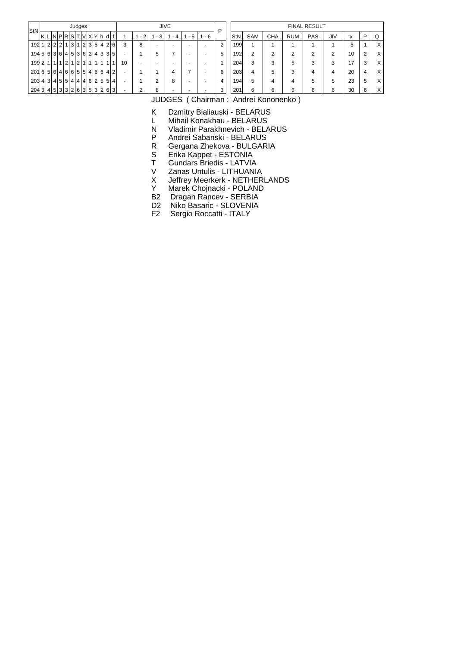| StN                           |  |                                                   | Judges |    |                |     |  |                          |      |                          | <b>JIVE</b>              |         |                          | D |     |            |            |            | <b>FINAL RESULT</b> |     |    |   |     |
|-------------------------------|--|---------------------------------------------------|--------|----|----------------|-----|--|--------------------------|------|--------------------------|--------------------------|---------|--------------------------|---|-----|------------|------------|------------|---------------------|-----|----|---|-----|
|                               |  | KLNPRSTVXYbdl                                     |        |    |                |     |  |                          | $-2$ | - 3                      | - 4                      | $1 - 5$ | - 6                      |   | StN | <b>SAM</b> | <b>CHA</b> | <b>RUM</b> | PAS                 | JIV | x  | P |     |
|                               |  | $192   1 2   2 2   1 3   1 2   3   5   4   2   6$ |        |    |                |     |  | 3                        | 8    | $\overline{\phantom{0}}$ | $\overline{\phantom{0}}$ |         | $\overline{\phantom{0}}$ | ◠ | 199 |            |            |            |                     |     | 5  |   | X   |
|                               |  | 1945636453624335                                  |        |    |                |     |  | -                        |      | 5                        |                          |         |                          | 5 | 192 | ◠          | ◠          | ◠          | っ                   |     | 10 |   | X   |
|                               |  | 1992111112112                                     |        | 11 | 1 <sup>1</sup> | 111 |  | 10                       |      |                          | -                        |         |                          |   | 204 | 3          | 3          | 5          |                     | 3   | 17 | 3 | X   |
| 2016564646655466642           |  |                                                   |        |    |                |     |  | -                        |      |                          | 4                        |         | $\overline{\phantom{0}}$ | 6 | 203 |            | 5          | 3          | 4                   | 4   | 20 |   | X   |
| 203 4 3 4 5 5 4 4 4 6 2 5 5 4 |  |                                                   |        |    |                |     |  | $\overline{\phantom{0}}$ |      | c                        | 8                        |         |                          | 4 | 194 | 5          | 4          | 4          | 5                   | 5   | 23 | 5 | X ' |
|                               |  | 2043 4533326 353263                               |        |    |                |     |  | $\sim$                   |      |                          | -                        |         |                          | 3 | 201 |            | 6          | 6          | 6                   | 6   | 30 |   |     |

K Dzmitry Bialiauski - BELARUS

L Mihail Konakhau - BELARUS<br>N Vladimir Parakhnevich - BELA

Vladimir Parakhnevich - BELARUS

P Andrei Sabanski - BELARUS<br>R Gergana Zhekova - BULGAR

R Gergana Zhekova - BULGARIA<br>S Erika Kappet - ESTONIA

S Erika Kappet - ESTONIA<br>T Gundars Briedis - LATVIA

T<br>T Gundars Briedis - LATVIA<br>V Zanas Untulis - LITHUANI.

V Zanas Untulis - LITHUANIA<br>X Jeffrey Meerkerk - NETHER

X Jeffrey Meerkerk - NETHERLANDS<br>Y Marek Choinacki - POLAND

Marek Chojnacki - POLAND

B2 Dragan Rancev - SERBIA

D2 Niko Basaric - SLOVENIA

F2 Sergio Roccatti - ITALY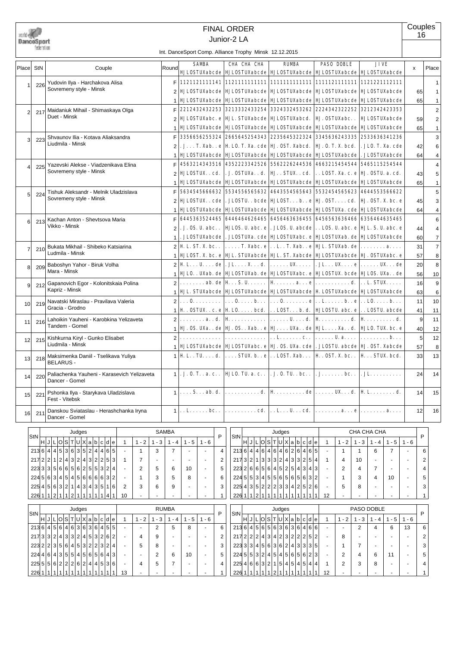|                 |                           |                                                                                     |                |                                    | <b>FINAL ORDER</b><br>Junior-2 LA                      |                                                                                                                                                         |                                                                                                      |                               | Couples<br>16   |                |
|-----------------|---------------------------|-------------------------------------------------------------------------------------|----------------|------------------------------------|--------------------------------------------------------|---------------------------------------------------------------------------------------------------------------------------------------------------------|------------------------------------------------------------------------------------------------------|-------------------------------|-----------------|----------------|
|                 | DanceSport<br>federation. |                                                                                     |                |                                    | Int. DanceSport Comp. Alliance Trophy Minsk 12.12.2015 |                                                                                                                                                         |                                                                                                      |                               |                 |                |
| Place           | StN                       | Couple                                                                              | Round          | <b>SAMBA</b>                       | CHA CHA CHA                                            | <b>RUMBA</b><br>  HJLOSTUXabcde    HJLOSTUXabcde    HJLOSTUXabcde    HJLOSTUXabcde    HJLOSTUXabcde                                                     | <b>PASO DOBLE</b>                                                                                    | <b>JIVE</b>                   | x               | Place          |
|                 | 226                       | Yudovin Ilya - Harchakova Alisa                                                     | F.             |                                    |                                                        |                                                                                                                                                         |                                                                                                      |                               |                 | $\mathbf{1}$   |
| 1               |                           | Sovremeny style - Minsk                                                             |                |                                    |                                                        | <b>HJLOSTUXabcde HJLOSTUXabcde HJLOSTUXabcde</b>                                                                                                        | <b>HJLOSTUXabcde</b>                                                                                 | <b>HJLOSTUXabcde</b>          | 65              | $\mathbf{1}$   |
|                 |                           |                                                                                     |                |                                    | <b>HJLOSTUXabcde HJLOSTUXabcde</b>                     | <b>HJLOSTUXabcde</b>                                                                                                                                    | <b>HJLOSTUXabcde</b>                                                                                 | <b>HJLOSTUXabcde</b>          | 65              | $\mathbf{1}$   |
| 2               | 217                       | Maidaniuk Mihail - Shimaskaya Olga                                                  | F              |                                    | 2212432432253 3213332433254                            | 3324332453262                                                                                                                                           | 2224342322252                                                                                        | 3212342423353                 |                 | $\overline{2}$ |
|                 |                           | Duet - Minsk                                                                        |                |                                    | <b>HJLOSTUXabc. e HJL. STUXabcde</b>                   | <b>HJLOSTUXabcd.</b>                                                                                                                                    | <b>HJ. OSTUXabc</b>                                                                                  | <b>HJLOSTUXabcde</b>          | 59              | $\overline{2}$ |
|                 |                           |                                                                                     |                |                                    | <b>HJLOSTUXabcde HJLOSTUXabcde</b>                     | <b>HJLOSTUXabcde</b>                                                                                                                                    | <b>HJLOSTUXabcde</b>                                                                                 | <b>HJLOSTUXabcde</b>          | 65              | $\mathbf{1}$   |
| 3               | 223                       | Shvaunov Ilia - Kotava Aliaksandra                                                  | F              |                                    |                                                        | 3356656255324 2665645254343 2235645322324                                                                                                               | 3345636243335                                                                                        | 2533636341236                 |                 | 3              |
|                 |                           | Liudmila - Minsk                                                                    |                |                                    | . J. T. Xab. . e   H. LO. T. Xa. cde   HJ. OST. Xabcd. |                                                                                                                                                         | <b>HJ. O. T. X. bcd.</b>                                                                             | . JLO. T. Xa. cde             | 42              | 6              |
|                 |                           |                                                                                     |                |                                    |                                                        | <b>HJLOSTUXabcde   HJLOSTUXabcde   HJLOSTUXabcde</b>                                                                                                    | <b>HJLOSTUXabcde</b>                                                                                 | . JLOSTUXabcde                | 64              | 4              |
| 4               | 225                       | Yazevski Alekse - Viadzenikava Elina                                                |                |                                    | 4563214343516 4352223342526                            | 5562226244536                                                                                                                                           | 4663215454544                                                                                        | 5465115254544                 |                 | 4              |
|                 |                           | Sovremeny style - Minsk                                                             |                | <b>HJLOSTUX. . cd.</b>             | . J. OSTUXa. . d.                                      | HJSTUXcd.                                                                                                                                               | . . LOST. Xa. c. e                                                                                   | HJ. 0STU. a. cd.              | 43              | 5              |
|                 |                           |                                                                                     |                |                                    |                                                        | <b>HJLOSTUXabcde   HJLOSTUXabcde   HJLOSTUXabcde   HJLOSTUXabcde  </b>                                                                                  |                                                                                                      | HJ LOSTUXabcde                | 65              | $\mathbf{1}$   |
| 5               | 224                       | Tishuk Aleksandr - Melnik Uladzislava                                               | F              |                                    |                                                        |                                                                                                                                                         |                                                                                                      |                               |                 | 5              |
|                 |                           | Sovremeny style - Minsk                                                             |                |                                    |                                                        | <b>HULOSTUX. . cde   . JLOSTU. . bcde   HULOST. b. . e   HJ. OST. cd.   HJ. OST. X. bc. e</b>                                                           |                                                                                                      |                               | 45              | 3              |
|                 |                           |                                                                                     |                |                                    |                                                        | <b>HULOSTUXabcde   HULOSTUXabcde   HULOSTUXabcde   HULOSTUXa. cde   HULOSTUXabcde</b>                                                                   |                                                                                                      |                               | 64              | 4              |
| 6               | 213                       | Kachan Anton - Shevtsova Maria                                                      | F              |                                    |                                                        |                                                                                                                                                         |                                                                                                      |                               |                 | 6              |
|                 |                           | Vikko - Minsk                                                                       | 2              |                                    |                                                        | . J. OS. U. abc. .   HJLOS. U. abc. e   . JLOS. U. abcde   LOS. U. abc. e   HJL. S. U. abc. e                                                           |                                                                                                      |                               | 44              | 4              |
|                 |                           |                                                                                     | $\mathbf{1}$   |                                    |                                                        | . JLOSTUXabcde   . JLOSTUXa. cde   HJLOSTUXabc. e   HJLOSTUXab. de   HJLOSTUXabcde                                                                      |                                                                                                      |                               | 60 <sup>1</sup> | $\overline{7}$ |
|                 | 210                       | Bukata Mikhail - Shibeko Katsiarina                                                 | $\overline{2}$ |                                    |                                                        | H. L. ST. X. bc. .   T. Xabc. e   L. . T. Xab. . e   HJL. STUXab. de                                                                                    |                                                                                                      | . <b>a.</b>                   | 31              | $\overline{7}$ |
|                 |                           | Ludmila - Minsk                                                                     |                |                                    |                                                        | <b>HILOST. X. bc. e HIL. STUXabcde HIL. ST. Xabcde HILOSTUXabcde HI. OSTUXabc. e</b>                                                                    |                                                                                                      |                               | 57              | 8              |
| 8               | 209                       | Baboshyn Yahor - Biruk Volha                                                        | $\overline{2}$ |                                    |                                                        | H. L. U. de   . JL. X. d.   UX.   . JL. UX. e   UX. de                                                                                                  |                                                                                                      |                               | 20 <sub>2</sub> | 8              |
|                 |                           | Mara - Minsk                                                                        |                |                                    |                                                        | HJLO. . UXab. de   HJLOSTUXab. de   HJLOSTUXabc. e   HJLOSTUX. bcde   HJLOS. UXa. . de                                                                  |                                                                                                      |                               | 56              | 10             |
| 9               | 212                       | Gapanovich Egor - Kolonitskaia Polina                                               | $\overline{2}$ |                                    |                                                        | . ab. de   H $\,$ S. U.   H $\,$ a. e $ $ d. $ $ L. STUX.                                                                                               |                                                                                                      |                               | 16              | 9              |
|                 |                           | Kapriz - Minsk                                                                      |                |                                    |                                                        | <b>HJL. STUXabcde   HJLOSTUXabcde   HJLOSTUXabcde   HLOSTUXabcde   HJLOSTUXabcde</b>                                                                    |                                                                                                      |                               | 63              | 6              |
| 10              | 219                       | Navatski Miraslau - Pravilava Valeria                                               | $\overline{2}$ |                                    |                                                        |                                                                                                                                                         |                                                                                                      |                               | 11              | 10             |
|                 |                           | Gracia - Grodno                                                                     |                |                                    |                                                        | H . OSTUX. . c. e   H LO. bcd.   LOST. b. d.   HJLOSTU. abc. e   LOSTU. abcde                                                                           |                                                                                                      |                               | 41              | 11             |
| 11              | 216                       | Lahoikin Yauheni - Karobkina Yelizaveta                                             | $\overline{2}$ |                                    |                                                        |                                                                                                                                                         |                                                                                                      |                               | $\vert 9 \vert$ | 11             |
|                 |                           | Tandem - Gomel                                                                      | $\mathbf{1}$   |                                    |                                                        | HJ . OS . UXa. . de   HJ . OS Xab. . e   HJ UXa. . de   HJL. Xa. . d.   HJLO. TUX. bc. e                                                                |                                                                                                      |                               | 40              | 12             |
| 12              | 215                       | Kishkurna Kiryl - Gunko Elisabet                                                    | $\overline{2}$ | .                                  | .                                                      |                                                                                                                                                         | . . L. c. .   U. a.   b.                                                                             |                               | 5 <sup>1</sup>  | 12             |
|                 |                           | Liudmila - Minsk                                                                    |                |                                    |                                                        | <b>1   HJLOSTUXabcde   HJLOSTUXabc. e   HJ. OS. UXa. cde   . JLOSTU. abcde   HJ. OST. Xabcde</b>                                                        |                                                                                                      |                               | 57              | 8              |
| 13 <sup>1</sup> |                           | 218 Maksimenka Daniil - Tselikava Yuliya<br>BELARUS -                               |                |                                    |                                                        | $\vert \vert$ H L. TU. $\ldots$ d. $\vert \ldots$ STUX. b. . e $\vert \ldots$ LOST. Xab. $\vert$ H $\ldots$ OST. X. bc. . $\vert$ H $\ldots$ STUX. bcd. |                                                                                                      |                               | 33              | 13             |
| 14              | 220                       | Paliachenka Yauheni - Karasevich Yelizaveta<br>Dancer - Gomel                       |                | $1$ . J. 0. T. . a. c. .           |                                                        | <b>HJLO. TU. a. c</b>   . J. O. TU. . bc                                                                                                                | $J_{\cdot}\ldots\ldots$ bc                                                                           | . JL.                         | 24              | 14             |
| 15              | 221                       | Pshonka Ilya - Starykava Uladzislava<br>Fest - Vitebsk                              |                | $1   \ldots S \ldots ab \ldots$    | . d.                                                   | $\mathbf{H}$ de                                                                                                                                         | $\dots \dots \texttt{UX} \dots \texttt{d}. \mid \texttt{H} \texttt{L} \dots \dots \dots \texttt{d}.$ |                               | 14              | 15             |
| 16              | 211                       | Danskou Sviataslau - Herashchanka Iryna<br>Dancer - Gomel                           |                | $1 \ldots L \ldots L$              | . cd.                                                  | . . L. U. cd.                                                                                                                                           | . <b>a. e</b>                                                                                        |                               | 12              | 16             |
|                 |                           |                                                                                     |                |                                    |                                                        |                                                                                                                                                         |                                                                                                      |                               |                 |                |
|                 | StN                       | Judges                                                                              | SAMBA          | P                                  | StN                                                    | Judges                                                                                                                                                  |                                                                                                      | CHA CHA CHA                   | P               |                |
|                 |                           | H J L O S T U X a b c d e<br>$1 - 2$<br>$1 - 3$<br>$\mathbf{1}$                     | $1 - 4$        | $1 - 5$<br>$1 - 6$                 |                                                        | H J L O S T U X a b c d e                                                                                                                               | $1 - 2$<br>$\mathbf{1}$                                                                              | $1 - 3$<br>$1 - 5$<br>$1 - 4$ | $1 - 6$         |                |
|                 |                           | 2136 4 45 36 35 2 4 465<br>3<br>1                                                   | 7              | 4<br>$\sim$<br>$\blacksquare$      |                                                        | 2136 4 4 6 4 6 4 6 2 6 4 6 5                                                                                                                            | $\mathbf 1$<br>$\mathbf{1}$                                                                          | $\overline{7}$<br>6           |                 | 6              |
|                 |                           | 217 2 2 1 2 4 3 2 4 3 2 2 5<br> 3 <br>7<br>$\mathbf{1}$<br>$\overline{\phantom{a}}$ | ٠              | 2<br>$\overline{\phantom{a}}$<br>٠ |                                                        | 2173 2 1 3 3 3 2 4 3 3 2 5 4                                                                                                                            | 10<br>-1<br>4                                                                                        | $\sim$                        |                 | 2              |
|                 |                           | 223 3 3 5 6 6 5 6 2 5 5 3 2<br>2<br>4<br>5                                          | 6              | 5<br>10                            |                                                        | 223 2 6 6 5 6 4 5 2 5 4 3 4 3                                                                                                                           | 2                                                                                                    | 4<br>7                        |                 | 4              |
|                 |                           | 22456345454566663<br>$\overline{2}$<br>3                                            | 5              | 8<br>6                             |                                                        | 2245 5 3 4 5 5 6 5 6 5 6 3 2                                                                                                                            |                                                                                                      | 3<br>10<br>4                  |                 | 5              |

| 226  1 1 2 1 1 2 1 1 1 1 1 4 1               |       |  |     |                 |  |                         |  |  | 10 |                          |                          |                          |                          |                          |   | $226   1   1   2   1   1   1   1   1   1   1   1   1   1$ |  |                |  |           |  |     |                               | 12     |      |     |            |         |         |   |
|----------------------------------------------|-------|--|-----|-----------------|--|-------------------------|--|--|----|--------------------------|--------------------------|--------------------------|--------------------------|--------------------------|---|-----------------------------------------------------------|--|----------------|--|-----------|--|-----|-------------------------------|--------|------|-----|------------|---------|---------|---|
|                                              |       |  |     |                 |  |                         |  |  |    |                          |                          |                          |                          |                          |   |                                                           |  |                |  |           |  |     |                               |        |      |     |            |         |         |   |
|                                              |       |  |     | Judges          |  |                         |  |  |    |                          |                          | <b>RUMBA</b>             |                          |                          |   |                                                           |  |                |  | Judges    |  |     |                               |        |      |     | PASO DOBLE |         |         |   |
| StN                                          | HJLOS |  |     | T U X a b c d e |  |                         |  |  |    | $-2$                     | - 3                      | -4                       | - 5                      | - 6                      | P | StN                                                       |  |                |  |           |  |     | $HJLI$ $O S T U X a b c d e $ |        | $-2$ | - 3 | - 4        | $1 - 5$ | $1 - 6$ | P |
| 2136 456 46363636455                         |       |  |     |                 |  |                         |  |  |    | <b>.</b>                 | 2                        | 5                        | 8                        | $\overline{\phantom{0}}$ | 6 | 2136 45656363636466                                       |  |                |  |           |  |     |                               | $\sim$ | -    | 2   |            | 6       | 13      | 6 |
| 217 3 3 2 4 3 3 2 4 5 3 2 6 2                |       |  |     |                 |  |                         |  |  |    | 4                        | 9                        |                          | $\overline{\phantom{a}}$ | -                        | 2 | 217 2 2 2 4 3 4 2 3 2 2 2 5 2                             |  |                |  |           |  |     |                               |        | 8    | -   |            |         |         | 2 |
| $223$ 2 2 3 5 6 4 5 3 2 2 3 2 4              |       |  |     |                 |  |                         |  |  |    | 5                        | 8                        | $\overline{\phantom{a}}$ | -                        | $\overline{\phantom{0}}$ | 3 | 223 3 3 4 5 6 3 6 2 4 3 3 35                              |  |                |  |           |  |     |                               |        |      | –   |            |         |         | 3 |
| 22446435554565643                            |       |  |     |                 |  |                         |  |  |    | $\overline{\phantom{0}}$ | 2                        | 6                        | 10                       | $\overline{\phantom{0}}$ | 5 | 224553245454565623                                        |  |                |  |           |  |     |                               | -      | ◠    | 4   | 6          | 11      |         | 5 |
| $225\,5\,5\,6\,2\,2\,2\,6\,2\,4\,4\,5\,3\,6$ |       |  |     |                 |  |                         |  |  |    | 4                        | 5                        |                          | $\overline{\phantom{0}}$ |                          | 4 | 225  4 6 6 3 2 1 5 4 5 4 5 4                              |  |                |  |           |  |     | 4                             |        | っ    | 3   | 8          |         |         | 4 |
| $226 \mid 1 \mid 1 \mid 1$                   |       |  | 111 |                 |  | $^{\circ}$ 1 $^{\circ}$ |  |  | 13 |                          | $\overline{\phantom{a}}$ |                          | $\overline{\phantom{a}}$ |                          |   | 226 1                                                     |  | $\overline{ }$ |  | 1 1 2 1 1 |  | 111 |                               | 12     |      |     |            |         |         |   |

225|4|3|5|2|2|2|3|3|4|2|5|2|6| - | 5 | 8 | - | - | - | 3

225|4|5|6|3|2|1|4|3|4|3|5|1|6| 2 | 3 | 6 | 9 | - | - | 3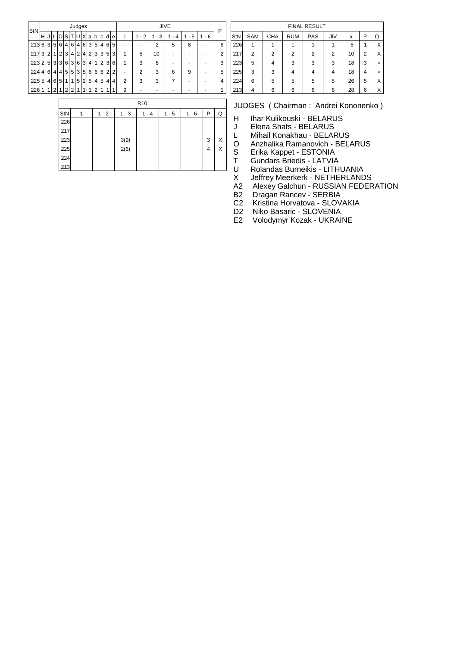| StN |                |                |   |                |                |                | Judges         |                |                |                |                |   |   |   |                |                | <b>JIVE</b> |       |         | Р |
|-----|----------------|----------------|---|----------------|----------------|----------------|----------------|----------------|----------------|----------------|----------------|---|---|---|----------------|----------------|-------------|-------|---------|---|
|     | н              | J              |   | C              | S              |                | U              | X              | a              | b              | c              | d | е | 1 | $1 - 2$        | - 3<br>1.      |             | 1 - 5 | $1 - 6$ |   |
| 213 | 6              | 3              | 5 | 6              | $\vert$        | 6              | 4 <sup>1</sup> | 6              | 3 <sup>1</sup> | 5 <sup>1</sup> | 4 <sup>1</sup> | 6 | 5 | ٠ | -              | $\overline{2}$ | 5           | 8     | -       | 6 |
| 217 | 3              | 2              | 1 | 2              | 3              | 4              | $\overline{2}$ | 4              | $\overline{2}$ | 31             | 3              | 5 | 3 | 1 | 5              | 10             |             |       |         | 2 |
| 223 | 2              | 5              | 3 | 3              | 6              | 3              | 6              | 3              | 4              | 1              | $\overline{2}$ | 3 | 6 | 1 | 3              | 8              | -           |       |         | 3 |
| 224 | $\overline{4}$ | 6              | 4 | 4 <sup>1</sup> | 5 <sup>1</sup> | 5 <sup>1</sup> | 3              | 5              | 6              | 6              | 6              | 2 | 2 | ٠ | $\overline{2}$ | 3              | 6           | 9     |         | 5 |
| 225 | 5              | $\overline{4}$ | 6 | 5              |                | 1              | 5              | $\overline{2}$ | 5              | 4 <sup>1</sup> | 5              | 4 | 4 | 2 | 3              | 3              | 7           | -     |         | 4 |
| 226 |                | 1              | 2 | 1              | 2              | $\overline{2}$ |                |                |                | ◠              |                |   |   | 9 | -              |                |             |       |         |   |

| ٠                            | 6              | 226 |   |   |   |   |   | 5  | 1 | X      |
|------------------------------|----------------|-----|---|---|---|---|---|----|---|--------|
| $\qquad \qquad \blacksquare$ | 2              | 217 | 2 | 2 | 2 | 2 | 2 | 10 | 2 | X      |
| $\qquad \qquad \blacksquare$ | 3              | 223 | 5 | 4 | 3 | 3 | 3 | 18 | 3 | >      |
| ٠                            | 5              | 225 | 3 | 3 |   | 4 | 4 | 18 | 4 | $\geq$ |
| ÷                            | $\overline{4}$ | 224 | 6 | 5 | 5 | 5 | 5 | 26 | 5 | Χ      |
| ٠                            | 1              | 213 |   | 6 | 6 | 6 | 6 | 28 | 6 | X      |
|                              |                |     |   |   |   |   |   |    |   |        |

|     |         |         | R <sub>10</sub> |         |         |   |   |
|-----|---------|---------|-----------------|---------|---------|---|---|
| StN | $1 - 2$ | $1 - 3$ | 1 - 4           | $1 - 5$ | $1 - 6$ | P | Q |
| 226 |         |         |                 |         |         |   |   |
| 217 |         |         |                 |         |         |   |   |
| 223 |         | 3(9)    |                 |         |         | 3 | Χ |
| 225 |         | 2(6)    |                 |         |         | 4 | Χ |
| 224 |         |         |                 |         |         |   |   |
| 213 |         |         |                 |         |         |   |   |

FINAL RESULT  $|StN|$  SAM  $|CHA |RUM |PAS |JIV | x | P Q$ 

- H Ihar Kulikouski BELARUS
- J Elena Shats BELARUS
- L Mihail Konakhau BELARUS
- O Anzhalika Ramanovich BELARUS<br>S Erika Kappet ESTONIA
- S Erika Kappet ESTONIA<br>T Gundars Briedis LATVIA
- T Gundars Briedis LATVIA<br>U Rolandas Burneikis LITH
- U Rolandas Burneikis LITHUANIA<br>X Jeffrey Meerkerk NETHERLAND
- X Jeffrey Meerkerk NETHERLANDS<br>A2 Alexey Galchun RUSSIAN FEDER
- A2 Alexey Galchun RUSSIAN FEDERATION<br>B2 Dragan Rancev SERBIA
- B2 Dragan Rancev SERBIA<br>C2 Kristina Horvatova SLOV
- C2 Kristina Horvatova SLOVAKIA<br>D2 Niko Basaric SLOVENIA
- Niko Basaric SLOVENIA
- E2 Volodymyr Kozak UKRAINE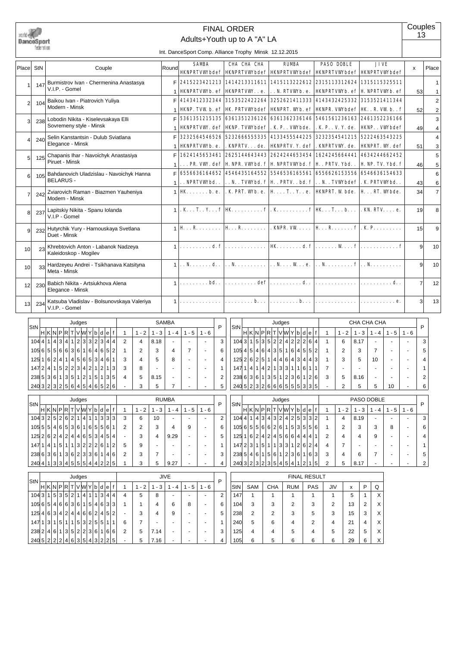

# FINAL ORDER

Couples 13

Adults+Youth up to A "A" LA

Int. DanceSport Comp. Alliance Trophy Minsk 12.12.2015

| <b>SAMBA</b><br>CHA CHA CHA<br><b>RIMRA</b><br><b>PASO DOBLE</b><br><b>JIVE</b><br>Place StN<br>Couple<br>Round<br>Place<br>$\mathsf{x}$<br>HKNPRIVWbdef   HKNPRIVWbdef   HKNPRIVWbdef   HKNPRIVWbdef   HKNPRIVWbdef<br>F.<br>2415223421213 1414213311611 1415113222612 2315113312624 1315115325511<br>Burmistrov Ivan - Chermenina Anastasya<br>147<br>V.I.P. - Gomel<br><b>HNPRIVWb. ef HNPRIVW. . e.</b><br>. . N. RIVWb. e.<br>  HKNPRTVWb. ef   H. NPRTVWb. ef<br>53<br>4143412332344 3153522422264 3252621411333 4143432425332 3153521411344<br>Baikou Ivan - Piatrovich Yuliya<br>2<br>$\overline{2}$<br>104<br>Modern - Minsk<br><b>HKVP. TVW b. ef   HK. PRIVWbdef   HKVPRI. Wb. ef   HKVPR. VWbdef   HK. . R. VW b. . f</b><br>52<br>2<br>5361351215135    6361351236126    6361362336146    5461561236163    2461352236166<br>Lobodin Nikita - Kiselevsakaya Elli<br>3<br>3<br>238<br>Sovremeny style - Minsk<br><b>HNPRIVW.</b> def   HNP. TVWbdef   . K. P. . VWbde.<br>. K. P. . V. Y. de.<br><b>HKNP. . VWbdef</b><br>49<br>4<br>3232564546526 5232666555335 4133455544225 3232354541215 5222463543225<br>Selin Kanstantsin - Dulub Sviatlana<br>4<br>240<br>Δ<br>Elegance - Minsk<br><b>HKNPRTVWb. e.</b><br>. KNPRIV. de.   HKNPRIV. Y. def   . KNPRIVW. de.<br><b>HWPRT. W. def</b><br>51<br>3<br>1624145653461 2625144643443 2624244653454 1624245664441<br>4634244662452<br>Chapanis Ihar - Navoichyk Anastasiya<br>5<br>125<br>5<br>Piruet - Minsk<br>$\ldots$ PR. VW. def $\vert$ H. NPR. VWbd. $\bf f\vert$ H. NPRIVWbd. $\bf f\vert$ H. . PRIV. Ybd. .<br>H. NP. TV. Ybd. f<br>46<br>5<br>6556636164652 4546435164552 5546536165561 6556626153556 6546636154633<br>F.<br>6<br>Bahdanovich Uladzislau - Navoichyk Hanna<br>105<br>6<br><b>BELARUS -</b><br>. . NPRIVWbd. .<br>$\ldots$ N. . TVWbd. $f \mid H$ . PRIV. . bd. $f \mid \ldots$ N. . TVWbde $f \mid \ldots$ K. PRIVWbd. .<br>43<br>6<br>$\vert$ . K. PRT. Wb. e. $\vert$ H $\ldots$ T. $\ldots$ Y. $\ldots$ e. $\vert$ HKNPRT. W bde.<br>$HK \ldots h.e.$<br>H. RT. Wbde.<br>34<br>$\overline{7}$<br>Zviarovich Raman - Biazmen Yauheniya<br>242<br>$\overline{7}$<br>Modern - Minsk<br>$K_{\cdot}, K_{\cdot}, K_{\cdot}, f$ HK $\cdot, \cdot, \cdot, \cdot, \cdot, f$ , K $\cdot, \cdot, \cdot, \cdot, \cdot, f$ HK $\cdot, T_{\cdot}, \cdot, b_{\cdot}, \cdot$<br>$.$ KN. RTV. $. e.$<br>19<br>Lapitskiy Nikita - Spanu Iolanda<br>8<br>8<br>237<br>V.I.P - Gomel<br>$\vert {\bf H} \ldots {\bf R} \ldots \ldots \vert {\bf H} \ldots {\bf R} \ldots \ldots \vert$ . KNPR. VW. $\ldots \vert {\bf H} \ldots {\bf R} \ldots \ldots \cdot {\bf f} \vert$ . K. P. $\ldots \ldots \ldots$<br>Hutyrchik Yury - Harnouskaya Svetlana<br>15<br>9<br>232<br>q<br>Duet - Minsk<br>d. f<br>9<br>Khrebtovich Anton - Labanok Nadzeya<br>.<br>10 <sup>1</sup><br>23<br>10 <sup>1</sup><br>Kaleidoskop - Mogilev<br>$1, N, \ldots, d, l, N, \ldots, l, N, \ldots, N, \ldots, N, e, l, N, \ldots, f   \ldots, N, \ldots, l$<br>9<br>Hardzeyeu Andrei - Tsikhanava Katsityna<br>10<br>33<br>10<br>Meta - Minsk<br>$\ldots \ldots \text{def}  \ldots \ldots \text{d}.$<br>. <b>bd</b> . .<br>.<br>$\overline{7}$<br>12<br>Babich Nikita - Artsiukhova Alena<br>230<br>12<br>Elegance - Minsk<br>. <b>b.</b><br>$\mathbf{b}$<br>$\mathbf{3}$<br>13<br>Katsuba Vladislav - Bolsunovskaya Valeriya<br>.<br>234<br>13 <sup>1</sup><br>V.I.P. - Gomel<br><b>SAMBA</b><br>CHA CHA CHA<br>Judges<br>Judges<br>StN<br>P<br>P<br>StN<br>H K N P R T V W Y b d e f<br>H K N P R T V W Y b d e f <br>$1 - 2$<br>$1 - 2$<br>$1 - 3$<br>$1 - 5$<br>$1 - 3$<br>$1 - 5$   $1 - 6$<br>$\mathbf{1}$<br>$1 - 4$<br>$1 - 6$<br>$\overline{1}$<br>$1 - 4$<br>1044114341123323444<br>1043153522422264<br>$\overline{2}$<br>3<br>4<br>8.18<br>$\overline{1}$<br>6<br>8.17<br>3<br>1056555663616164652<br>105 4 5 4 6 4 3 5 1 6 4 5 5 2<br>3<br>$\overline{7}$<br>3<br>$\overline{2}$<br>6<br>$\overline{2}$<br>$\overline{7}$<br>5<br>1<br>4<br>$\mathbf 1$ |  |  |  |  |  |  |  |  |  |  |  |
|------------------------------------------------------------------------------------------------------------------------------------------------------------------------------------------------------------------------------------------------------------------------------------------------------------------------------------------------------------------------------------------------------------------------------------------------------------------------------------------------------------------------------------------------------------------------------------------------------------------------------------------------------------------------------------------------------------------------------------------------------------------------------------------------------------------------------------------------------------------------------------------------------------------------------------------------------------------------------------------------------------------------------------------------------------------------------------------------------------------------------------------------------------------------------------------------------------------------------------------------------------------------------------------------------------------------------------------------------------------------------------------------------------------------------------------------------------------------------------------------------------------------------------------------------------------------------------------------------------------------------------------------------------------------------------------------------------------------------------------------------------------------------------------------------------------------------------------------------------------------------------------------------------------------------------------------------------------------------------------------------------------------------------------------------------------------------------------------------------------------------------------------------------------------------------------------------------------------------------------------------------------------------------------------------------------------------------------------------------------------------------------------------------------------------------------------------------------------------------------------------------------------------------------------------------------------------------------------------------------------------------------------------------------------------------------------------------------------------------------------------------------------------------------------------------------------------------------------------------------------------------------------------------------------------------------------------------------------------------------------------------------------------------------------------------------------------------------------------------------------------------------------------------------------------------------------------------------------------------------------------------------------------------------------------------------------------------------------------------------------------------------------------------------------------------------------------------------------------------------------------------------------------------------------------------------------------------------------------------------------------------------------------------------------------------------------------------------------------------------------------------------------------------------------------------------------------------------------------------------------------------------------------------------------------------------------------------------------------------------------------------|--|--|--|--|--|--|--|--|--|--|--|
|                                                                                                                                                                                                                                                                                                                                                                                                                                                                                                                                                                                                                                                                                                                                                                                                                                                                                                                                                                                                                                                                                                                                                                                                                                                                                                                                                                                                                                                                                                                                                                                                                                                                                                                                                                                                                                                                                                                                                                                                                                                                                                                                                                                                                                                                                                                                                                                                                                                                                                                                                                                                                                                                                                                                                                                                                                                                                                                                                                                                                                                                                                                                                                                                                                                                                                                                                                                                                                                                                                                                                                                                                                                                                                                                                                                                                                                                                                                                                                                                            |  |  |  |  |  |  |  |  |  |  |  |
|                                                                                                                                                                                                                                                                                                                                                                                                                                                                                                                                                                                                                                                                                                                                                                                                                                                                                                                                                                                                                                                                                                                                                                                                                                                                                                                                                                                                                                                                                                                                                                                                                                                                                                                                                                                                                                                                                                                                                                                                                                                                                                                                                                                                                                                                                                                                                                                                                                                                                                                                                                                                                                                                                                                                                                                                                                                                                                                                                                                                                                                                                                                                                                                                                                                                                                                                                                                                                                                                                                                                                                                                                                                                                                                                                                                                                                                                                                                                                                                                            |  |  |  |  |  |  |  |  |  |  |  |
|                                                                                                                                                                                                                                                                                                                                                                                                                                                                                                                                                                                                                                                                                                                                                                                                                                                                                                                                                                                                                                                                                                                                                                                                                                                                                                                                                                                                                                                                                                                                                                                                                                                                                                                                                                                                                                                                                                                                                                                                                                                                                                                                                                                                                                                                                                                                                                                                                                                                                                                                                                                                                                                                                                                                                                                                                                                                                                                                                                                                                                                                                                                                                                                                                                                                                                                                                                                                                                                                                                                                                                                                                                                                                                                                                                                                                                                                                                                                                                                                            |  |  |  |  |  |  |  |  |  |  |  |
|                                                                                                                                                                                                                                                                                                                                                                                                                                                                                                                                                                                                                                                                                                                                                                                                                                                                                                                                                                                                                                                                                                                                                                                                                                                                                                                                                                                                                                                                                                                                                                                                                                                                                                                                                                                                                                                                                                                                                                                                                                                                                                                                                                                                                                                                                                                                                                                                                                                                                                                                                                                                                                                                                                                                                                                                                                                                                                                                                                                                                                                                                                                                                                                                                                                                                                                                                                                                                                                                                                                                                                                                                                                                                                                                                                                                                                                                                                                                                                                                            |  |  |  |  |  |  |  |  |  |  |  |
|                                                                                                                                                                                                                                                                                                                                                                                                                                                                                                                                                                                                                                                                                                                                                                                                                                                                                                                                                                                                                                                                                                                                                                                                                                                                                                                                                                                                                                                                                                                                                                                                                                                                                                                                                                                                                                                                                                                                                                                                                                                                                                                                                                                                                                                                                                                                                                                                                                                                                                                                                                                                                                                                                                                                                                                                                                                                                                                                                                                                                                                                                                                                                                                                                                                                                                                                                                                                                                                                                                                                                                                                                                                                                                                                                                                                                                                                                                                                                                                                            |  |  |  |  |  |  |  |  |  |  |  |
|                                                                                                                                                                                                                                                                                                                                                                                                                                                                                                                                                                                                                                                                                                                                                                                                                                                                                                                                                                                                                                                                                                                                                                                                                                                                                                                                                                                                                                                                                                                                                                                                                                                                                                                                                                                                                                                                                                                                                                                                                                                                                                                                                                                                                                                                                                                                                                                                                                                                                                                                                                                                                                                                                                                                                                                                                                                                                                                                                                                                                                                                                                                                                                                                                                                                                                                                                                                                                                                                                                                                                                                                                                                                                                                                                                                                                                                                                                                                                                                                            |  |  |  |  |  |  |  |  |  |  |  |
|                                                                                                                                                                                                                                                                                                                                                                                                                                                                                                                                                                                                                                                                                                                                                                                                                                                                                                                                                                                                                                                                                                                                                                                                                                                                                                                                                                                                                                                                                                                                                                                                                                                                                                                                                                                                                                                                                                                                                                                                                                                                                                                                                                                                                                                                                                                                                                                                                                                                                                                                                                                                                                                                                                                                                                                                                                                                                                                                                                                                                                                                                                                                                                                                                                                                                                                                                                                                                                                                                                                                                                                                                                                                                                                                                                                                                                                                                                                                                                                                            |  |  |  |  |  |  |  |  |  |  |  |
|                                                                                                                                                                                                                                                                                                                                                                                                                                                                                                                                                                                                                                                                                                                                                                                                                                                                                                                                                                                                                                                                                                                                                                                                                                                                                                                                                                                                                                                                                                                                                                                                                                                                                                                                                                                                                                                                                                                                                                                                                                                                                                                                                                                                                                                                                                                                                                                                                                                                                                                                                                                                                                                                                                                                                                                                                                                                                                                                                                                                                                                                                                                                                                                                                                                                                                                                                                                                                                                                                                                                                                                                                                                                                                                                                                                                                                                                                                                                                                                                            |  |  |  |  |  |  |  |  |  |  |  |
|                                                                                                                                                                                                                                                                                                                                                                                                                                                                                                                                                                                                                                                                                                                                                                                                                                                                                                                                                                                                                                                                                                                                                                                                                                                                                                                                                                                                                                                                                                                                                                                                                                                                                                                                                                                                                                                                                                                                                                                                                                                                                                                                                                                                                                                                                                                                                                                                                                                                                                                                                                                                                                                                                                                                                                                                                                                                                                                                                                                                                                                                                                                                                                                                                                                                                                                                                                                                                                                                                                                                                                                                                                                                                                                                                                                                                                                                                                                                                                                                            |  |  |  |  |  |  |  |  |  |  |  |
|                                                                                                                                                                                                                                                                                                                                                                                                                                                                                                                                                                                                                                                                                                                                                                                                                                                                                                                                                                                                                                                                                                                                                                                                                                                                                                                                                                                                                                                                                                                                                                                                                                                                                                                                                                                                                                                                                                                                                                                                                                                                                                                                                                                                                                                                                                                                                                                                                                                                                                                                                                                                                                                                                                                                                                                                                                                                                                                                                                                                                                                                                                                                                                                                                                                                                                                                                                                                                                                                                                                                                                                                                                                                                                                                                                                                                                                                                                                                                                                                            |  |  |  |  |  |  |  |  |  |  |  |
|                                                                                                                                                                                                                                                                                                                                                                                                                                                                                                                                                                                                                                                                                                                                                                                                                                                                                                                                                                                                                                                                                                                                                                                                                                                                                                                                                                                                                                                                                                                                                                                                                                                                                                                                                                                                                                                                                                                                                                                                                                                                                                                                                                                                                                                                                                                                                                                                                                                                                                                                                                                                                                                                                                                                                                                                                                                                                                                                                                                                                                                                                                                                                                                                                                                                                                                                                                                                                                                                                                                                                                                                                                                                                                                                                                                                                                                                                                                                                                                                            |  |  |  |  |  |  |  |  |  |  |  |
|                                                                                                                                                                                                                                                                                                                                                                                                                                                                                                                                                                                                                                                                                                                                                                                                                                                                                                                                                                                                                                                                                                                                                                                                                                                                                                                                                                                                                                                                                                                                                                                                                                                                                                                                                                                                                                                                                                                                                                                                                                                                                                                                                                                                                                                                                                                                                                                                                                                                                                                                                                                                                                                                                                                                                                                                                                                                                                                                                                                                                                                                                                                                                                                                                                                                                                                                                                                                                                                                                                                                                                                                                                                                                                                                                                                                                                                                                                                                                                                                            |  |  |  |  |  |  |  |  |  |  |  |
|                                                                                                                                                                                                                                                                                                                                                                                                                                                                                                                                                                                                                                                                                                                                                                                                                                                                                                                                                                                                                                                                                                                                                                                                                                                                                                                                                                                                                                                                                                                                                                                                                                                                                                                                                                                                                                                                                                                                                                                                                                                                                                                                                                                                                                                                                                                                                                                                                                                                                                                                                                                                                                                                                                                                                                                                                                                                                                                                                                                                                                                                                                                                                                                                                                                                                                                                                                                                                                                                                                                                                                                                                                                                                                                                                                                                                                                                                                                                                                                                            |  |  |  |  |  |  |  |  |  |  |  |
|                                                                                                                                                                                                                                                                                                                                                                                                                                                                                                                                                                                                                                                                                                                                                                                                                                                                                                                                                                                                                                                                                                                                                                                                                                                                                                                                                                                                                                                                                                                                                                                                                                                                                                                                                                                                                                                                                                                                                                                                                                                                                                                                                                                                                                                                                                                                                                                                                                                                                                                                                                                                                                                                                                                                                                                                                                                                                                                                                                                                                                                                                                                                                                                                                                                                                                                                                                                                                                                                                                                                                                                                                                                                                                                                                                                                                                                                                                                                                                                                            |  |  |  |  |  |  |  |  |  |  |  |
|                                                                                                                                                                                                                                                                                                                                                                                                                                                                                                                                                                                                                                                                                                                                                                                                                                                                                                                                                                                                                                                                                                                                                                                                                                                                                                                                                                                                                                                                                                                                                                                                                                                                                                                                                                                                                                                                                                                                                                                                                                                                                                                                                                                                                                                                                                                                                                                                                                                                                                                                                                                                                                                                                                                                                                                                                                                                                                                                                                                                                                                                                                                                                                                                                                                                                                                                                                                                                                                                                                                                                                                                                                                                                                                                                                                                                                                                                                                                                                                                            |  |  |  |  |  |  |  |  |  |  |  |
|                                                                                                                                                                                                                                                                                                                                                                                                                                                                                                                                                                                                                                                                                                                                                                                                                                                                                                                                                                                                                                                                                                                                                                                                                                                                                                                                                                                                                                                                                                                                                                                                                                                                                                                                                                                                                                                                                                                                                                                                                                                                                                                                                                                                                                                                                                                                                                                                                                                                                                                                                                                                                                                                                                                                                                                                                                                                                                                                                                                                                                                                                                                                                                                                                                                                                                                                                                                                                                                                                                                                                                                                                                                                                                                                                                                                                                                                                                                                                                                                            |  |  |  |  |  |  |  |  |  |  |  |
|                                                                                                                                                                                                                                                                                                                                                                                                                                                                                                                                                                                                                                                                                                                                                                                                                                                                                                                                                                                                                                                                                                                                                                                                                                                                                                                                                                                                                                                                                                                                                                                                                                                                                                                                                                                                                                                                                                                                                                                                                                                                                                                                                                                                                                                                                                                                                                                                                                                                                                                                                                                                                                                                                                                                                                                                                                                                                                                                                                                                                                                                                                                                                                                                                                                                                                                                                                                                                                                                                                                                                                                                                                                                                                                                                                                                                                                                                                                                                                                                            |  |  |  |  |  |  |  |  |  |  |  |
|                                                                                                                                                                                                                                                                                                                                                                                                                                                                                                                                                                                                                                                                                                                                                                                                                                                                                                                                                                                                                                                                                                                                                                                                                                                                                                                                                                                                                                                                                                                                                                                                                                                                                                                                                                                                                                                                                                                                                                                                                                                                                                                                                                                                                                                                                                                                                                                                                                                                                                                                                                                                                                                                                                                                                                                                                                                                                                                                                                                                                                                                                                                                                                                                                                                                                                                                                                                                                                                                                                                                                                                                                                                                                                                                                                                                                                                                                                                                                                                                            |  |  |  |  |  |  |  |  |  |  |  |
|                                                                                                                                                                                                                                                                                                                                                                                                                                                                                                                                                                                                                                                                                                                                                                                                                                                                                                                                                                                                                                                                                                                                                                                                                                                                                                                                                                                                                                                                                                                                                                                                                                                                                                                                                                                                                                                                                                                                                                                                                                                                                                                                                                                                                                                                                                                                                                                                                                                                                                                                                                                                                                                                                                                                                                                                                                                                                                                                                                                                                                                                                                                                                                                                                                                                                                                                                                                                                                                                                                                                                                                                                                                                                                                                                                                                                                                                                                                                                                                                            |  |  |  |  |  |  |  |  |  |  |  |
|                                                                                                                                                                                                                                                                                                                                                                                                                                                                                                                                                                                                                                                                                                                                                                                                                                                                                                                                                                                                                                                                                                                                                                                                                                                                                                                                                                                                                                                                                                                                                                                                                                                                                                                                                                                                                                                                                                                                                                                                                                                                                                                                                                                                                                                                                                                                                                                                                                                                                                                                                                                                                                                                                                                                                                                                                                                                                                                                                                                                                                                                                                                                                                                                                                                                                                                                                                                                                                                                                                                                                                                                                                                                                                                                                                                                                                                                                                                                                                                                            |  |  |  |  |  |  |  |  |  |  |  |
|                                                                                                                                                                                                                                                                                                                                                                                                                                                                                                                                                                                                                                                                                                                                                                                                                                                                                                                                                                                                                                                                                                                                                                                                                                                                                                                                                                                                                                                                                                                                                                                                                                                                                                                                                                                                                                                                                                                                                                                                                                                                                                                                                                                                                                                                                                                                                                                                                                                                                                                                                                                                                                                                                                                                                                                                                                                                                                                                                                                                                                                                                                                                                                                                                                                                                                                                                                                                                                                                                                                                                                                                                                                                                                                                                                                                                                                                                                                                                                                                            |  |  |  |  |  |  |  |  |  |  |  |
|                                                                                                                                                                                                                                                                                                                                                                                                                                                                                                                                                                                                                                                                                                                                                                                                                                                                                                                                                                                                                                                                                                                                                                                                                                                                                                                                                                                                                                                                                                                                                                                                                                                                                                                                                                                                                                                                                                                                                                                                                                                                                                                                                                                                                                                                                                                                                                                                                                                                                                                                                                                                                                                                                                                                                                                                                                                                                                                                                                                                                                                                                                                                                                                                                                                                                                                                                                                                                                                                                                                                                                                                                                                                                                                                                                                                                                                                                                                                                                                                            |  |  |  |  |  |  |  |  |  |  |  |
|                                                                                                                                                                                                                                                                                                                                                                                                                                                                                                                                                                                                                                                                                                                                                                                                                                                                                                                                                                                                                                                                                                                                                                                                                                                                                                                                                                                                                                                                                                                                                                                                                                                                                                                                                                                                                                                                                                                                                                                                                                                                                                                                                                                                                                                                                                                                                                                                                                                                                                                                                                                                                                                                                                                                                                                                                                                                                                                                                                                                                                                                                                                                                                                                                                                                                                                                                                                                                                                                                                                                                                                                                                                                                                                                                                                                                                                                                                                                                                                                            |  |  |  |  |  |  |  |  |  |  |  |
|                                                                                                                                                                                                                                                                                                                                                                                                                                                                                                                                                                                                                                                                                                                                                                                                                                                                                                                                                                                                                                                                                                                                                                                                                                                                                                                                                                                                                                                                                                                                                                                                                                                                                                                                                                                                                                                                                                                                                                                                                                                                                                                                                                                                                                                                                                                                                                                                                                                                                                                                                                                                                                                                                                                                                                                                                                                                                                                                                                                                                                                                                                                                                                                                                                                                                                                                                                                                                                                                                                                                                                                                                                                                                                                                                                                                                                                                                                                                                                                                            |  |  |  |  |  |  |  |  |  |  |  |

| $238\,5 3 6 1 3 5 1 2 1 5 1 3 5 $ |                         |  |        |  |  |      |               | 5    | 8.15 |              |         |         | 2 |     | 238 6 3 6 1 3 5 1 2 3 6 1 2 6                             |  |  |                         |  |     |  |                | 3 | 5    | 8.16 |            |         |         | 2  |
|-----------------------------------|-------------------------|--|--------|--|--|------|---------------|------|------|--------------|---------|---------|---|-----|-----------------------------------------------------------|--|--|-------------------------|--|-----|--|----------------|---|------|------|------------|---------|---------|----|
| $240$ 3 2 3 2 5 6 4 5 4 6 5 2 6   |                         |  |        |  |  |      |               |      | 5    |              |         |         | 5 |     | $240\,5\,2\,3\,2\,6\,6\,6\,5\,5\,5\,3\,3\,5$              |  |  |                         |  |     |  |                |   |      | 5    | 5          | 10      |         | 6  |
|                                   |                         |  |        |  |  |      |               |      |      |              |         |         |   |     |                                                           |  |  |                         |  |     |  |                |   |      |      |            |         |         |    |
| StN                               |                         |  | Judges |  |  |      |               |      |      | <b>RUMBA</b> |         |         | P | StN |                                                           |  |  | Judges                  |  |     |  |                |   |      |      | PASO DOBLE |         |         | P  |
|                                   | H K N P R T V W Y b d e |  |        |  |  |      |               | $-2$ | $-3$ | $-4$         | $1 - 5$ | $1 - 6$ |   |     |                                                           |  |  | H K N P R T V W Y b d e |  |     |  |                |   | $-2$ | $-3$ | $-4$       | $1 - 5$ | $1 - 6$ |    |
| 10432526211411                    |                         |  |        |  |  | 1333 | 3             | 6    | 10   |              |         |         | 2 |     | 104411434324253332                                        |  |  |                         |  |     |  |                |   | 4    | 8.19 |            |         |         | -3 |
| 105 5 5 4 6 5 3 6 1 6 5 5 6       |                         |  |        |  |  |      | 2             | ◠    | 3    |              | 9       |         | 6 |     | 105665566626153556                                        |  |  |                         |  |     |  |                |   | っ    | 3    | 3          | 8       |         | 6  |
| 125 2 6 2 4 2 4 4 6 5 3 4 5 4     |                         |  |        |  |  |      |               | 3    | 4    | 9.29         | -       |         | 5 |     | 125 1 6 2 4 2 4 5 6 6 4 4 4                               |  |  |                         |  |     |  |                | 2 |      |      | 9          |         |         |    |
| 14711411511132226                 |                         |  |        |  |  | 2    | 5             | 9    |      |              |         |         |   |     | 147 2 3 1 5 1 1 3 3 1 2 6 2                               |  |  |                         |  |     |  |                |   |      |      |            |         |         |    |
| 238 6 3 6 1 3 6 2 3 3 6 1 4 6     |                         |  |        |  |  |      | $\mathcal{P}$ | 3    |      |              |         |         | 3 |     | $238   5   4   6   1   5   6   1   2   3   6   1   6   3$ |  |  |                         |  |     |  |                | 3 | 4    | 6    |            |         |         | 5  |
| $240$ 4 1 3 3 4 5 5 5 4 4 2 2 5   |                         |  |        |  |  |      |               |      | 5    | 9.27         |         |         | 4 |     | 2403 2 3 2 3 5 4 5 4                                      |  |  |                         |  | 1 2 |  | 5 <sup>1</sup> |   | 5    | 8.17 |            |         |         |    |
|                                   |                         |  |        |  |  |      |               |      |      |              |         |         |   |     |                                                           |  |  |                         |  |     |  |                |   |      |      |            |         |         |    |

 $125\vert 2\vert 6\vert 2\vert 5\vert 1\vert 4\vert 4\vert 6\vert 4\vert 3\vert 4\vert 4\vert 3\vert 1$   $1 \vert 3 \vert 5 \vert 10 \vert - \vert - \vert 4$  $147 \frac{1}{4} \left| 4 \right| 1 \left| 4 \right| 2 \left| 1 \right| 3 \left| 3 \right| 1 \left| 1 \right| 6 \left| 1 \right| 1 \left| 7 \right| + \left| - \left| - \left| - \left| - \right| - \left| - \right| \right| 1$ 

| StN                                                                                                           |                               |            |       | Judges                    |  |     |                          |         |      | <b>JIVE</b>              |         |                          | Þ |     |     |     |            | <b>FINAL RESULT</b> |     |    |   |          |
|---------------------------------------------------------------------------------------------------------------|-------------------------------|------------|-------|---------------------------|--|-----|--------------------------|---------|------|--------------------------|---------|--------------------------|---|-----|-----|-----|------------|---------------------|-----|----|---|----------|
|                                                                                                               | H K N P R T V W Y b d e       |            |       |                           |  |     |                          | $1 - 2$ | - 3  | - 4                      | $1 - 5$ | $1 - 6$                  |   | StN | SAM | CHA | <b>RUM</b> | <b>PAS</b>          | JIV | x  | P |          |
|                                                                                                               | 10431153512                   |            |       | 1   4   1   1   3   4   4 |  |     | 4                        | 5       | 8    | $\overline{\phantom{0}}$ | -       | $\overline{\phantom{0}}$ |   | 147 |     |     |            |                     |     | 5  |   | X        |
|                                                                                                               | 10566514                      | 6636154633 |       |                           |  |     |                          |         |      | 6                        | 8       | $\overline{\phantom{0}}$ | 6 | 104 | 3   |     | ◠          |                     | っ   | 13 |   | X        |
|                                                                                                               | 125 4 6 3 4 2 4 4 6 6 2 4 5 2 |            |       |                           |  |     | $\overline{\phantom{0}}$ |         |      | 9                        |         |                          | 5 | 238 | 2   | 2   | 3          | 5                   | 3   | 15 |   | X        |
|                                                                                                               | $147 \mid 1 \mid 3 \mid$      |            | 5 1 1 | 53255                     |  |     | 6                        |         | -    |                          |         |                          |   | 240 | 5   | 6   |            | 2                   | 4   | 21 |   | $\times$ |
| 2382146                                                                                                       |                               |            |       | 3 5 2 2 3 6               |  | 6 6 | 2                        | 5       | 7.14 |                          |         |                          |   | 125 | 4   | 4   | 5          | 4                   | 5   | 22 | 5 | $\times$ |
| $240 \cdot 5 \cdot 2 \cdot 2 \cdot 2 \cdot 4 \cdot 6 \cdot 3 \cdot 5 \cdot 4 \cdot 3 \cdot 2 \cdot 2 \cdot 5$ |                               |            |       |                           |  |     |                          |         | 7.16 |                          |         |                          | Д | 105 | 6   | 5   | 6          | 6                   | 6   | 29 | 6 |          |

 $125\,1|6|2|4|1|4|5|6|5|3|4|6|1|3|4|5|8|3|4|5|8|$  - | - | 4  $147 \frac{2}{4} \left| 1 \right| 5 \left| 2 \right| 2 \left| 3 \right| 4 \left| 2 \right| 1 \left| 2 \right| 1 \left| 3 \right| 3 \left| 8 \right| - \left| - \left| - \right| - \left| 1 \right| 1$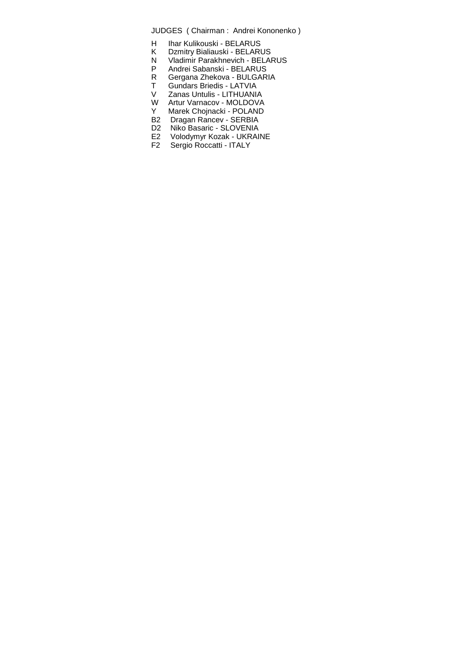- H Ihar Kulikouski BELARUS
- K Dzmitry Bialiauski BELARUS
- N Vladimir Parakhnevich BELARUS
- P Andrei Sabanski BELARUS
- R Gergana Zhekova BULGARIA
- T Gundars Briedis LATVIA
- V Zanas Untulis LITHUANIA<br>W Artur Varnacov MOLDOVA Artur Varnacov - MOLDOVA
- Y Marek Chojnacki POLAND
- 
- B2 Dragan Rancev SERBIA<br>D2 Niko Basaric SLOVENIA
- D2 Niko Basaric SLOVENIA<br>E2 Volodymyr Kozak UKRAII Volodymyr Kozak - UKRAINE
- F2 Sergio Roccatti ITALY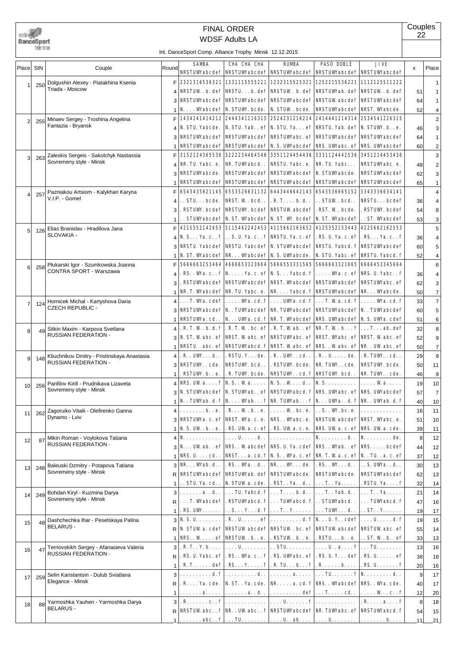

# WDSF Adults LA FINAL ORDER

**Couples** 22

|       |     |                                                                  |                       | int. DanceSport Comp. Alliance Trophy Minsk 12.12.2015                                                                                                                                                                                                                                                                                                                                                              |                                                    |                                                   |                                                                                                                                                                                                                                                                                                           |                                 |          |                |
|-------|-----|------------------------------------------------------------------|-----------------------|---------------------------------------------------------------------------------------------------------------------------------------------------------------------------------------------------------------------------------------------------------------------------------------------------------------------------------------------------------------------------------------------------------------------|----------------------------------------------------|---------------------------------------------------|-----------------------------------------------------------------------------------------------------------------------------------------------------------------------------------------------------------------------------------------------------------------------------------------------------------|---------------------------------|----------|----------------|
| Place | StN | Couple                                                           | Round                 | <b>SAMBA</b>                                                                                                                                                                                                                                                                                                                                                                                                        | CHA CHA CHA                                        | <b>RIMRA</b>                                      | <b>PASO DOBLE</b>                                                                                                                                                                                                                                                                                         | <b>JIVE</b>                     | x        | Place          |
|       |     | Dolgushin Alexey - Piatakhina Ksenia                             | F.                    |                                                                                                                                                                                                                                                                                                                                                                                                                     |                                                    |                                                   | <b>NRSTUWabcdef   NRSTUWabcdef   NRSTUWabcdef   NRSTUWabcdef   NRSTUWabcdef</b><br>2321316536321 1331115555221 1232315525321 1252215536221 1112125511222                                                                                                                                                  |                                 |          | 1              |
| 1     | 250 | Triada - Moscow                                                  | $\boldsymbol{\Delta}$ |                                                                                                                                                                                                                                                                                                                                                                                                                     |                                                    |                                                   | NRSTUW . b. def   NRSTU. b. def   NRSTUW . b. def   NRSTUWab. def   NRSTUW . b. def                                                                                                                                                                                                                       |                                 | 51       | 1              |
|       |     |                                                                  | 3                     |                                                                                                                                                                                                                                                                                                                                                                                                                     |                                                    |                                                   | <b>NRSTUWabcdef   NRSTUWabcdef   NRSTUWabcdef   NRSTUW abcdef   NRSTUWabcdef</b>                                                                                                                                                                                                                          |                                 | 64       | 1              |
|       |     |                                                                  | -1                    | $\mathbf{N} \dots$ Wabcdef N. STUW. bcde.                                                                                                                                                                                                                                                                                                                                                                           |                                                    | N. STUW . bcde.                                   | <b>NRSTUWabcdef   NRST. Wabcde.</b>                                                                                                                                                                                                                                                                       |                                 | 52       | 4              |
| 2     | 255 | Minaev Sergey - Troshina Angelina                                | F                     | 1434241414212                                                                                                                                                                                                                                                                                                                                                                                                       |                                                    |                                                   | 2444341116315 2524231216214 2414441214314 2534541226315                                                                                                                                                                                                                                                   |                                 |          | 2              |
|       |     | Fantazia - Bryansk                                               | 4                     | N. STU. Yabcde.                                                                                                                                                                                                                                                                                                                                                                                                     |                                                    |                                                   | N. STU. Yab. . ef   N. STU. Ya. ef   NRSTU. Yab. def   N. STUW. b. . e.                                                                                                                                                                                                                                   |                                 | 46       | 3              |
|       |     |                                                                  | 3                     | <b>NRSTUWabcdef</b>                                                                                                                                                                                                                                                                                                                                                                                                 |                                                    |                                                   | <b>NRSTUWabcdef   NRSTUWabc. ef   NRSTUWabcdef  </b>                                                                                                                                                                                                                                                      | <b>NRSTUWabcdef</b>             | 64       | 1              |
|       |     |                                                                  | -1                    | <b>NRSTUWabcdef</b>                                                                                                                                                                                                                                                                                                                                                                                                 |                                                    |                                                   | <b>NRSTUWabcdef   N. S. UWabcdef   NRS. UWabc. ef</b>                                                                                                                                                                                                                                                     | NRS. UWWabcdef                  | 60       | 2              |
| 3     | 263 | Zaleskis Sergeis - Sakolchyk Nastassia                           | F                     | 3152124365536                                                                                                                                                                                                                                                                                                                                                                                                       |                                                    |                                                   |                                                                                                                                                                                                                                                                                                           | 3451214453436                   |          | 3              |
|       |     | Sovremeny style - Minsk                                          | Δ                     | NR. TU. Yabc. e.                                                                                                                                                                                                                                                                                                                                                                                                    | NR. TUWabcd. .                                     | NRSTU. Yabc. e.                                   | <b>NR. TU. Yabc</b>                                                                                                                                                                                                                                                                                       | NRSTUWabc. e.                   | 48       | 2              |
|       |     |                                                                  | 3                     | <b>NRSTUWabcde.</b>                                                                                                                                                                                                                                                                                                                                                                                                 | <b>NRSTUWabcdef</b>                                | <b>NRSTUWabcdef   N. STUWabcde.</b>               |                                                                                                                                                                                                                                                                                                           | <b>NRSTUWabcdef</b>             | 62       | 3              |
|       |     |                                                                  |                       | <b>NRSTUWabcdef</b>                                                                                                                                                                                                                                                                                                                                                                                                 |                                                    | <b>NRSTUWabcdef   NRSTUWabcdef   NRSTUWabcdef</b> |                                                                                                                                                                                                                                                                                                           | <b>NRSTUWabcdef</b>             | 65       | 1              |
| 4     | 257 | Pazniakou Artsiom - Kalykhan Karyna<br>V.I.P. - Gomel            | F                     | 6543435621145                                                                                                                                                                                                                                                                                                                                                                                                       |                                                    |                                                   | 6553526631132 6443446642143 6543536665152                                                                                                                                                                                                                                                                 | 5343336634141                   |          | 4              |
|       |     |                                                                  | Δ                     | . . STU. bcde.                                                                                                                                                                                                                                                                                                                                                                                                      | NRST. W . bcd. .                                   | . R. T. b. d. .                                   | $\ldots$ STUW $\ldots$ bcd. $\ldots$                                                                                                                                                                                                                                                                      | <b>NRSTUbcdef</b>               | 36       | 4              |
|       |     |                                                                  | 3                     | <b>RSTUW.</b> bcdef                                                                                                                                                                                                                                                                                                                                                                                                 | <b>NRSTUWE.</b> bcdef                              | <b>NRSTUW abcdef</b>                              | . RST. W . bcde.                                                                                                                                                                                                                                                                                          | . RSTUWY. bcdef                 | 54       | 8              |
|       |     |                                                                  |                       |                                                                                                                                                                                                                                                                                                                                                                                                                     |                                                    |                                                   | . STUWabcdef   N. ST. Wabcdef   N. ST. W. bcdef   N. ST. Wabcdef                                                                                                                                                                                                                                          | ST. Wabcdef                     | 53       | 3              |
| 5     | 126 | Elias Branislav - Hradilova Jana<br>SLOVAKIA -                   | F<br>Δ                |                                                                                                                                                                                                                                                                                                                                                                                                                     |                                                    |                                                   | 4215552142653  5115462242453  4115662163652  4125352153443  4225662162553<br>N. S. Ya. c. . f   S. U. Ya. c. . f   NRSTU. Ya. c. ef   . RS. U. Ya. c. ef                                                                                                                                                  | . <b>RS.</b> Ya. c. . f         | 36       | 5<br>4         |
|       |     |                                                                  | 3                     |                                                                                                                                                                                                                                                                                                                                                                                                                     |                                                    |                                                   | <b>NRSTU. Yabcdef   NRSTU. Yabcdef   N. STUWabcdef   NRSTU. Yabcd. f  </b>                                                                                                                                                                                                                                | <b>NRSTUWabcdef</b>             | 60       | 5              |
|       |     |                                                                  | 1                     |                                                                                                                                                                                                                                                                                                                                                                                                                     |                                                    |                                                   | N. ST. Wabcdef   NR. Wabcdef   N. S. UWabcde.   N. STU. Yabc. ef   NRSTU. Yabcd. f                                                                                                                                                                                                                        |                                 | 52       | 4              |
|       |     | Płukarski Igor - Szumkowska Joanna                               | F                     | 5666663253464                                                                                                                                                                                                                                                                                                                                                                                                       | 4666653323664                                      |                                                   | 5666553331565 5666663321665 6666453345664                                                                                                                                                                                                                                                                 |                                 |          | 6              |
| 6     | 258 | <b>CONTRA SPORT - Warszawa</b>                                   | Δ                     |                                                                                                                                                                                                                                                                                                                                                                                                                     | . RS. . Wa. c. . f   N. Ya. c. ef   N. S. Yabcd. f |                                                   |                                                                                                                                                                                                                                                                                                           | . Wa. c. ef   NRS. U. Yabc. . f | 36       | 4              |
|       |     |                                                                  | 3                     |                                                                                                                                                                                                                                                                                                                                                                                                                     |                                                    |                                                   | . RSTUWabcdef   NRSTUWabcdef   NRST. Wabcdef   NRSTUWabcdef   NRSTUWabc. ef                                                                                                                                                                                                                               |                                 | 62       | 3              |
|       |     |                                                                  | 1                     |                                                                                                                                                                                                                                                                                                                                                                                                                     |                                                    |                                                   | NR. T. Wabcdef   NR. TU. Yabc. e.   NR. Yabcd. f   NRSTUWabcdef   NR. Wabcde.                                                                                                                                                                                                                             |                                 | 50       | $\overline{7}$ |
| 7     | 124 | Hornicek Michal - Kartyshova Daria                               | 4 <sup>1</sup>        |                                                                                                                                                                                                                                                                                                                                                                                                                     |                                                    |                                                   | $\ldots$ T. Wa. cdef $  \ldots$ Wa. cd. f $  \ldots$ UWa. cd. f $  \ldots$ T. Wa. cd. f $  \ldots$ Wa. cd. f                                                                                                                                                                                              |                                 | 33       | $\overline{7}$ |
|       |     | <b>CZECH REPUBLIC -</b>                                          | 3                     |                                                                                                                                                                                                                                                                                                                                                                                                                     |                                                    |                                                   | <b>NRSTUWabcdef   N. . TUWabcdef   NR. TUWabcdef   NRSTUWabcdef   N. . TUWabcdef</b>                                                                                                                                                                                                                      |                                 | 60       | 5              |
|       |     |                                                                  | 1                     | NRSTUWA. cd. .                                                                                                                                                                                                                                                                                                                                                                                                      |                                                    |                                                   | N. UW.a. cd. f   NR. T. Wabcdef   NRS. UWabcdef   N. S. UW.a. cdef                                                                                                                                                                                                                                        |                                 | 51       | 6              |
| 8     | 49  | Sitkin Maxim - Karpova Svetlana                                  | 4 <sup>1</sup>        |                                                                                                                                                                                                                                                                                                                                                                                                                     |                                                    |                                                   | . R. T. W. b. d. f . R. T. W. bc. ef . R. T. Wab. . ef NR. T. W. b. f . T. ab. def                                                                                                                                                                                                                        |                                 | 32       | 8              |
|       |     | RUSSIAN FEDERATION -                                             | 3                     |                                                                                                                                                                                                                                                                                                                                                                                                                     |                                                    |                                                   | N. ST. W abc. ef   NRST. W abc. ef   NRSTUWabc. ef   NRST. Wabc. ef   NRST. W abc. ef                                                                                                                                                                                                                     |                                 | 52       | 9              |
|       |     |                                                                  | $\mathbf 1$           |                                                                                                                                                                                                                                                                                                                                                                                                                     |                                                    |                                                   | NRSTU. . abc. ef   NRSTUWabcd. f   NRST. W abc. ef   NRS. . W abc. ef   NR. . UW abc. ef                                                                                                                                                                                                                  |                                 | 50       | 7              |
| 9     | 148 | Kliuchnikov Dmitry - Pristinskaya Anastasia                      | 4 <sup>1</sup>        | . R . UW. d. .                                                                                                                                                                                                                                                                                                                                                                                                      | . RSTU. Y. de.                                     | . R. . UW. . cd. .                                | . R . U. de.                                                                                                                                                                                                                                                                                              | . R. TUW. . cd. .               | 29       | 9              |
|       |     | RUSSIAN FEDERATION -                                             | 3                     | NRSTUWEcde.                                                                                                                                                                                                                                                                                                                                                                                                         | <b>NRSTUWE.</b> bcd. .                             | . RSTUW. bcde.                                    | NR. TUW. . cde.                                                                                                                                                                                                                                                                                           | <b>NRSTUWE.</b> bcde.           | 50       | 11             |
|       |     |                                                                  | $\mathbf 1$           | . RSTUW. b. . e.                                                                                                                                                                                                                                                                                                                                                                                                    | . R. TUW. bcde.                                    |                                                   | <b>NRSTUWcd.f   NRSTUW.bcd</b>                                                                                                                                                                                                                                                                            | NR. TUW. . cde.                 | 46       | 9              |
| 10    | 256 | Panfilov Kirill - Prudnikava Lizaveta<br>Sovremeny style - Minsk |                       | 4   NRS. UW $a_1 \ldots f$   N.S. . W $a_2 \ldots$                                                                                                                                                                                                                                                                                                                                                                  |                                                    | N. S. . W. d. .                                   | $N.S.\ldots\dots\dots$                                                                                                                                                                                                                                                                                    | . Wa.                           | 19       | 10             |
|       |     |                                                                  |                       | 3 N. STUWabcdef   N. STUWab. . ef   NRSTUWabcd. f   NRS. UWabc. ef   NRS. UWabcdef<br>$\left[\begin{matrix}   & \\ 1 & \end{matrix}\right]$ N. . TUWab. d. f   N. Wab. f   NR. TUWab. f   N. UWa. . d. f   NR. . UWab. d. f                                                                                                                                                                                         |                                                    |                                                   |                                                                                                                                                                                                                                                                                                           |                                 | 57       | $\overline{7}$ |
|       |     | Zagoruiko Vitalii - Olefirenko Ganna                             |                       | $4$ b                                                                                                                                                                                                                                                                                                                                                                                                               |                                                    |                                                   | . R. . W. b. . e. $  \ldots$ . W. bc. e. $  \ldots S$ . W. bc. e. $  \ldots$                                                                                                                                                                                                                              |                                 | 40<br>16 | 10<br>11       |
| 11    | 262 | Dynamo - Lviv                                                    |                       | 3   NRSTUWA. c. ef   NRST. WA. c. e.   NRS. . Wabc. e.   NRSTUW abcdef   NRST. Wabc. e.                                                                                                                                                                                                                                                                                                                             |                                                    |                                                   |                                                                                                                                                                                                                                                                                                           |                                 | 51       | 10             |
|       |     |                                                                  | $\mathbf{1}$          | $N.S.$ UW $\cdot$ b. $\cdot$ e.                                                                                                                                                                                                                                                                                                                                                                                     |                                                    |                                                   | . RS. UW a. c. ef   . RS. UW a. c. e.   NRS. UW a. c. ef   NRS. UW a. cde.                                                                                                                                                                                                                                |                                 | 39       | 11             |
|       | 87  | Mikin Roman - Voylokova Tatiana                                  |                       | $4 N.$                                                                                                                                                                                                                                                                                                                                                                                                              |                                                    | . <b>U. d.</b> .                                  | $ N_{\cdot}\,,\,\dots\,,\,\dots\,,\,{\rm d}_{\cdot}\,,\, \,N_{\cdot}\,,\,\dots\,,\,\dots\,,\,{\rm d}_{\rm e}.$                                                                                                                                                                                            |                                 | 8        | 12             |
| 12    |     | RUSSIAN FEDERATION -                                             |                       | $3 \, \, N. \ldots$ UW ab. . ef   NRS. . W abcdef   NRS. U. Ya. cdef   NRS. . W ab. . ef   NRS. bcdef                                                                                                                                                                                                                                                                                                               |                                                    |                                                   |                                                                                                                                                                                                                                                                                                           |                                 | 44       | 12             |
|       |     |                                                                  | $\mathbf{1}$          | $NRS. U. \ldots cd.$ .                                                                                                                                                                                                                                                                                                                                                                                              |                                                    |                                                   | <b>NRSTa.cd.f   N.S Wa.c. ef   NR.T. Wa.c. ef   NTUa.c. ef</b>                                                                                                                                                                                                                                            |                                 | 37       | 12             |
| 13    | 248 | Baleuski Dzmitry - Potapova Tatiana                              |                       | $3$ NR. $\ldots$ Wab. d. .                                                                                                                                                                                                                                                                                                                                                                                          | . RS. . Wa. . d. .                                 |                                                   | $\mathbf{NR. \ldots W. \ldots de.}$ . RS. $\mathbf{W. \ldots d. \ldots S. \text{ UW'a. \ldots d. }}$ .                                                                                                                                                                                                    |                                 | 30       | 13             |
|       |     | Sovremeny style - Minsk                                          |                       | <b>R   NRSTUWabcdef</b>                                                                                                                                                                                                                                                                                                                                                                                             |                                                    | NRSTUWab. def   NRSTUWabcde.   NRSTUWabcde.       |                                                                                                                                                                                                                                                                                                           | <b>NRSTUWabcdef</b>             | 62       | 13             |
|       |     |                                                                  |                       | $1$ . STU. Ya. cd                                                                                                                                                                                                                                                                                                                                                                                                   | N. STUW a. cde.                                    |                                                   | $RST. . Ya. . d. .    T. . Ya.$                                                                                                                                                                                                                                                                           | . RSTU. Ya. f                   | 32       | 14             |
| 14    | 249 | Bohdan Kiryl - Kuzmina Darya                                     |                       | $3$ $a.d.$ .                                                                                                                                                                                                                                                                                                                                                                                                        |                                                    |                                                   | $\ldots$ TU. Yabed. f $ \ldots$ T. $\ldots$ b. d. $\ldots$ T. $\ldots$ Yab. d. $\ldots$ T. $\ldots$ Ya $\ldots$ .                                                                                                                                                                                         |                                 | 21       | 14             |
|       |     | Sovremeny style - Minsk                                          |                       | $\mathsf{R} \, \, \ldots$ T. Wabcdef $ \, .$ RSTUWabcd. f $ \ldots$ TUWabcd. f $ \ldots$ STUWabcd. $ \, . \, \ldots$ TUWabcd. f                                                                                                                                                                                                                                                                                     |                                                    |                                                   |                                                                                                                                                                                                                                                                                                           |                                 | 47       | 16             |
|       |     |                                                                  |                       | 1. <b>RS.</b> UWE   S. Y. d. f   T. . Y   TUWE . d. .   ST. . Y                                                                                                                                                                                                                                                                                                                                                     |                                                    |                                                   |                                                                                                                                                                                                                                                                                                           |                                 | 19       | 17             |
| 15    | 48  | Dashchechka Ihar - Pesetskaya Palina<br><b>BELARUS -</b>         |                       | $3 N. S. U. \ldots   R. U. \ldots   R. U. \ldots   R$ . U. $1  N. \ldots   R. V. \ldots   R. V. \ldots   R. V. \ldots   R. V. \ldots   R. V. \ldots   R. V. \ldots   R. V. \ldots   R. V. \ldots   R. V. \ldots   R. V. \ldots   R. V. \ldots   R. V. \ldots   R. V. \ldots   R. V. \ldots   R. V. \ldots   R. V. \ldots   R. V. \ldots   R. V. \ldots   R. V. \ldots   R. V. \ldots   R. V. \ldots   R. V. \ldots$ |                                                    |                                                   |                                                                                                                                                                                                                                                                                                           |                                 | 19       | 15             |
|       |     |                                                                  |                       | $_{\mathsf{R}}$   N. STUW a. cdef   NRSTUW abcdef   NRSTUW . bc. ef   NRSTUW abcdef   NRSTUW abc. ef                                                                                                                                                                                                                                                                                                                |                                                    |                                                   |                                                                                                                                                                                                                                                                                                           |                                 | 55       | 14             |
|       |     |                                                                  |                       | $\vert \cdot \vert$ NRS. . W ef NRSTUW. b. . e.   . RSTUW. b. . e.   . RSTU. b. . e.   ST. W. b. . ef                                                                                                                                                                                                                                                                                                               |                                                    |                                                   |                                                                                                                                                                                                                                                                                                           |                                 | 33       | 13             |
| 16    | 47  | Ternovskikh Sergey - Afanasieva Valeria<br>RUSSIAN FEDERATION -  | 3                     |                                                                                                                                                                                                                                                                                                                                                                                                                     |                                                    |                                                   | . R. T. . Y. b. $  \ldots, U_{n} \ldots, U_{n} \cdot \mathbf{S} \mathbf{I} U_{n} \ldots, U_{n} \cdot \mathbf{I} \ldots, U_{n} \cdot \mathbf{a}_{n} \ldots \mathbf{f}   \ldots \mathbf{I} U_{n} \ldots \ldots$<br>. RS. U. Yabc. ef   . RS. . Wa. c. . f   . RS. UWabc. ef   . RS. U. Y. def   . RS. U. ef |                                 | 13       | 16             |
|       |     |                                                                  | R<br>1 <sup>1</sup>   |                                                                                                                                                                                                                                                                                                                                                                                                                     |                                                    |                                                   | . R. T. def   . RS. Y. f   . R. TU. b. f   . R. b.   . RS. U. f                                                                                                                                                                                                                                           |                                 | 38<br>20 | 18             |
|       |     | Selin Kanstantsin - Dulub Sviatlana                              |                       | $3   \ldots  $ d.f $  \ldots  $ d.f $  \ldots  $ d.f $  \ldots  $ and $  \ldots  $ and $  \ldots  $ flows of $R$ .                                                                                                                                                                                                                                                                                                  |                                                    |                                                   |                                                                                                                                                                                                                                                                                                           |                                 | 9        | 16<br>17       |
| 17    | 259 | Elegance - Minsk                                                 | RI                    |                                                                                                                                                                                                                                                                                                                                                                                                                     |                                                    |                                                   | . R. Ya. cde.   N. ST. . Ya. cde.   NR. a. cd. f   NRS. . Wabcdef   NRS. . Wa. cde.                                                                                                                                                                                                                       |                                 | 40       | 17             |
|       |     |                                                                  |                       |                                                                                                                                                                                                                                                                                                                                                                                                                     |                                                    |                                                   |                                                                                                                                                                                                                                                                                                           |                                 | 12       | 20             |
|       |     | Yarmoshka Yauhen - Yarmoshka Darya                               | 3                     |                                                                                                                                                                                                                                                                                                                                                                                                                     |                                                    |                                                   |                                                                                                                                                                                                                                                                                                           | .   . <b>R a</b> f              | 8        | 18             |
| 18    | 88  | <b>BELARUS -</b>                                                 | R                     |                                                                                                                                                                                                                                                                                                                                                                                                                     |                                                    |                                                   | <b>NRSTUW abc. . f   NR. . UW abc. . f   NRSTUWabcdef   NR. TUWabc. ef   NRSTUWabcd. f</b>                                                                                                                                                                                                                |                                 | 54       | 15             |
|       |     |                                                                  |                       |                                                                                                                                                                                                                                                                                                                                                                                                                     |                                                    |                                                   | . abc. . f $\vert \ldots$ TU. $\vert \ldots$ U. . ab. $\vert \ldots$ U. $\vert \ldots$ b. .                                                                                                                                                                                                               |                                 | 11       | 21             |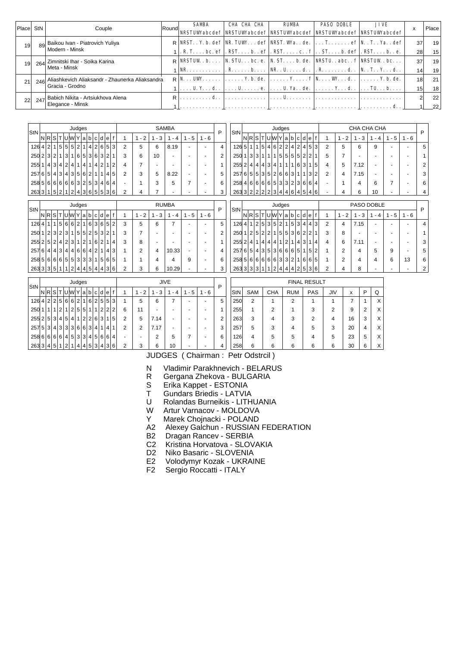| Place | StN | Couple                                                             | Round | <b>SAMBA</b>                                                                                                                                                                                                                                                                                                                                                                                                                                                                                                                                                                                                                                               | СНА СНА СНА | <b>RUMBA</b> | <b>PASO DOBLE</b> | JIVE<br><b>NRSTUWabcdef   NRSTUWabcdef   NRSTUWabcdef   NRSTUWabcdef   NRSTUWabcdef  </b>     | X                     | Place                 |
|-------|-----|--------------------------------------------------------------------|-------|------------------------------------------------------------------------------------------------------------------------------------------------------------------------------------------------------------------------------------------------------------------------------------------------------------------------------------------------------------------------------------------------------------------------------------------------------------------------------------------------------------------------------------------------------------------------------------------------------------------------------------------------------------|-------------|--------------|-------------------|-----------------------------------------------------------------------------------------------|-----------------------|-----------------------|
|       | 89  | Baikou Ivan - Piatrovich Yuliya<br>Modern - Minsk                  |       |                                                                                                                                                                                                                                                                                                                                                                                                                                                                                                                                                                                                                                                            |             |              |                   | $R$ NRST. . Y. b. def   NR. TUW. def   NRST. Wa. . de. $  \ldots$ T. ef   N. . T. . Ya. . def | 37<br>28 <sub>1</sub> | 19<br>15 <sub>1</sub> |
|       | 264 | Zimnitski Ihar - Soika Karina<br>Meta - Minsk                      |       | $R$ NRSTUW . b. N. STU. bc. e.   N. ST. b. de.   NRSTU. . abc. . $f$   NRSTUW . bc.<br>$\bf{NR}$ b.   NR. . U. d. .   . R. d. .   N. . T. . Y. d. .                                                                                                                                                                                                                                                                                                                                                                                                                                                                                                        |             |              |                   |                                                                                               | 37                    | 19<br>19.             |
| 21    | 246 | Aliashkevich Aliaksandr - Zhaunerka Aliaksandra<br>Gracia - Grodno |       | $R \mid N_{\cdot} \cdot N_{\cdot} \cdot N_{\cdot} \cdot N_{\cdot} \cdot N_{\cdot} \cdot N_{\cdot} \cdot N_{\cdot} \cdot N_{\cdot} \cdot N_{\cdot} \cdot N_{\cdot} \cdot N_{\cdot} \cdot N_{\cdot} \cdot N_{\cdot} \cdot N_{\cdot} \cdot N_{\cdot} \cdot N_{\cdot} \cdot N_{\cdot} \cdot N_{\cdot} \cdot N_{\cdot} \cdot N_{\cdot} \cdot N_{\cdot} \cdot N_{\cdot} \cdot N_{\cdot} \cdot N_{\cdot} \cdot N_{\cdot} \cdot N_{\cdot} \cdot N_{\cdot} \cdot N_{\cdot} \cdot N_{\cdot} \cdot N_{\cdot} \cdot N_{\cdot} \cdot$<br>$1   \ldots$ U. Y. $\ldots$ d. $  \ldots$ U. $\ldots$ . e. $  \ldots$ U. Ya. . de. $  \ldots \ldots$ Y. d. . $  \ldots$ TU. b. |             |              |                   |                                                                                               | 18<br>15 <sup>1</sup> | 21<br>18              |
|       | 247 | Babich Nikita - Artsiukhova Alena<br>Elegance - Minsk              |       | $R$ <b>d.</b> .                                                                                                                                                                                                                                                                                                                                                                                                                                                                                                                                                                                                                                            |             |              |                   |                                                                                               |                       | 22<br>22              |

| StN   |   |                                                                                                                                                                                                                  |   |                |                |                | Judges |                |                |                |                |   |                |                |         |          | <b>SAMBA</b> |                                    |         | P |
|-------|---|------------------------------------------------------------------------------------------------------------------------------------------------------------------------------------------------------------------|---|----------------|----------------|----------------|--------|----------------|----------------|----------------|----------------|---|----------------|----------------|---------|----------|--------------|------------------------------------|---------|---|
|       | N | 'R                                                                                                                                                                                                               | S |                |                | 'IUMIY         |        | a              | b              | <sub>c</sub>   | d              | e |                | 1              | $1 - 2$ | - 3<br>1 | 4            | 5<br>1<br>$\overline{\phantom{a}}$ | $1 - 6$ |   |
| 126   | 4 | 5<br>5<br>5 <sub>l</sub><br>2<br>$\overline{2}$<br>2 <sup>1</sup><br>6<br>5<br>1<br>4 <sup>1</sup><br>1<br>2 <sub>1</sub><br>3 <sup>1</sup><br>3 <sup>1</sup><br>3 <sup>1</sup><br>6 <br>21<br>$\mathbf{1}$<br>1 |   |                |                |                |        |                |                |                |                |   |                | 2              | 5       | 6        | 8.19         |                                    |         |   |
| 250   |   |                                                                                                                                                                                                                  |   |                |                |                | 6      | 5              |                |                | 3              | 2 | 1              | 3              | 6       | 10       |              |                                    |         | 2 |
| 255   | 1 | 4                                                                                                                                                                                                                | 3 | 4 <sup>1</sup> | 2 <sub>1</sub> | 4              | 1      | 4              | 11             | $\vert$        | 2              |   | $\overline{2}$ | 4              | 7       |          |              |                                    |         |   |
| 257   | 6 | 5                                                                                                                                                                                                                | 4 | 3 <sup>1</sup> | 4 <sup>1</sup> | 3              | 5      | 6              | 2 <sup>1</sup> | 1 <sub>1</sub> | 1              | 4 | 5              | $\overline{2}$ | 3       | 5        | 8.22         |                                    |         | 5 |
| 258 5 |   | 6                                                                                                                                                                                                                | 6 |                | 6 6            | 6              | 3      | 2 <sub>1</sub> | 5 <sup>1</sup> | 3              | $\overline{4}$ | 6 | 4              |                |         | 3        | 5            |                                    |         | 6 |
| 263   | 3 | 1                                                                                                                                                                                                                | 5 | 2              |                | $\overline{2}$ | 4      | 3              | 6              | 5 <sup>1</sup> | 5 <sup>1</sup> |   | 3 6            | 2              | 4       |          |              |                                    |         | 3 |

| StN   |                |   |   |                |                | Judges         |                |                |                |                |                |                |   |   |                |          | <b>RUMBA</b> |       |          | P |
|-------|----------------|---|---|----------------|----------------|----------------|----------------|----------------|----------------|----------------|----------------|----------------|---|---|----------------|----------|--------------|-------|----------|---|
|       | <b>NR</b>      |   | S |                |                | <b>TIUM</b>    | Υ              | a              | b              | c              | d              | e              | f | 1 | $-2$<br>1      | - 3<br>1 | - 4<br>1.    | 1 - 5 | - 6<br>1 |   |
| 126   | 4              | 1 | 1 | 5              | 6              | $6 \mid$       | $\overline{2}$ | 1              | 6              | 31             | 6              | 5              | 2 | 3 | 5              | 6        | 7            | ۰     |          | 5 |
| 250   | 1              | 2 | 3 | 2 <sup>1</sup> | 3              | 1              | 5              | 5              | $\overline{2}$ | 5              | 3              | $\overline{2}$ | 1 | 3 | 7              | ۰        | -            |       |          | 2 |
| 255   | $\overline{2}$ | 5 | 2 | 4              | 2 <sub>1</sub> | 3 <sup>1</sup> | 1              | 2 <sub>1</sub> | 1              | 6              | 2              | 1              | 4 | 3 | 8              |          |              |       |          |   |
| 257   | 6'             | 4 | 4 | 3              | 4 <sup>1</sup> | 4 <sup>1</sup> | 6              | 6              | 4              | $\overline{2}$ |                | 4              | 3 | 1 | $\overline{2}$ | 4        | 10.33        | ۰     |          | 4 |
| 258 5 |                | 6 | 6 | 6              | 5 <sup>1</sup> | 5 <sup>1</sup> | 3              | 3              | 3              | 1 <sub>1</sub> | 5 <sup>1</sup> | 6              | 5 | 1 |                | 4        | 4            | 9     |          | 6 |
| 263 3 |                | 3 | 5 |                |                | 2              | 4              |                | 4 5            | 4 <sup>1</sup> | 4 <sup>1</sup> | 3              | 6 | 2 | 3              | 6        | 10.29        | ۰     |          | 3 |

| StN   |                |                |                |               |               |                | Judges |                |                |                |     |      |    |                |         | CHA CHA CHA         |    |          |       | P |
|-------|----------------|----------------|----------------|---------------|---------------|----------------|--------|----------------|----------------|----------------|-----|------|----|----------------|---------|---------------------|----|----------|-------|---|
|       | NRI            |                | S              |               |               | <b>UW</b>      | Y      | a              | b              | c l            | d   | e    |    | 1              | $1 - 2$ | 3<br>$\blacksquare$ | 4  | - 5<br>1 | 1 - 6 |   |
| 126 5 |                | 1              | 1              | 5             | 4۱،           | 6 <sup>1</sup> | 2      | $\overline{2}$ | 4              | 2 <sub>1</sub> | 4   | 5    | 3  | $\overline{2}$ | 5       | 6                   | 9  |          |       | 5 |
| 250   |                | 1 3            | 3              | 1             | 1 I           | 1              | 5      | 5              | 5 <sup>1</sup> | 5 <sup>1</sup> | 2   | 2    | 1  | 5              |         |                     |    |          |       |   |
| 255   | 2 <sup>1</sup> | 4              | $\overline{4}$ | 4             | 3             | $\vert$        | 1      | 1              | 1              | 6              | 3   | 1    | 5  | 4              | 5       | 7.12                |    |          |       | 2 |
| 257   | 6              | 5 <sup>1</sup> | 5 <sup>1</sup> |               | 3 5           | $\overline{2}$ | 6      | 6              | 3              | 1 <sup>1</sup> | 1   | 3    | 2  | $\overline{2}$ | 4       | 7.15                |    |          |       | 3 |
| 258   | $\vert$        | $6 \mid$       | 6              | 6             | 6             | 5 <sup>1</sup> | 3      | 3              | 2 <sup>1</sup> | 3 <sup>1</sup> | 6   | 6    | 4  |                |         | 4                   | 6  | 7        |       | 6 |
| 263   |                | 3 2            | 2 <sup>1</sup> | $\mathcal{P}$ | $\mathcal{P}$ | 3              | 4      | 4              | 6              |                | 4 5 | ا 4، | 16 |                | Δ       | 6                   | 10 |          |       |   |

| StN |                |                |                 |                |             |                | Judges         |                |                |   |                |                |   |                |                | PASO DOBLE |     |                     |          | P |
|-----|----------------|----------------|-----------------|----------------|-------------|----------------|----------------|----------------|----------------|---|----------------|----------------|---|----------------|----------------|------------|-----|---------------------|----------|---|
|     | N              | R              | S               |                |             |                | IUMIYI         | a              | b              | c | d              | e              | f | 1              | $-2$<br>1      | - 3<br>1   | - 4 | 5<br>$\blacksquare$ | - 6<br>1 |   |
| 126 | 4 <sup>1</sup> | 1 <sup>1</sup> | $\overline{2}$  | 5 <sup>1</sup> |             | 3 5            | 2 <sup>1</sup> | $\mathbf{1}$   | 5              | 3 | 4              | 4              | 3 | $\overline{2}$ | 4              | 7.15       |     |                     |          |   |
| 250 |                | $\overline{2}$ | 5               | $\overline{2}$ | 2           | 1              | 5 <sup>1</sup> | 5              | 3              | 6 | 2 <sup>1</sup> | $\overline{2}$ | 1 | 3              | 8              | ۰          |     |                     |          |   |
| 255 | $\overline{2}$ | 4              | 1 <sup>1</sup>  | 4              | 4           | 4              | 11             | 2 <sub>1</sub> | 1              | 4 | 3              |                | 4 | 4              | 6              | 7.11       |     |                     |          |   |
| 257 | 6              | 5              | $\vert 4 \vert$ | 31             | $5^{\circ}$ | 3 <sup>1</sup> | 6              | 6              | $6 \mid$       | 5 | 11             | 5              | 2 | 1              | $\overline{2}$ | 4          | 5   | 9                   |          | 5 |
| 258 | 5              | 6              | 6 <sup>1</sup>  | 6              | 6           | 6              | 3              | 3              | 2 <sub>1</sub> | 1 | 6              | 6              | 5 | 1              | $\overline{2}$ | 4          | 4   | 6                   | 13       | 6 |
| 263 | 3              | 3              | 3               | 1              |             | 2              | $-4$           | 4              | 4 <sup>1</sup> | 2 | 5 <sup>1</sup> | 3              | 6 | 2              | 4              | 8          |     |                     |          | 2 |

| StN                                                       |               |                |       | Judges |     |  |     |             |                          |     |      | <b>JIVE</b>              |     |         | D      |     |     |            |            | <b>FINAL RESULT</b> |            |    |   |   |
|-----------------------------------------------------------|---------------|----------------|-------|--------|-----|--|-----|-------------|--------------------------|-----|------|--------------------------|-----|---------|--------|-----|-----|------------|------------|---------------------|------------|----|---|---|
|                                                           | NRSTUWYabcdel |                |       |        |     |  |     |             |                          | - 2 | - 3  | - 4                      | - 5 | $1 - 6$ |        | StN | SAM | <b>CHA</b> | <b>RUM</b> | <b>PAS</b>          | <b>JIV</b> | x  | P | O |
| $126   4   2   2   5   6   6   2   1   6   2   5   5   3$ |               |                |       |        |     |  |     |             |                          | 5   | 6    |                          |     |         | 5      | 250 | 2   |            | 2          |                     |            |    |   | x |
| 250                                                       |               | $\overline{1}$ | (211) | 2 5    | 5 1 |  | 1 2 | 2 2         | 6                        | 11  |      | ۰                        |     |         |        | 255 |     | ◠          |            | 3                   | 2          | 9  | ◠ | ⋏ |
| $255$ 2 5 3 4 5 4 1 2 2 6 3                               |               |                |       |        |     |  |     | 1 5         | 2                        | 5   | 7.14 | $\overline{\phantom{0}}$ |     |         | $\sim$ | 263 | 3   | 4          | 3          | 2                   | 4          | 16 | 3 | x |
| 25753433336634                                            |               |                |       |        |     |  |     | 4 1         | $\overline{2}$           | 2   | 7.17 | $\overline{\phantom{0}}$ |     |         | 3      | 257 | 5   | 3          | 4          | 5                   | 3          | 20 | 4 | X |
| 258 6 6 6 6 6 4 5 3 3 4 5 6 6 4                           |               |                |       |        |     |  |     |             | $\overline{\phantom{0}}$ | -   | C    | 5                        |     |         | 6      | 126 | 4   | 5          | 5          | 4                   | 5          | 23 | 5 | X |
| 263 3 4 5                                                 |               |                | 1 2 1 | 4      |     |  |     | 4 5 3 4 3 6 | 2                        | વ   | 6    | 10                       |     |         | 4      | 258 | 6   | 6          | 6          | 6                   | 6          | 30 | 6 |   |

JUDGES ( Chairman : Petr Odstrcil )

N Vladimir Parakhnevich - BELARUS<br>R Gergana Zhekova - BULGARIA

R Gergana Zhekova - BULGARIA<br>S Erika Kappet - ESTONIA

S Erika Kappet - ESTONIA<br>T Gundars Briedis - LATVIA

T Gundars Briedis - LATVIA<br>U Rolandas Burneikis - LITH

U Rolandas Burneikis - LITHUANIA<br>W Artur Varnacov - MOLDOVA

W Artur Varnacov - MOLDOVA<br>Y Marek Choinacki - POLAND

Y Marek Chojnacki - POLAND<br>A2 Alexey Galchun - RUSSIAN

A2 Alexey Galchun - RUSSIAN FEDERATION<br>B2 Dragan Rancev - SERBIA

B2 Dragan Rancev - SERBIA<br>C2 Kristina Horvatova - SLOV

C2 Kristina Horvatova - SLOVAKIA<br>D2 Niko Basaric - SLOVENIA

D2 Niko Basaric - SLOVENIA<br>E2 Volodymyr Kozak - UKRAI

E2 Volodymyr Kozak - UKRAINE

F2 Sergio Roccatti - ITALY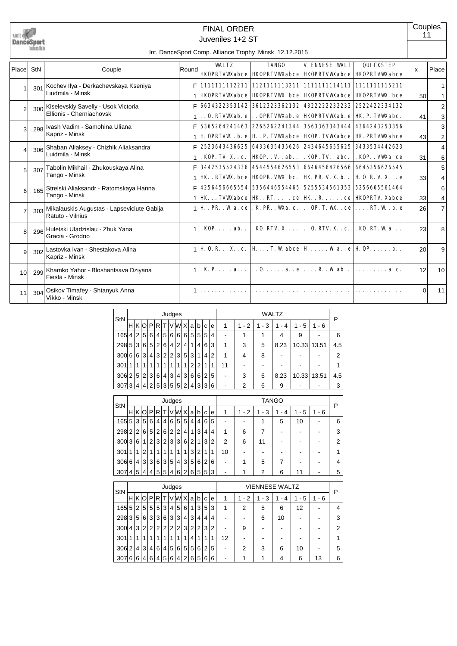|                       |                  |                                                                 |       | <b>FINAL ORDER</b> |                                                                                                                                                                                                                   |                      |                   | 11           | Couples                      |
|-----------------------|------------------|-----------------------------------------------------------------|-------|--------------------|-------------------------------------------------------------------------------------------------------------------------------------------------------------------------------------------------------------------|----------------------|-------------------|--------------|------------------------------|
|                       | DanceSport       |                                                                 |       | Juveniles 1+2 ST   |                                                                                                                                                                                                                   |                      |                   |              |                              |
|                       | haderation       |                                                                 |       |                    | Int. DanceSport Comp. Alliance Trophy Minsk 12.12.2015                                                                                                                                                            |                      |                   |              |                              |
| Place                 | StN              | Couple                                                          | Round | <b>WALTZ</b>       | <b>TANGO</b><br><b>HKOPRIVWabce   HKOPRIVWabce   HKOPRIVWabce   HKOPRIVWabce</b>                                                                                                                                  | <b>VIENNESE WALT</b> | <b>QUICKSTEP</b>  | $\mathsf{x}$ | Place                        |
|                       | 301              | Kochev Ilya - Derkachevskaya Kseniya<br>Liudmila - Minsk        |       |                    | F 1111111112211 1121111113211 1111111114111 111111115211<br><b>HKOPRIVWAbce   HKOPRIVWX. bce   HKOPRIVWAbce   HKOPRIVWX. bce</b>                                                                                  |                      |                   | 50           | $\mathbf{1}$<br>$\mathbf{1}$ |
| $\mathfrak{p}$        | 300 <sup>1</sup> | Kiselevskiy Saveliy - Usok Victoria<br>Ellionis - Cherniachovsk |       |                    | 6634322353142 3612323362132 43222223223232 2522422334132<br>0. RIVWAb. e  OPRIVWAb. e HKOPRIVWAb. e HK. P. TVWAbc.                                                                                                |                      |                   | 41           | $\overline{2}$               |
| 3                     | 298              | Ivash Vadim - Samohina Uliana<br>Kapriz - Minsk                 | F.    |                    | 5365264241463   2265262241344   3563363343444   4364243253356                                                                                                                                                     |                      |                   |              | 3<br>3                       |
| $\boldsymbol{\Delta}$ | 306              | Shaban Aliaksey - Chizhik Aliaksandra<br>Luidmila - Minsk       | F.    |                    | <b>H. OPRIVW. b. e   H. . P. TVWabce   HKOP. TVWabce   HK. PRIVWabce</b><br>  2523643436625   6433635435626   2434645655625   3433534442623                                                                       |                      |                   | 43           | 2<br>$\overline{4}$          |
| 5                     | 307              | Tabolin Mikhail - Zhukouskaya Alina<br>Tango - Minsk            | F     |                    | . KOP. TV. X. . c.   HKOP. . V. . ab. .   . KOP. TV. . abc.  <br>  3442535524336   4544554626553   6646456426566   6645356626545<br><b>HK.</b> . RIVW. bce   HOPR. VW. bc.   HK. PR. V. X. b. .   H O. R. V. X. e |                      | . KOP. . VW.a. ce | 31           | 6<br>5                       |
| 6                     | 165              | Strelski Aliaksandr - Ratomskaya Hanna<br>Tango - Minsk         | F     |                    | 4256456665554 5356446554465 5255534561353 5256665561464<br>  <b>HK. TVW.abce   HK. . RT. ce   HK. . R. ce   HKOPRTV. Xabce</b>                                                                                    |                      |                   | 33           | 4<br>6                       |
| $\overline{7}$        | 303              | Mikalauskis Augustas - Lapseviciute Gabija<br>Ratuto - Vilnius  |       |                    | $1 \vert$ H . PR. . W a. ce   . K. PR. . W a. c.   OP. T. W  . ce   RT. W . b. e                                                                                                                                  |                      |                   | 33<br>26     | 4<br>$\overline{7}$          |
| $\mathsf{R}$          | 296              | Huletski Uladzislau - Zhuk Yana<br>Gracia - Grodno              |       |                    | 1. KOP ab KO. RIV. X  O. RIV. X KO. RT. W a                                                                                                                                                                       |                      |                   | 23           | 8                            |
| $\mathbf{Q}$          | 302              | Lastovka Ivan - Shestakova Alina<br>Kapriz - Minsk              |       |                    | $\parallel$ H 0. R X . c. H T. W abce H W a. . e H OP. b. .                                                                                                                                                       |                      |                   | 20           | 9                            |
| 10 <sup>1</sup>       | 299              | Khamko Yahor - Bloshantsava Dziyana<br>Fiesta - Minsk           |       |                    | . K. P a   0 R. Wab. .                                                                                                                                                                                            |                      | . <b>a. c.</b>    | 12           | 10                           |
| 11                    | 304              | Osikov Timafey - Shtanyuk Anna<br>Vikko - Minsk                 |       |                    |                                                                                                                                                                                                                   |                      |                   | $\Omega$     | 11                           |

| StN   | Judges         |                |   |                |                |                 |   |                |          |                |                |   |                | WALTZ |                                    |                          |          |       |         |     |  |
|-------|----------------|----------------|---|----------------|----------------|-----------------|---|----------------|----------|----------------|----------------|---|----------------|-------|------------------------------------|--------------------------|----------|-------|---------|-----|--|
|       | Н              | ΚI             | O | P              | R              | ΤI              |   | V W            | X        | a              | b              | c | e              | 1     | 2<br>1<br>$\overline{\phantom{a}}$ | 3<br>1<br>$\blacksquare$ | - 4<br>1 | - 5   | $1 - 6$ | P   |  |
| 165   | 4              | 2 <sup>1</sup> | 5 | 6              | 4 <sup>1</sup> | 5 <sup>1</sup>  | 6 | $6 \mid$       | $6 \mid$ | 5 <sup>1</sup> | 5 <sup>5</sup> | 5 | 4              |       |                                    |                          | 4        | 9     |         | 6   |  |
| 298 5 |                | 3              | 6 | 5              | $\overline{2}$ | 6               | 4 | $\overline{2}$ | 4        | 1              | 4              | 6 | 3              | 1     | 3                                  | 5                        | 8.23     | 10.33 | 13.51   | 4.5 |  |
| 300   | 6              | 6              | 3 | 4              | 3              | 2 <sub>1</sub>  | 2 | 3              | 5        | 3 <sup>1</sup> | 1              | 4 | $\overline{2}$ | 1     | 4                                  | 8                        |          |       |         | 2   |  |
| 301   |                |                | 1 |                |                |                 |   | 1              | 1        | 2 <sub>1</sub> | 2              |   |                | 11    |                                    |                          |          |       |         | 1   |  |
| 306   | $\overline{2}$ | 5 <sup>1</sup> | 2 | 3              | 6              | $\vert 4 \vert$ | 3 | 4              | 3        | 6              | 6              | 2 | 5              |       | 3                                  | 6                        | 8.23     | 10.33 | 13.51   | 4.5 |  |
| 307   | . 3            | 4              | 4 | $\overline{2}$ | 5              | 3               | 5 | 5 <sup>1</sup> | 2        | $\overline{4}$ | $\mathbf{3}$   | 3 | 6              |       | 2                                  | 6                        | 9        |       |         | 3   |  |
|       |                |                |   |                |                |                 |   |                |          |                |                |   |                |       |                                    |                          |          |       |         |     |  |

| StN   | Judges         |                |                |       |                |                |                |                |   |   |                |   |                |    | <b>TANGO</b> |          |     |          |         |   |  |  |
|-------|----------------|----------------|----------------|-------|----------------|----------------|----------------|----------------|---|---|----------------|---|----------------|----|--------------|----------|-----|----------|---------|---|--|--|
|       | н              | K              | O              | P.    | R <sub>1</sub> | Τl             |                | V W            | Х | a | b              | c | e              | 1  | $-2$         | - 3<br>1 | - 4 | - 5<br>1 | $1 - 6$ | P |  |  |
| 165 5 |                | 3 l            | 5              | 6     | 4 <sup>1</sup> | 4 <sup>1</sup> | 6              | 5 <sup>1</sup> | 5 | 4 | 4'             | 6 | 5              | -  |              |          | 5   | 10       |         | 6 |  |  |
| 298   | 2 <sup>1</sup> | 2              | 6              | 5     | 2              | 6              | 2              | $\overline{2}$ | 4 |   | 3              | 4 | 4              | 1  | 6            |          |     |          |         | 3 |  |  |
| 300 3 |                | 6              | 1              | 2     | 3              | 2 <sup>1</sup> | 3 <sub>l</sub> | 3              | 6 | 2 | 1              | 3 | $\overline{2}$ | 2  | 6            | 11       |     |          |         | 2 |  |  |
| 301   | 11             | 1              | $\overline{2}$ | 1     | 1              |                | 1              | 1              | 1 | 3 | 2              | 1 | 1              | 10 |              |          |     |          |         | 1 |  |  |
| 306   | $6 \mid$       | 4              | 3              | 3     | 6              | 3              | 5              | 4              | 3 | 5 | 6              | 2 | 6              |    |              | 5        |     |          |         | 4 |  |  |
| 307   | 4 <sup>1</sup> | 5 <sup>1</sup> | 4              | . 4 ! | 5              | 5 <sup>1</sup> | 4              | 6              | 2 | 6 | 5 <sup>1</sup> | 5 | 3              |    |              | 2        | 6   | 11       |         | 5 |  |  |

| StN | Judges |                |                |   |                |                   |                |                |                |   |                |   |   | <b>VIENNESE WALTZ</b>    |      |     |    |     |       |   |  |  |
|-----|--------|----------------|----------------|---|----------------|-------------------|----------------|----------------|----------------|---|----------------|---|---|--------------------------|------|-----|----|-----|-------|---|--|--|
|     | н      |                | KIOI           | P | RI             | т                 |                | VWX            |                | a | b              | C | е | 1                        | $-2$ | - 3 | 4  | - 5 | 1 - 6 | P |  |  |
| 165 | 5      | 2 <sup>1</sup> | 5 <sup>1</sup> | 5 | 5 <sup>5</sup> | $\lvert 3 \rvert$ |                | 4 5            | 6              | 1 | 3              | 5 | 3 | 1                        | 2    | 5   | 6  | 12  |       | 4 |  |  |
| 298 | 3      | 5              | 6 <sup>1</sup> | 3 | 3              | 6                 | 3              | 3              | 4              | 3 | $\overline{4}$ | 4 | 4 | ٠                        | -    | 6   | 10 |     |       | 3 |  |  |
| 300 | 4      | 3              | $\overline{2}$ | 2 | $\overline{2}$ | 2                 | $\overline{2}$ | 2 <sub>1</sub> | 3              | 2 | 2              | 3 | 2 | ٠                        | 9    |     |    |     |       | 2 |  |  |
| 301 |        | 1              |                | 1 | 1              | 1                 |                | 1              | 1              | 4 | 1              | 1 | 1 | 12                       |      |     |    |     |       |   |  |  |
| 306 | 2      | 4              | 3              | 4 | 6              | 4                 | 5 <sup>1</sup> | 6              | 5              | 5 | 6              | 2 | 5 | -                        | 2    | 3   | 6  | 10  |       | 5 |  |  |
| 307 | 6      | 6              | ا 4،           | 6 | 4              | 5                 | 6              | 4              | $\overline{2}$ | 6 | 5              | 6 | 6 | $\overline{\phantom{a}}$ | ٠    |     | 4  | 6   | 13    | 6 |  |  |